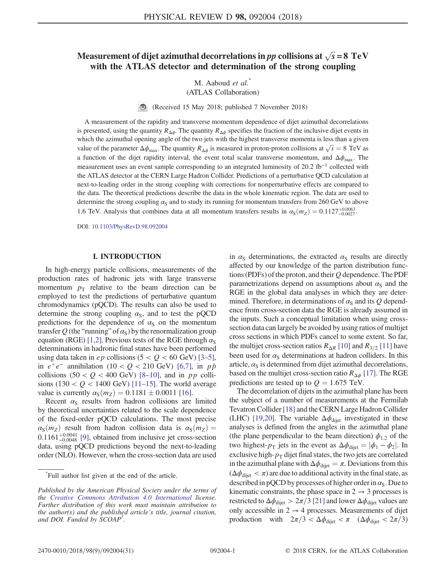# Measurement of dijet azimuthal decorrelations in  $pp$  collisions at  $\sqrt{s}$  =  $8 \, \text{TeV}$ with the ATLAS detector and determination of the strong coupling

M. Aaboud et al.<sup>\*</sup> (ATLAS Collaboration)

 $\bigcirc$ (Received 15 May 2018; published 7 November 2018)

A measurement of the rapidity and transverse momentum dependence of dijet azimuthal decorrelations is presented, using the quantity  $R_{\Delta\phi}$ . The quantity  $R_{\Delta\phi}$  specifies the fraction of the inclusive dijet events in which the azimuthal opening angle of the two jets with the highest transverse momenta is less than a given value of the parameter  $\Delta\phi_{\text{max}}$ . The quantity  $R_{\Delta\phi}$  is measured in proton-proton collisions at  $\sqrt{s} = 8$  TeV as a function of the dijet rapidity interval, the event total scalar transverse momentum, and  $\Delta\phi_{\text{max}}$ . The measurement uses an event sample corresponding to an integrated luminosity of 20.2 fb<sup>-1</sup> collected with the ATLAS detector at the CERN Large Hadron Collider. Predictions of a perturbative QCD calculation at next-to-leading order in the strong coupling with corrections for nonperturbative effects are compared to the data. The theoretical predictions describe the data in the whole kinematic region. The data are used to determine the strong coupling  $\alpha_s$  and to study its running for momentum transfers from 260 GeV to above 1.6 TeV. Analysis that combines data at all momentum transfers results in  $\alpha_{\rm s}(m_Z) = 0.1127^{+0.0063}_{-0.0027}$ 

DOI: [10.1103/PhysRevD.98.092004](https://doi.org/10.1103/PhysRevD.98.092004)

#### I. INTRODUCTION

In high-energy particle collisions, measurements of the production rates of hadronic jets with large transverse momentum  $p_T$  relative to the beam direction can be employed to test the predictions of perturbative quantum chromodynamics (pQCD). The results can also be used to determine the strong coupling  $\alpha_{\rm S}$ , and to test the pQCD predictions for the dependence of  $\alpha_{\rm S}$  on the momentum transfer Q (the "running" of  $\alpha_{\rm S}$ ) by the renormalization group equation (RGE) [\[1,2\]](#page-15-0). Previous tests of the RGE through  $\alpha_{\rm S}$ determinations in hadronic final states have been performed using data taken in *ep* collisions  $(5 < Q < 60$  GeV) [\[3](#page-15-1)–5], in  $e^+e^-$  annihilation (10 < Q < 210 GeV) [\[6,7\],](#page-15-2) in  $p\bar{p}$ collisions  $(50 < Q < 400$  GeV) [8–[10\],](#page-15-3) and in pp collisions (130  $< Q < 1400$  GeV) [11–[15\].](#page-15-4) The world average value is currently  $\alpha_{\rm s}(m_Z) = 0.1181 \pm 0.0011$  [\[16\].](#page-15-5)

Recent  $\alpha_s$  results from hadron collisions are limited by theoretical uncertainties related to the scale dependence of the fixed-order pQCD calculations. The most precise  $\alpha_{\rm s}(m_Z)$  result from hadron collision data is  $\alpha_{\rm s}(m_Z)$  =  $0.1161^{+0.0041}_{-0.0048}$  [\[9\]](#page-15-6), obtained from inclusive jet cross-section data, using pQCD predictions beyond the next-to-leading order (NLO). However, when the cross-section data are used in  $\alpha_{\rm S}$  determinations, the extracted  $\alpha_{\rm S}$  results are directly affected by our knowledge of the parton distribution functions (PDFs) of the proton, and their  $Q$  dependence. The PDF parametrizations depend on assumptions about  $\alpha_s$  and the RGE in the global data analyses in which they are determined. Therefore, in determinations of  $\alpha_s$  and its Q dependence from cross-section data the RGE is already assumed in the inputs. Such a conceptual limitation when using crosssection data can largely be avoided by using ratios of multijet cross sections in which PDFs cancel to some extent. So far, the multijet cross-section ratios  $R_{\Delta R}$  [\[10\]](#page-15-7) and  $R_{3/2}$  [\[11\]](#page-15-4) have been used for  $\alpha_{\rm S}$  determinations at hadron colliders. In this article,  $\alpha_{\rm S}$  is determined from dijet azimuthal decorrelations, based on the multijet cross-section ratio  $R_{\Delta\phi}$  [\[17\].](#page-15-8) The RGE predictions are tested up to  $Q = 1.675$  TeV.

The decorrelation of dijets in the azimuthal plane has been the subject of a number of measurements at the Fermilab Tevatron Collider [\[18\]](#page-15-9) and the CERN Large Hadron Collider (LHC) [\[19,20\].](#page-15-10) The variable  $\Delta \phi_{\text{dijet}}$  investigated in these analyses is defined from the angles in the azimuthal plane (the plane perpendicular to the beam direction)  $\phi_{1,2}$  of the two highest- $p_{\text{t}}$  jets in the event as  $\Delta \phi_{\text{dijet}} = |\phi_1 - \phi_2|$ . In exclusive high- $p<sub>T</sub>$  dijet final states, the two jets are correlated in the azimuthal plane with  $\Delta \phi_{\text{dijet}} = \pi$ . Deviations from this  $(\Delta \phi_{\text{dijet}} < \pi)$  are due to additional activity in the final state, as described in pQCD by processes of higher order in  $\alpha_s$ . Due to kinematic constraints, the phase space in  $2 \rightarrow 3$  processes is restricted to  $\Delta \phi_{\text{dijet}} > 2\pi/3$  [\[21\]](#page-15-11) and lower  $\Delta \phi_{\text{dijet}}$  values are only accessible in  $2 \rightarrow 4$  processes. Measurements of dijet production with  $2\pi/3 < \Delta\phi_{\text{dijet}} < \pi$  ( $\Delta\phi_{\text{dijet}} < 2\pi/3$ )

<sup>\*</sup> Full author list given at the end of the article.

Published by the American Physical Society under the terms of the [Creative Commons Attribution 4.0 International](https://creativecommons.org/licenses/by/4.0/) license. Further distribution of this work must maintain attribution to the author(s) and the published article's title, journal citation, and DOI. Funded by SCOAP<sup>3</sup>.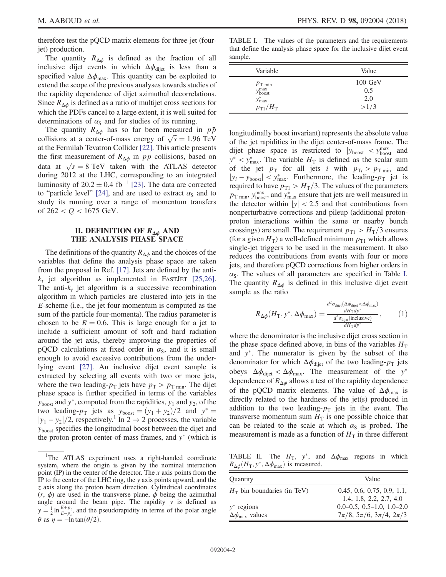therefore test the pQCD matrix elements for three-jet (fourjet) production.

The quantity  $R_{\Delta\phi}$  is defined as the fraction of all inclusive dijet events in which  $\Delta \phi_{\text{dijet}}$  is less than a specified value  $\Delta\phi_{\text{max}}$ . This quantity can be exploited to extend the scope of the previous analyses towards studies of the rapidity dependence of dijet azimuthal decorrelations. Since  $R_{\Delta\phi}$  is defined as a ratio of multijet cross sections for which the PDFs cancel to a large extent, it is well suited for determinations of  $\alpha_s$  and for studies of its running.

The quantity  $R_{\Delta\phi}$  has so far been measured in  $p\bar{p}$ collisions at a center-of-mass energy of  $\sqrt{s} = 1.96 \text{ TeV}$ at the Fermilab Tevatron Collider [\[22\]](#page-15-12). This article presents the first measurement of  $R_{\Delta\phi}$  in pp collisions, based on data at  $\sqrt{s} = 8$  TeV taken with the ATLAS detector during 2012 at the LHC, corresponding to an integrated luminosity of  $20.2 \pm 0.4$  fb<sup>-1</sup> [\[23\]](#page-15-13). The data are corrected to "particle level" [\[24\]](#page-15-14), and are used to extract  $\alpha_s$  and to study its running over a range of momentum transfers of  $262 < Q < 1675$  GeV.

#### II. DEFINITION OF  $R_{\Delta\phi}$  AND THE ANALYSIS PHASE SPACE

The definitions of the quantity  $R_{\Delta\phi}$  and the choices of the variables that define the analysis phase space are taken from the proposal in Ref. [\[17\]](#page-15-8). Jets are defined by the anti $k<sub>t</sub>$  jet algorithm as implemented in FASTJET [\[25,26\]](#page-15-15). The anti- $k_t$  jet algorithm is a successive recombination algorithm in which particles are clustered into jets in the E-scheme (i.e., the jet four-momentum is computed as the sum of the particle four-momenta). The radius parameter is chosen to be  $R = 0.6$ . This is large enough for a jet to include a sufficient amount of soft and hard radiation around the jet axis, thereby improving the properties of pQCD calculations at fixed order in  $\alpha_s$ , and it is small enough to avoid excessive contributions from the underlying event [\[27\].](#page-15-16) An inclusive dijet event sample is extracted by selecting all events with two or more jets, where the two leading- $p_T$  jets have  $p_T > p_{T,min}$ . The dijet phase space is further specified in terms of the variables  $y_{boost}$  and  $y^*$ , computed from the rapidities,  $y_1$  and  $y_2$ , of the two leading- $p_T$  jets as  $y_{boost} = (y_1 + y_2)/2$  and  $y^* =$  $|y_1 - y_2|/2$ , respectively.<sup>1</sup> In 2  $\rightarrow$  2 processes, the variable yboost specifies the longitudinal boost between the dijet and the proton-proton center-of-mass frames, and  $y^*$  (which is

<span id="page-1-0"></span>TABLE I. The values of the parameters and the requirements that define the analysis phase space for the inclusive dijet event sample.

| Variable               | Value             |
|------------------------|-------------------|
| $p_{\text{T min}}$     | $100 \text{ GeV}$ |
| $y_{boost}^{max}$      | 0.5               |
| $y_{\text{max}}^*$     | 2.0               |
| $p_{\rm T1}/H_{\rm T}$ | >1/3              |

longitudinally boost invariant) represents the absolute value of the jet rapidities in the dijet center-of-mass frame. The dijet phase space is restricted to  $|y_{\text{boost}}| < y_{\text{boost}}^{\text{max}}$  and  $y^* < y^*_{\text{max}}$ . The variable  $H_T$  is defined as the scalar sum of the jet  $p_T$  for all jets i with  $p_{Ti} > p_{T,min}$  and  $|y_i - y_{\text{boost}}| < y_{\text{max}}^*$ . Furthermore, the leading- $p_{\text{T}}$  jet is required to have  $p_{\text{T1}} > H_{\text{T}}/3$ . The values of the parameters  $p_{\text{T min}}$ ,  $y_{\text{boost}}^{\text{max}}$ , and  $y_{\text{max}}^*$  ensure that jets are well measured in the detector within  $|y| < 2.5$  and that contributions from nonperturbative corrections and pileup (additional protonproton interactions within the same or nearby bunch crossings) are small. The requirement  $p_{T1} > H_T/3$  ensures (for a given  $H_T$ ) a well-defined minimum  $p_{T1}$  which allows single-jet triggers to be used in the measurement. It also reduces the contributions from events with four or more jets, and therefore pQCD corrections from higher orders in  $\alpha_{\rm S}$ . The values of all parameters are specified in Table [I](#page-1-0). The quantity  $R_{\Delta\phi}$  is defined in this inclusive dijet event sample as the ratio

<span id="page-1-2"></span>
$$
R_{\Delta\phi}(H_{\rm T}, y^*, \Delta\phi_{\rm max}) = \frac{\frac{d^2\sigma_{\rm dijet}(\Delta\phi_{\rm dijet} < \Delta\phi_{\rm max})}{dH_{\rm T}dy^*}}{\frac{d^2\sigma_{\rm dijet}(\rm inclusive)}{dH_{\rm T}dy^*}},\tag{1}
$$

where the denominator is the inclusive dijet cross section in the phase space defined above, in bins of the variables  $H<sub>T</sub>$ and  $y^*$ . The numerator is given by the subset of the denominator for which  $\Delta\phi_{\text{dijet}}$  of the two leading- $p_{\text{T}}$  jets obeys  $\Delta \phi_{\text{dijet}} < \Delta \phi_{\text{max}}$ . The measurement of the  $y^*$ dependence of  $R_{\Delta\phi}$  allows a test of the rapidity dependence of the pQCD matrix elements. The value of  $\Delta\phi_{\text{max}}$  is directly related to the hardness of the jet(s) produced in addition to the two leading- $p<sub>T</sub>$  jets in the event. The transverse momentum sum  $H<sub>T</sub>$  is one possible choice that can be related to the scale at which  $\alpha_s$  is probed. The measurement is made as a function of  $H<sub>T</sub>$  in three different

<span id="page-1-1"></span>TABLE II. The  $H_T$ ,  $y^*$ , and  $\Delta\phi_{\text{max}}$  regions in which  $R_{\Delta\phi}(H_{\rm T}, y^*, \Delta\phi_{\rm max})$  is measured.

| <b>Quantity</b>                  | Value                                                 |
|----------------------------------|-------------------------------------------------------|
| $HT$ bin boundaries (in TeV)     | 0.45, 0.6, 0.75, 0.9, 1.1,<br>1.4, 1.8, 2.2, 2.7, 4.0 |
| $v^*$ regions                    | $0.0 - 0.5$ , $0.5 - 1.0$ , $1.0 - 2.0$               |
| $\Delta\phi_{\text{max}}$ values | $7\pi/8$ , $5\pi/6$ , $3\pi/4$ , $2\pi/3$             |

<sup>&</sup>lt;sup>1</sup>The ATLAS experiment uses a right-handed coordinate system, where the origin is given by the nominal interaction point (IP) in the center of the detector. The  $x$  axis points from the IP to the center of the LHC ring, the y axis points upward, and the z axis along the proton beam direction. Cylindrical coordinates  $(r, \phi)$  are used in the transverse plane,  $\phi$  being the azimuthal angle around the beam pipe. The rapidity  $y$  is defined as  $y = \frac{1}{2} \ln \frac{E + p_z}{E - p_z}$ , and the pseudorapidity in terms of the polar angle  $\theta$  as  $\eta = -\ln \tan(\theta/2)$ .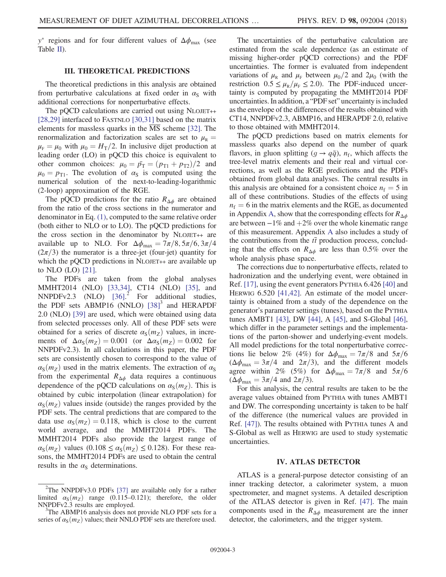<span id="page-2-0"></span> $y^*$  regions and for four different values of  $\Delta\phi_{\text{max}}$  (see Table [II](#page-1-1)).

## III. THEORETICAL PREDICTIONS

The theoretical predictions in this analysis are obtained from perturbative calculations at fixed order in  $\alpha_s$  with additional corrections for nonperturbative effects.

The pQCD calculations are carried out using NLOJET++ [\[28,29\]](#page-15-17) interfaced to FASTNLO [\[30,31\]](#page-15-18) based on the matrix elements for massless quarks in the MS scheme [\[32\]](#page-15-19). The renormalization and factorization scales are set to  $\mu_R =$  $\mu_{\rm F} = \mu_0$  with  $\mu_0 = H_{\rm T}/2$ . In inclusive dijet production at leading order (LO) in pQCD this choice is equivalent to other common choices:  $\mu_0 = \bar{p}_T = (p_{T1} + p_{T2})/2$  and  $\mu_0 = p_{T1}$ . The evolution of  $\alpha_s$  is computed using the numerical solution of the next-to-leading-logarithmic (2-loop) approximation of the RGE.

The pQCD predictions for the ratio  $R_{\Delta\phi}$  are obtained from the ratio of the cross sections in the numerator and denominator in Eq. [\(1\),](#page-1-2) computed to the same relative order (both either to NLO or to LO). The pQCD predictions for the cross section in the denominator by NLOJET++ are available up to NLO. For  $\Delta\phi_{\text{max}} = 7\pi/8, 5\pi/6, 3\pi/4$  $(2\pi/3)$  the numerator is a three-jet (four-jet) quantity for which the pOCD predictions in NLOJET<sub>++</sub> are available up to NLO (LO) [\[21\]](#page-15-11).

The PDFs are taken from the global analyses MMHT2014 (NLO) [\[33,34\]](#page-15-20), CT14 (NLO) [\[35\]](#page-15-21), and  $NNPDFv2.3$   $(NLO)$   $[36]$ <sup>2</sup> For additional studies, the PDF sets ABMP16 (NNLO)  $[38]$ <sup>3</sup> and HERAPDF 2.0 (NLO) [\[39\]](#page-16-1) are used, which were obtained using data from selected processes only. All of these PDF sets were obtained for a series of discrete  $\alpha_{\rm s}(m_Z)$  values, in increments of  $\Delta \alpha_{\rm s}(m_Z) = 0.001$  (or  $\Delta \alpha_{\rm s}(m_Z) = 0.002$  for NNPDFv2.3). In all calculations in this paper, the PDF sets are consistently chosen to correspond to the value of  $\alpha_{\rm s}(m_{\rm Z})$  used in the matrix elements. The extraction of  $\alpha_{\rm s}$ from the experimental  $R_{\Delta\phi}$  data requires a continuous dependence of the pQCD calculations on  $\alpha_{\rm s}(m_Z)$ . This is obtained by cubic interpolation (linear extrapolation) for  $\alpha_{\rm s}(m_{\rm z})$  values inside (outside) the ranges provided by the PDF sets. The central predictions that are compared to the data use  $\alpha_{\rm s}(m_Z) = 0.118$ , which is close to the current world average, and the MMHT2014 PDFs. The MMHT2014 PDFs also provide the largest range of  $\alpha_{\rm s}(m_Z)$  values  $(0.108 \le \alpha_{\rm s}(m_Z) \le 0.128)$ . For these reasons, the MMHT2014 PDFs are used to obtain the central results in the  $\alpha_s$  determinations.

The uncertainties of the perturbative calculation are estimated from the scale dependence (as an estimate of missing higher-order pQCD corrections) and the PDF uncertainties. The former is evaluated from independent variations of  $\mu_R$  and  $\mu_F$  between  $\mu_0/2$  and  $2\mu_0$  (with the restriction  $0.5 \leq \mu_{\rm R}/\mu_{\rm F} \leq 2.0$ . The PDF-induced uncertainty is computed by propagating the MMHT2014 PDF uncertainties. In addition, a "PDF set" uncertainty is included as the envelope of the differences of the results obtained with CT14, NNPDFv2.3, ABMP16, and HERAPDF 2.0, relative to those obtained with MMHT2014.

The pQCD predictions based on matrix elements for massless quarks also depend on the number of quark flavors, in gluon splitting  $(q \rightarrow q\bar{q})$ ,  $n_f$ , which affects the tree-level matrix elements and their real and virtual corrections, as well as the RGE predictions and the PDFs obtained from global data analyses. The central results in this analysis are obtained for a consistent choice  $n_f = 5$  in all of these contributions. Studies of the effects of using  $n_f = 6$  in the matrix elements and the RGE, as documented in [A](#page-10-0)ppendix A, show that the corresponding effects for  $R_{\Delta\phi}$ are between  $-1\%$  and  $+2\%$  over the whole kinematic range of this measurement. Appendix [A](#page-10-0) also includes a study of the contributions from the  $t\bar{t}$  production process, concluding that the effects on  $R_{\Delta\phi}$  are less than 0.5% over the whole analysis phase space.

The corrections due to nonperturbative effects, related to hadronization and the underlying event, were obtained in Ref. [\[17\]](#page-15-8), using the event generators PYTHIA 6.426 [\[40\]](#page-16-2) and HERWIG 6.520 [\[41,42\].](#page-16-3) An estimate of the model uncertainty is obtained from a study of the dependence on the generator's parameter settings (tunes), based on the PYTHIA tunes AMBT1 [\[43\]](#page-16-4), DW [\[44\]](#page-16-5), A [\[45\],](#page-16-6) and S-Global [\[46\]](#page-16-7), which differ in the parameter settings and the implementations of the parton-shower and underlying-event models. All model predictions for the total nonperturbative corrections lie below 2% (4%) for  $\Delta\phi_{\text{max}}=7\pi/8$  and  $5\pi/6$  $(\Delta \phi_{\text{max}} = 3\pi/4$  and  $2\pi/3$ , and the different models agree within 2% (5%) for  $\Delta\phi_{\text{max}}=7\pi/8$  and  $5\pi/6$  $(\Delta \phi_{\text{max}} = 3\pi/4 \text{ and } 2\pi/3).$ 

For this analysis, the central results are taken to be the average values obtained from PYTHIA with tunes AMBT1 and DW. The corresponding uncertainty is taken to be half of the difference (the numerical values are provided in Ref. [\[47\]](#page-16-8)). The results obtained with PYTHIA tunes A and S-Global as well as HERWIG are used to study systematic uncertainties.

#### IV. ATLAS DETECTOR

ATLAS is a general-purpose detector consisting of an inner tracking detector, a calorimeter system, a muon spectrometer, and magnet systems. A detailed description of the ATLAS detector is given in Ref. [\[47\]](#page-16-8). The main components used in the  $R_{\Delta\phi}$  measurement are the inner detector, the calorimeters, and the trigger system.

<sup>&</sup>lt;sup>2</sup>The NNPDFv3.0 PDFs [\[37\]](#page-15-23) are available only for a rather limited  $\alpha_{\rm s}(m_{\rm z})$  range (0.115–0.121); therefore, the older NNPDFv2.3 results are employed.

The ABMP16 analysis does not provide NLO PDF sets for a series of  $\alpha_{\rm s}(m_{\rm z})$  values; their NNLO PDF sets are therefore used.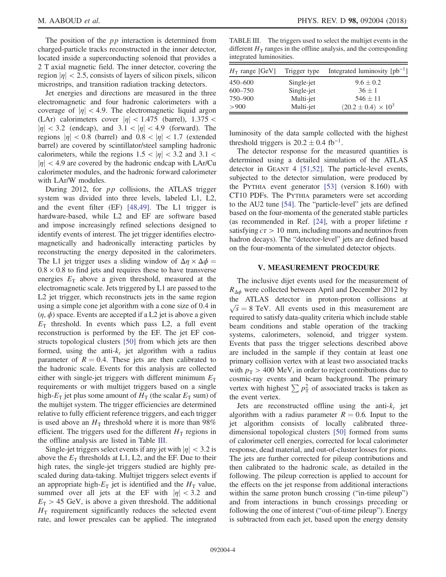The position of the  $pp$  interaction is determined from charged-particle tracks reconstructed in the inner detector, located inside a superconducting solenoid that provides a 2 T axial magnetic field. The inner detector, covering the region  $|\eta|$  < 2.5, consists of layers of silicon pixels, silicon microstrips, and transition radiation tracking detectors.

Jet energies and directions are measured in the three electromagnetic and four hadronic calorimeters with a coverage of  $|\eta| < 4.9$ . The electromagnetic liquid argon (LAr) calorimeters cover  $|\eta|$  < 1.475 (barrel), 1.375 <  $|\eta|$  < 3.2 (endcap), and 3.1 <  $|\eta|$  < 4.9 (forward). The regions  $|\eta| < 0.8$  (barrel) and  $0.8 < |\eta| < 1.7$  (extended barrel) are covered by scintillator/steel sampling hadronic calorimeters, while the regions  $1.5 < |\eta| < 3.2$  and  $3.1 <$  $|\eta|$  < 4.9 are covered by the hadronic endcap with LAr/Cu calorimeter modules, and the hadronic forward calorimeter with LAr/W modules.

During 2012, for  $pp$  collisions, the ATLAS trigger system was divided into three levels, labeled L1, L2, and the event filter (EF) [\[48,49\]](#page-16-9). The L1 trigger is hardware-based, while L2 and EF are software based and impose increasingly refined selections designed to identify events of interest. The jet trigger identifies electromagnetically and hadronically interacting particles by reconstructing the energy deposited in the calorimeters. The L1 jet trigger uses a sliding window of  $\Delta \eta \times \Delta \phi =$  $0.8 \times 0.8$  to find jets and requires these to have transverse energies  $E_T$  above a given threshold, measured at the electromagnetic scale. Jets triggered by L1 are passed to the L2 jet trigger, which reconstructs jets in the same region using a simple cone jet algorithm with a cone size of 0.4 in  $(\eta, \phi)$  space. Events are accepted if a L2 jet is above a given  $E<sub>T</sub>$  threshold. In events which pass L2, a full event reconstruction is performed by the EF. The jet EF constructs topological clusters [\[50\]](#page-16-10) from which jets are then formed, using the anti- $k_t$  jet algorithm with a radius parameter of  $R = 0.4$ . These jets are then calibrated to the hadronic scale. Events for this analysis are collected either with single-jet triggers with different minimum  $E<sub>T</sub>$ requirements or with multijet triggers based on a single high- $E_T$  jet plus some amount of  $H_T$  (the scalar  $E_T$  sum) of the multijet system. The trigger efficiencies are determined relative to fully efficient reference triggers, and each trigger is used above an  $H<sub>T</sub>$  threshold where it is more than 98% efficient. The triggers used for the different  $H<sub>T</sub>$  regions in the offline analysis are listed in Table [III](#page-3-0).

Single-jet triggers select events if any jet with  $|\eta| < 3.2$  is above the  $E_T$  thresholds at L1, L2, and the EF. Due to their high rates, the single-jet triggers studied are highly prescaled during data-taking. Multijet triggers select events if an appropriate high- $E_T$  jet is identified and the  $H_T$  value, summed over all jets at the EF with  $|\eta| < 3.2$  and  $E<sub>T</sub>$  > 45 GeV, is above a given threshold. The additional  $H<sub>T</sub>$  requirement significantly reduces the selected event rate, and lower prescales can be applied. The integrated

<span id="page-3-0"></span>TABLE III. The triggers used to select the multijet events in the different  $H<sub>T</sub>$  ranges in the offline analysis, and the corresponding integrated luminosities.

| $HT$ range [GeV] | Trigger type | Integrated luminosity $[pb^{-1}]$ |
|------------------|--------------|-----------------------------------|
| 450–600          | Single-jet   | $9.6 \pm 0.2$                     |
| 600-750          | Single-jet   | $36 \pm 1$                        |
| 750-900          | Multi-jet    | $546 \pm 11$                      |
| > 900            | Multi-jet    | $(20.2 \pm 0.4) \times 10^3$      |

luminosity of the data sample collected with the highest threshold triggers is  $20.2 \pm 0.4$  fb<sup>-1</sup>.

The detector response for the measured quantities is determined using a detailed simulation of the ATLAS detector in GEANT 4 [\[51,52\].](#page-16-11) The particle-level events, subjected to the detector simulation, were produced by the PYTHIA event generator [\[53\]](#page-16-12) (version 8.160) with CT10 PDFs. The PYTHIA parameters were set according to the AU2 tune [\[54\].](#page-16-13) The "particle-level" jets are defined based on the four-momenta of the generated stable particles (as recommended in Ref. [\[24\]](#page-15-14), with a proper lifetime  $\tau$ satisfying  $c\tau > 10$  mm, including muons and neutrinos from hadron decays). The "detector-level" jets are defined based on the four-momenta of the simulated detector objects.

#### V. MEASUREMENT PROCEDURE

The inclusive dijet events used for the measurement of  $R_{\Delta\phi}$  were collected between April and December 2012 by the ATLAS detector in proton-proton collisions at  $\sqrt{s}$  = 8 TeV. All events used in this measurement are required to satisfy data-quality criteria which include stable beam conditions and stable operation of the tracking systems, calorimeters, solenoid, and trigger system. Events that pass the trigger selections described above are included in the sample if they contain at least one primary collision vertex with at least two associated tracks with  $p_T > 400$  MeV, in order to reject contributions due to cosmic-ray events and beam background. The primary vertex with highest  $\sum p_{\rm T}^2$  of associated tracks is taken as the event vertex.

Jets are reconstructed offline using the anti- $k_t$  jet algorithm with a radius parameter  $R = 0.6$ . Input to the jet algorithm consists of locally calibrated threedimensional topological clusters [\[50\]](#page-16-10) formed from sums of calorimeter cell energies, corrected for local calorimeter response, dead material, and out-of-cluster losses for pions. The jets are further corrected for pileup contributions and then calibrated to the hadronic scale, as detailed in the following. The pileup correction is applied to account for the effects on the jet response from additional interactions within the same proton bunch crossing ("in-time pileup") and from interactions in bunch crossings preceding or following the one of interest ("out-of-time pileup"). Energy is subtracted from each jet, based upon the energy density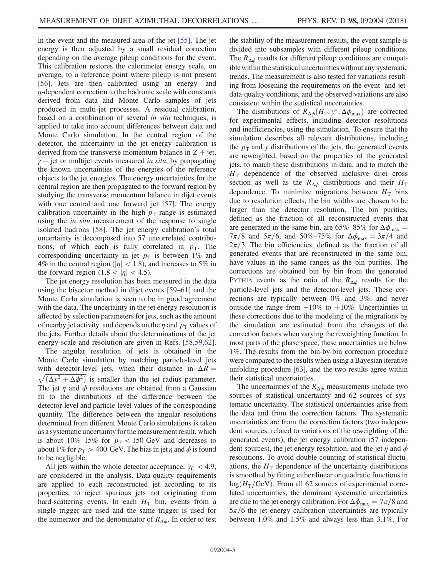in the event and the measured area of the jet [\[55\]](#page-16-14). The jet energy is then adjusted by a small residual correction depending on the average pileup conditions for the event. This calibration restores the calorimeter energy scale, on average, to a reference point where pileup is not present [\[56\]](#page-16-15). Jets are then calibrated using an energy- and  $\eta$ -dependent correction to the hadronic scale with constants derived from data and Monte Carlo samples of jets produced in multi-jet processes. A residual calibration, based on a combination of several in situ techniques, is applied to take into account differences between data and Monte Carlo simulation. In the central region of the detector, the uncertainty in the jet energy calibration is derived from the transverse momentum balance in  $Z + jet$ ,  $\gamma$  + jet or multijet events measured *in situ*, by propagating the known uncertainties of the energies of the reference objects to the jet energies. The energy uncertainties for the central region are then propagated to the forward region by studying the transverse momentum balance in dijet events with one central and one forward jet [\[57\].](#page-16-16) The energy calibration uncertainty in the high- $p<sub>T</sub>$  range is estimated using the *in situ* measurement of the response to single isolated hadrons [\[58\].](#page-16-17) The jet energy calibration's total uncertainty is decomposed into 57 uncorrelated contributions, of which each is fully correlated in  $p<sub>T</sub>$ . The corresponding uncertainty in jet  $p<sub>T</sub>$  is between 1% and 4% in the central region ( $|\eta|$  < 1.8), and increases to 5% in the forward region  $(1.8 < |\eta| < 4.5)$ .

The jet energy resolution has been measured in the data using the bisector method in dijet events [\[59](#page-16-18)–61] and the Monte Carlo simulation is seen to be in good agreement with the data. The uncertainty in the jet energy resolution is affected by selection parameters for jets, such as the amount of nearby jet activity, and depends on the  $\eta$  and  $p_T$  values of the jets. Further details about the determinations of the jet energy scale and resolution are given in Refs. [\[58,59,62\]](#page-16-17).

The angular resolution of jets is obtained in the Monte Carlo simulation by matching particle-level jets with detector-level jets, when their distance in  $\Delta R = \sqrt{(\Delta y^2 + \Delta \phi^2)}$  is smaller than the jet radius parameter. The jet  $\eta$  and  $\phi$  resolutions are obtained from a Gaussian fit to the distributions of the difference between the detector-level and particle-level values of the corresponding quantity. The difference between the angular resolutions determined from different Monte Carlo simulations is taken as a systematic uncertainty for the measurement result, which is about 10%–15% for  $p_T < 150$  GeV and decreases to about 1% for  $p_T > 400$  GeV. The bias in jet  $\eta$  and  $\phi$  is found to be negligible.

All jets within the whole detector acceptance,  $|\eta| < 4.9$ , are considered in the analysis. Data-quality requirements are applied to each reconstructed jet according to its properties, to reject spurious jets not originating from hard-scattering events. In each  $H<sub>T</sub>$  bin, events from a single trigger are used and the same trigger is used for the numerator and the denominator of  $R_{\Delta\phi}$ . In order to test the stability of the measurement results, the event sample is divided into subsamples with different pileup conditions. The  $R_{\Delta\phi}$  results for different pileup conditions are compatible within the statistical uncertainties without any systematic trends. The measurement is also tested for variations resulting from loosening the requirements on the event- and jetdata-quality conditions, and the observed variations are also consistent within the statistical uncertainties.

The distributions of  $R_{\Delta\phi}(H_{\rm T}, y^*, \Delta\phi_{\rm max})$  are corrected for experimental effects, including detector resolutions and inefficiencies, using the simulation. To ensure that the simulation describes all relevant distributions, including the  $p_T$  and y distributions of the jets, the generated events are reweighted, based on the properties of the generated jets, to match these distributions in data, and to match the  $H<sub>T</sub>$  dependence of the observed inclusive dijet cross section as well as the  $R_{\Delta\phi}$  distributions and their  $H_T$ dependence. To minimize migrations between  $H<sub>T</sub>$  bins due to resolution effects, the bin widths are chosen to be larger than the detector resolution. The bin purities, defined as the fraction of all reconstructed events that are generated in the same bin, are 65%–85% for  $\Delta\phi_{\text{max}} =$  $7\pi/8$  and  $5\pi/6$ , and  $50\%$ –75% for  $\Delta\phi_{\text{max}} = 3\pi/4$  and  $2\pi/3$ . The bin efficiencies, defined as the fraction of all generated events that are reconstructed in the same bin, have values in the same ranges as the bin purities. The corrections are obtained bin by bin from the generated PYTHIA events as the ratio of the  $R_{\Delta\phi}$  results for the particle-level jets and the detector-level jets. These corrections are typically between 0% and 3%, and never outside the range from  $-10\%$  to  $+10\%$ . Uncertainties in these corrections due to the modeling of the migrations by the simulation are estimated from the changes of the correction factors when varying the reweighting function. In most parts of the phase space, these uncertainties are below 1%. The results from the bin-by-bin correction procedure were compared to the results when using a Bayesian iterative unfolding procedure [\[63\],](#page-16-19) and the two results agree within their statistical uncertainties.

The uncertainties of the  $R_{\Delta\phi}$  measurements include two sources of statistical uncertainty and 62 sources of systematic uncertainty. The statistical uncertainties arise from the data and from the correction factors. The systematic uncertainties are from the correction factors (two independent sources, related to variations of the reweighting of the generated events), the jet energy calibration (57 independent sources), the jet energy resolution, and the jet  $\eta$  and  $\phi$ resolutions. To avoid double counting of statistical fluctuations, the  $H<sub>T</sub>$  dependence of the uncertainty distributions is smoothed by fitting either linear or quadratic functions in  $log(H<sub>T</sub>/GeV)$ . From all 62 sources of experimental correlated uncertainties, the dominant systematic uncertainties are due to the jet energy calibration. For  $\Delta\phi_{\text{max}} = 7\pi/8$  and  $5\pi/6$  the jet energy calibration uncertainties are typically between 1.0% and 1.5% and always less than 3.1%. For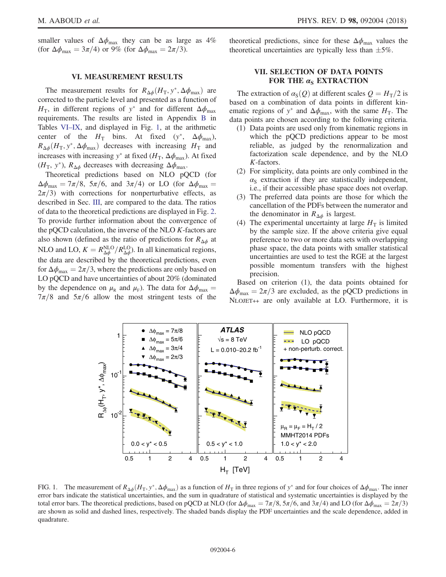smaller values of  $\Delta\phi_{\text{max}}$  they can be as large as 4% (for  $\Delta\phi_{\text{max}}=3\pi/4$ ) or 9% (for  $\Delta\phi_{\text{max}}=2\pi/3$ ).

## VI. MEASUREMENT RESULTS

The measurement results for  $R_{\Delta\phi}(H_{\rm T}, y^*, \Delta\phi_{\rm max})$  are corrected to the particle level and presented as a function of  $H<sub>T</sub>$ , in different regions of y<sup>\*</sup> and for different  $\Delta\phi_{\text{max}}$ requirements. The results are listed in Appendix [B](#page-10-1) in Tables [VI](#page-11-0)–IX, and displayed in Fig. [1](#page-5-0), at the arithmetic center of the  $H_T$  bins. At fixed (y<sup>\*</sup>,  $\Delta \phi_{\text{max}}$ ),  $R_{\Delta\phi}(H_{\rm T}, y^*, \Delta\phi_{\rm max})$  decreases with increasing  $H_{\rm T}$  and increases with increasing  $y^*$  at fixed ( $H_T$ ,  $\Delta\phi_{\text{max}}$ ). At fixed  $(H<sub>T</sub>, y<sup>*</sup>)$ ,  $R<sub>Δϕ</sub>$  decreases with decreasing  $\Delta \phi_{\text{max}}$ .

Theoretical predictions based on NLO pQCD (for  $\Delta\phi_{\text{max}}=7\pi/8$ ,  $5\pi/6$ , and  $3\pi/4$ ) or LO (for  $\Delta\phi_{\text{max}}=$  $2\pi/3$ ) with corrections for nonperturbative effects, as described in Sec. [III,](#page-2-0) are compared to the data. The ratios of data to the theoretical predictions are displayed in Fig. [2](#page-6-0). To provide further information about the convergence of the pQCD calculation, the inverse of the NLO  $K$ -factors are also shown (defined as the ratio of predictions for  $R_{\Delta\phi}$  at NLO and LO,  $K = R_{\Delta\phi}^{\text{NLO}}/R_{\Delta\phi}^{\text{LO}}$ . In all kinematical regions, the data are described by the theoretical predictions, even for  $\Delta\phi_{\text{max}}=2\pi/3$ , where the predictions are only based on LO pQCD and have uncertainties of about 20% (dominated by the dependence on  $\mu_R$  and  $\mu_F$ ). The data for  $\Delta\phi_{\text{max}} =$  $7\pi/8$  and  $5\pi/6$  allow the most stringent tests of the <span id="page-5-1"></span>theoretical predictions, since for these  $\Delta\phi_{\text{max}}$  values the theoretical uncertainties are typically less than  $\pm 5\%$ .

## VII. SELECTION OF DATA POINTS FOR THE  $\alpha_{\rm s}$  EXTRACTION

The extraction of  $\alpha_{\rm s}(Q)$  at different scales  $Q = H_{\rm T}/2$  is based on a combination of data points in different kinematic regions of  $y^*$  and  $\Delta\phi_{\text{max}}$ , with the same  $H_T$ . The data points are chosen according to the following criteria.

- (1) Data points are used only from kinematic regions in which the pQCD predictions appear to be most reliable, as judged by the renormalization and factorization scale dependence, and by the NLO K-factors.
- (2) For simplicity, data points are only combined in the  $\alpha_{\rm S}$  extraction if they are statistically independent, i.e., if their accessible phase space does not overlap.
- (3) The preferred data points are those for which the cancellation of the PDFs between the numerator and the denominator in  $R_{\Delta\phi}$  is largest.
- (4) The experimental uncertainty at large  $H_T$  is limited by the sample size. If the above criteria give equal preference to two or more data sets with overlapping phase space, the data points with smaller statistical uncertainties are used to test the RGE at the largest possible momentum transfers with the highest precision.

Based on criterion (1), the data points obtained for  $\Delta\phi_{\text{max}}=2\pi/3$  are excluded, as the pQCD predictions in NLOJET++ are only available at LO. Furthermore, it is

<span id="page-5-0"></span>

FIG. 1. The measurement of  $R_{\Delta\phi}(H_T, y^*, \Delta\phi_{\text{max}})$  as a function of  $H_T$  in three regions of  $y^*$  and for four choices of  $\Delta\phi_{\text{max}}$ . The inner error bars indicate the statistical uncertainties, and the sum in quadrature of statistical and systematic uncertainties is displayed by the total error bars. The theoretical predictions, based on pQCD at NLO (for  $\Delta\phi_{\text{max}}=7\pi/8$ ,  $5\pi/6$ , and  $3\pi/4$ ) and LO (for  $\Delta\phi_{\text{max}}=2\pi/3$ ) are shown as solid and dashed lines, respectively. The shaded bands display the PDF uncertainties and the scale dependence, added in quadrature.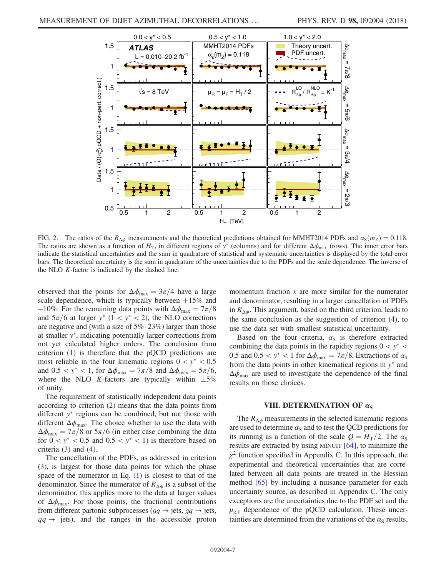<span id="page-6-0"></span>

FIG. 2. The ratios of the R<sub>Δ $\phi$ </sub> measurements and the theoretical predictions obtained for MMHT2014 PDFs and  $\alpha_{\rm s}(m_Z)=0.118$ . The ratios are shown as a function of  $H_T$ , in different regions of y<sup>\*</sup> (columns) and for different  $\Delta\phi_{\text{max}}$  (rows). The inner error bars indicate the statistical uncertainties and the sum in quadrature of statistical and systematic uncertainties is displayed by the total error bars. The theoretical uncertainty is the sum in quadrature of the uncertainties due to the PDFs and the scale dependence. The inverse of the NLO K-factor is indicated by the dashed line.

observed that the points for  $\Delta\phi_{\text{max}}=3\pi/4$  have a large scale dependence, which is typically between  $+15%$  and −10%. For the remaining data points with  $\Delta\phi_{\text{max}}=7\pi/8$ and  $5\pi/6$  at larger y<sup>\*</sup> (1 < y<sup>\*</sup> < 2), the NLO corrections are negative and (with a size of 5%–23%) larger than those at smaller  $y^*$ , indicating potentially larger corrections from not yet calculated higher orders. The conclusion from criterion (1) is therefore that the pQCD predictions are most reliable in the four kinematic regions  $0 < y^* < 0.5$ and  $0.5 < y^* < 1$ , for  $\Delta \phi_{\text{max}} = 7\pi/8$  and  $\Delta \phi_{\text{max}} = 5\pi/6$ , where the NLO K-factors are typically within  $\pm 5\%$ of unity.

The requirement of statistically independent data points according to criterion (2) means that the data points from different  $y^*$  regions can be combined, but not those with different  $\Delta\phi_{\text{max}}$ . The choice whether to use the data with  $\Delta\phi_{\text{max}}=7\pi/8$  or  $5\pi/6$  (in either case combining the data for  $0 < y^* < 0.5$  and  $0.5 < y^* < 1$ ) is therefore based on criteria (3) and (4).

The cancellation of the PDFs, as addressed in criterion (3), is largest for those data points for which the phase space of the numerator in Eq. [\(1\)](#page-1-2) is closest to that of the denominator. Since the numerator of  $R_{\Delta\phi}$  is a subset of the denominator, this applies more to the data at larger values of  $\Delta\phi_{\text{max}}$ . For those points, the fractional contributions from different partonic subprocesses ( $gg \rightarrow$  jets,  $gg \rightarrow$  jets,  $qq \rightarrow$  jets), and the ranges in the accessible proton momentum fraction  $x$  are more similar for the numerator and denominator, resulting in a larger cancellation of PDFs in  $R_{\Delta\phi}$ . This argument, based on the third criterion, leads to the same conclusion as the suggestion of criterion (4), to use the data set with smallest statistical uncertainty.

Based on the four criteria,  $\alpha_{\rm S}$  is therefore extracted combining the data points in the rapidity regions  $0 < y^*$  < 0.5 and 0.5 <  $y^*$  < 1 for  $\Delta\phi_{\text{max}} = 7\pi/8$ . Extractions of  $\alpha_{\text{S}}$ from the data points in other kinematical regions in  $y^*$  and  $\Delta\phi_{\text{max}}$  are used to investigate the dependence of the final results on those choices.

## VIII. DETERMINATION OF  $\alpha_{\rm S}$

The  $R_{\Delta\phi}$  measurements in the selected kinematic regions are used to determine  $\alpha_{\rm S}$  and to test the QCD predictions for its running as a function of the scale  $Q = H_T/2$ . The  $\alpha_S$ results are extracted by using MINUIT [\[64\]](#page-16-20), to minimize the  $\chi^2$  function specified in Appendix [C.](#page-13-0) In this approach, the experimental and theoretical uncertainties that are correlated between all data points are treated in the Hessian method [\[65\]](#page-16-21) by including a nuisance parameter for each uncertainty source, as described in Appendix [C](#page-13-0). The only exceptions are the uncertainties due to the PDF set and the  $\mu_{R,F}$  dependence of the pQCD calculation. These uncertainties are determined from the variations of the  $\alpha_s$  results,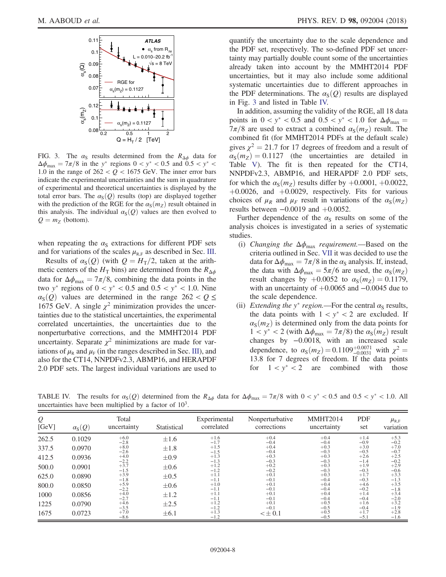<span id="page-7-0"></span>

FIG. 3. The  $\alpha_S$  results determined from the  $R_{\Delta\phi}$  data for  $\Delta\phi_{\text{max}} = 7\pi/8$  in the y<sup>\*</sup> regions  $0 < y^* < 0.5$  and  $0.5 < y^* <$ 1.0 in the range of  $262 < Q < 1675$  GeV. The inner error bars indicate the experimental uncertainties and the sum in quadrature of experimental and theoretical uncertainties is displayed by the total error bars. The  $\alpha_{s}(Q)$  results (top) are displayed together with the prediction of the RGE for the  $\alpha_{\rm s}(m_Z)$  result obtained in this analysis. The individual  $\alpha_{\rm s}(Q)$  values are then evolved to  $Q = m_Z$  (bottom).

when repeating the  $\alpha_{\rm S}$  extractions for different PDF sets and for variations of the scales  $\mu_{R,F}$  as described in Sec. [III](#page-2-0).

Results of  $\alpha_{\rm s}(Q)$  (with  $Q = H_{\rm T}/2$ , taken at the arithmetic centers of the  $H<sub>T</sub>$  bins) are determined from the  $R<sub>Δϕ</sub>$ data for  $\Delta\phi_{\text{max}}=7\pi/8$ , combining the data points in the two y<sup>\*</sup> regions of  $0 < y^* < 0.5$  and  $0.5 < y^* < 1.0$ . Nine  $\alpha_{\rm s}(Q)$  values are determined in the range  $262 < Q \le$ 1675 GeV. A single  $\chi^2$  minimization provides the uncertainties due to the statistical uncertainties, the experimental correlated uncertainties, the uncertainties due to the nonperturbative corrections, and the MMHT2014 PDF uncertainty. Separate  $\chi^2$  minimizations are made for variations of  $\mu_{\rm R}$  and  $\mu_{\rm F}$  (in the ranges described in Sec. [III\)](#page-2-0), and also for the CT14, NNPDFv2.3, ABMP16, and HERAPDF 2.0 PDF sets. The largest individual variations are used to quantify the uncertainty due to the scale dependence and the PDF set, respectively. The so-defined PDF set uncertainty may partially double count some of the uncertainties already taken into account by the MMHT2014 PDF uncertainties, but it may also include some additional systematic uncertainties due to different approaches in the PDF determinations. The  $\alpha_{s}(Q)$  results are displayed in Fig. [3](#page-7-0) and listed in Table [IV.](#page-7-1)

In addition, assuming the validity of the RGE, all 18 data points in  $0 < y^* < 0.5$  and  $0.5 < y^* < 1.0$  for  $Δφ_{max}$  $7\pi/8$  are used to extract a combined  $\alpha_{\rm s}(m_Z)$  result. The combined fit (for MMHT2014 PDFs at the default scale) gives  $\chi^2 = 21.7$  for 17 degrees of freedom and a result of  $\alpha_{\rm s}(m_Z) = 0.1127$  (the uncertainties are detailed in Table [V](#page-8-0)). The fit is then repeated for the CT14, NNPDFv2.3, ABMP16, and HERAPDF 2.0 PDF sets, for which the  $\alpha_{\rm s}(m_Z)$  results differ by +0.0001, +0.0022,  $+0.0026$ , and  $+0.0029$ , respectively. Fits for various choices of  $\mu_R$  and  $\mu_F$  result in variations of the  $\alpha_S(m_Z)$ results between  $-0.0019$  and  $+0.0052$ .

Further dependence of the  $\alpha_{\rm S}$  results on some of the analysis choices is investigated in a series of systematic studies.

- (i) Changing the  $\Delta\phi_{\text{max}}$  requirement.—Based on the criteria outlined in Sec. [VII](#page-5-1) it was decided to use the data for  $\Delta\phi_{\text{max}} = 7\pi/8$  in the  $\alpha_{\text{S}}$  analysis. If, instead, the data with  $\Delta\phi_{\text{max}}=5\pi/6$  are used, the  $\alpha_{\text{S}}(m_Z)$ result changes by  $+0.0052$  to  $\alpha_{\rm s}(m_Z) = 0.1179$ , with an uncertainty of  $+0.0065$  and  $-0.0045$  due to the scale dependence.
- (ii) *Extending the*  $y^*$  *region*.—For the central  $\alpha_s$  results, the data points with  $1 < y^* < 2$  are excluded. If  $\alpha_{\rm s}(m_{\rm z})$  is determined only from the data points for  $1 < y^* < 2$  (with  $\Delta \phi_{\text{max}} = 7\pi/8$ ) the  $\alpha_{\text{S}}(m_Z)$  result changes by −0.0018, with an increased scale dependence, to  $\alpha_{\rm s}(m_Z) = 0.1109^{+0.0071}_{-0.0031}$  with  $\chi^2 =$ 13.8 for 7 degrees of freedom. If the data points for  $1 < y^* < 2$  are combined with those

| $\mathcal{Q}$<br>[GeV] | $\alpha_{\rm S}(Q)$ | Total<br>uncertainty | Statistical | Experimental<br>correlated | Nonperturbative<br>corrections | MMHT2014<br>uncertainty | <b>PDF</b><br>set | $\mu_{\textrm{\tiny R.F}}$<br>variation |
|------------------------|---------------------|----------------------|-------------|----------------------------|--------------------------------|-------------------------|-------------------|-----------------------------------------|
| 262.5                  | 0.1029              | $+6.0$<br>$-2.8$     | $\pm 1.6$   | $+1.6$<br>$-1.7$           | $+0.4$<br>$-0.4$               | $+0.4$<br>$-0.4$        | $+1.4$<br>$-0.9$  | $+5.3$<br>$-0.2$                        |
| 337.5                  | 0.0970              | $+8.0$<br>$-2.6$     | $\pm 1.8$   | $+1.5$<br>$-1.5$           | $+0.4$<br>$-0.4$               | $+0.3$<br>$-0.3$        | $+3.0$<br>$-0.5$  | $+7.0$<br>$-0.7$                        |
| 412.5                  | 0.0936              | $+4.0$<br>$-2.2$     | $\pm 0.9$   | $+1.3$<br>$-1.3$           | $+0.3$<br>$-0.3$               | $+0.3$<br>$-0.3$        | $+2.6$<br>$-1.4$  | $+2.5$<br>$-0.2$                        |
| 500.0                  | 0.0901              | $+3.7$<br>$-1.5$     | $\pm 0.6$   | $+1.2$<br>$-1.2$           | $+0.2$<br>$-0.2$               | $+0.3$<br>$-0.3$        | $+1.9$<br>$-0.3$  | $+2.9$<br>$-0.6$                        |
| 625.0                  | 0.0890              | $+3.9$<br>$-1.8$     | $\pm 0.5$   | $+1.1$<br>$-1.1$           | $+0.1$<br>$-0.1$               | $+0.3$<br>$-0.4$        | $+1.7$<br>$-0.3$  | $+3.3$<br>$-1.3$                        |
| 800.0                  | 0.0850              | $+5.9$<br>$-2.2$     | $\pm 0.6$   | $+1.0$<br>$-1.1$           | $+0.1$<br>$-0.1$               | $+0.4$<br>$-0.4$        | $+4.6$<br>$-0.2$  | $+3.5$<br>$-1.8$                        |
| 1000                   | 0.0856              | $+4.0$<br>$-2.7$     | $\pm 1.2$   | $+1.1$<br>$-1.1$           | $+0.1$<br>$-0.1$               | $+0.4$<br>$-0.4$        | $+1.4$<br>$-0.4$  | $+3.4$                                  |
| 1225                   | 0.0790              | $+4.6$<br>$-3.5$     | $\pm 2.5$   | $+1.2$<br>$-1.2$           | $+0.1$<br>$-0.1$               | $+0.5$<br>$-0.5$        | $+1.6$<br>$-0.4$  | $-2.0$<br>$+3.2$<br>$-1.9$              |
| 1675                   | 0.0723              | $+7.0$<br>$-8.6$     | $\pm 6.1$   | $+1.3$<br>$-1.2$           | $\leq \pm 0.1$                 | $+0.5$<br>$-0.5$        | $+1.7$<br>$-5.1$  | $+2.8$<br>$-1.6$                        |

<span id="page-7-1"></span>TABLE IV. The results for  $\alpha_{\rm S}(Q)$  determined from the  $R_{\Delta\phi}$  data for  $\Delta\phi_{\rm max} = 7\pi/8$  with  $0 < y^* < 0.5$  and  $0.5 < y^* < 1.0$ . All uncertainties have been multiplied by a factor of  $10<sup>3</sup>$ .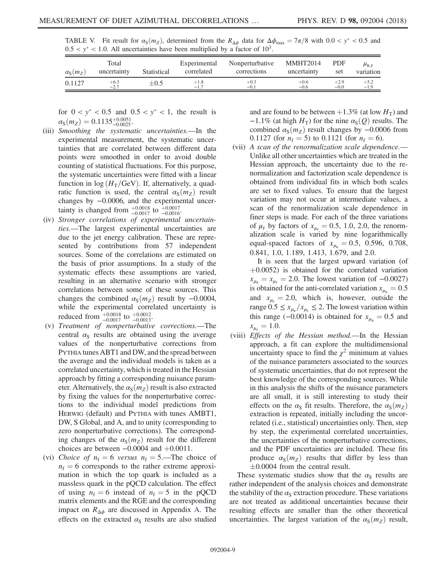| $\alpha_{\rm S}(m_Z)$ | Total<br>uncertainty | Statistical | Experimental<br>correlated | Nonperturbative<br>corrections | MMHT2014<br>uncertainty | <b>PDF</b><br>set | $\mu_{\textrm{\tiny R.F}}$<br>variation |
|-----------------------|----------------------|-------------|----------------------------|--------------------------------|-------------------------|-------------------|-----------------------------------------|
| 0.1127                | $+6.3$<br>$-2.7$     | $\pm 0.5$   | $+1.8$<br>$-1.7$           | $+0.3$<br>$-0.1$               | $+0.6$<br>$-0.6$        | $+2.9$<br>$-0.0$  | $+5.2$<br>$-1.9$                        |

<span id="page-8-0"></span>TABLE V. Fit result for  $\alpha_{\rm S}(m_Z)$ , determined from the  $R_{\Delta\phi}$  data for  $\Delta\phi_{\rm max} = 7\pi/8$  with  $0.0 < y^* < 0.5$  and  $0.5 < y^* < 1.0$ . All uncertainties have been multiplied by a factor of  $10^3$ .

for  $0 < y^* < 0.5$  and  $0.5 < y^* < 1$ , the result is  $\alpha_{\rm S}(m_Z) = 0.1135_{-0.0025}^{+0.0051}$ .

- (iii) Smoothing the systematic uncertainties.—In the experimental measurement, the systematic uncertainties that are correlated between different data points were smoothed in order to avoid double counting of statistical fluctuations. For this purpose, the systematic uncertainties were fitted with a linear function in  $\log(H_T/\text{GeV})$ . If, alternatively, a quadratic function is used, the central  $\alpha_{\rm s}(m_{\rm z})$  result changes by −0.0006, and the experimental uncertainty is changed from  $_{-0.0017}^{+0.0018}$  to  $_{-0.0016}^{+0.0017}$ .
- (iv) Stronger correlations of experimental uncertainties.—The largest experimental uncertainties are due to the jet energy calibration. These are represented by contributions from 57 independent sources. Some of the correlations are estimated on the basis of prior assumptions. In a study of the systematic effects these assumptions are varied, resulting in an alternative scenario with stronger correlations between some of these sources. This changes the combined  $\alpha_{\rm s}(m_Z)$  result by −0.0004, while the experimental correlated uncertainty is reduced from  $_{-0.0017}^{+0.0018}$  to  $_{-0.0013}^{+0.0012}$ .
- (v) Treatment of nonperturbative corrections.—The central  $\alpha_s$  results are obtained using the average values of the nonperturbative corrections from PYTHIA tunes ABT1 and DW, and the spread between the average and the individual models is taken as a correlated uncertainty, which is treated in the Hessian approach by fitting a corresponding nuisance parameter. Alternatively, the  $\alpha_{\rm S}(m_Z)$  result is also extracted by fixing the values for the nonperturbative corrections to the individual model predictions from HERWIG (default) and PYTHIA with tunes AMBT1, DW, S Global, and A, and to unity (corresponding to zero nonperturbative corrections). The corresponding changes of the  $\alpha_{\rm s}(m_Z)$  result for the different choices are between  $-0.0004$  and  $+0.0011$ .
- (vi) Choice of  $n_f = 6$  versus  $n_f = 5$ . The choice of  $n_f = 6$  corresponds to the rather extreme approximation in which the top quark is included as a massless quark in the pQCD calculation. The effect of using  $n_f = 6$  instead of  $n_f = 5$  in the pQCD matrix elements and the RGE and the corresponding impact on  $R_{\Delta\phi}$  are discussed in [A](#page-10-0)ppendix A. The effects on the extracted  $\alpha_{\rm S}$  results are also studied

and are found to be between  $+1.3\%$  (at low  $H_T$ ) and −1.1% (at high  $H_T$ ) for the nine  $\alpha_S(Q)$  results. The combined  $\alpha_{\rm s}(m_Z)$  result changes by  $-0.0006$  from 0.1127 (for  $n_f = 5$ ) to 0.1121 (for  $n_f = 6$ ).

(vii) A scan of the renormalization scale dependence.— Unlike all other uncertainties which are treated in the Hessian approach, the uncertainty due to the renormalization and factorization scale dependence is obtained from individual fits in which both scales are set to fixed values. To ensure that the largest variation may not occur at intermediate values, a scan of the renormalization scale dependence in finer steps is made. For each of the three variations of  $\mu_F$  by factors of  $x_{\mu_F} = 0.5, 1.0, 2.0$ , the renormalization scale is varied by nine logarithmically equal-spaced factors of  $x_{\mu_R} = 0.5, 0.596, 0.708,$ 0.841, 1.0, 1.189, 1.413, 1.679, and 2.0.

It is seen that the largest upward variation (of  $+0.0052$ ) is obtained for the correlated variation  $x_{\mu_{\rm R}} = x_{\mu_{\rm F}} = 2.0$ . The lowest variation (of -0.0027) is obtained for the anti-correlated variation  $x_{\mu_0} = 0.5$ and  $x_{\mu_F} = 2.0$ , which is, however, outside the range  $0.5 \leq x_{\mu_R}/x_{\mu_F} \leq 2$ . The lowest variation within this range (–0.0014) is obtained for  $x_{\mu_{\rm p}} = 0.5$  and  $x_{\mu_{\rm F}} = 1.0.$ 

(viii) Effects of the Hessian method.—In the Hessian approach, a fit can explore the multidimensional uncertainty space to find the  $\chi^2$  minimum at values of the nuisance parameters associated to the sources of systematic uncertainties, that do not represent the best knowledge of the corresponding sources. While in this analysis the shifts of the nuisance parameters are all small, it is still interesting to study their effects on the  $\alpha_s$  fit results. Therefore, the  $\alpha_s(m_z)$ extraction is repeated, initially including the uncorrelated (i.e., statistical) uncertainties only. Then, step by step, the experimental correlated uncertainties, the uncertainties of the nonperturbative corrections, and the PDF uncertainties are included. These fits produce  $\alpha_{\rm s}(m_Z)$  results that differ by less than  $\pm 0.0004$  from the central result.

These systematic studies show that the  $\alpha_{\rm S}$  results are rather independent of the analysis choices and demonstrate the stability of the  $\alpha_{\rm S}$  extraction procedure. These variations are not treated as additional uncertainties because their resulting effects are smaller than the other theoretical uncertainties. The largest variation of the  $\alpha_{\rm s}(m_Z)$  result,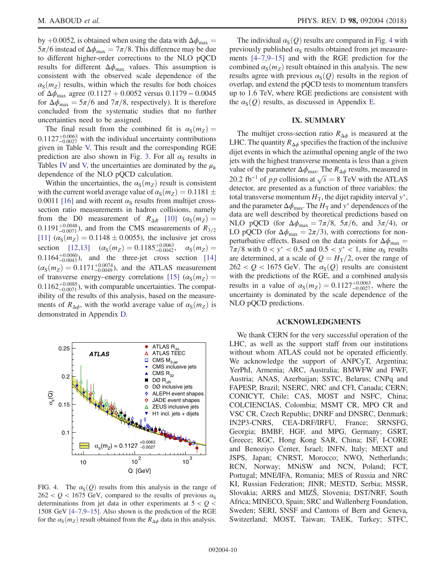by +0.0052, is obtained when using the data with  $\Delta\phi_{\text{max}} =$  $5\pi/6$  instead of  $\Delta\phi_{\text{max}} = 7\pi/8$ . This difference may be due to different higher-order corrections to the NLO pQCD results for different  $\Delta\phi_{\text{max}}$  values. This assumption is consistent with the observed scale dependence of the  $\alpha_{\rm s}(m_{\rm z})$  results, within which the results for both choices of  $\Delta\phi_{\text{max}}$  agree (0.1127 + 0.0052 versus 0.1179 – 0.0045 for  $\Delta\phi_{\text{max}}=5\pi/6$  and  $7\pi/8$ , respectively). It is therefore concluded from the systematic studies that no further uncertainties need to be assigned.

The final result from the combined fit is  $\alpha_{\rm s}(m_Z) =$  $0.1127^{+0.0063}_{-0.0027}$  with the individual uncertainty contributions given in Table [V.](#page-8-0) This result and the corresponding RGE prediction are also shown in Fig. [3](#page-7-0). For all  $\alpha_s$  results in Tables [IV](#page-7-1) and [V,](#page-8-0) the uncertainties are dominated by the  $\mu_{\rm R}$ dependence of the NLO pQCD calculation.

Within the uncertainties, the  $\alpha_{\rm s}(m_Z)$  result is consistent with the current world average value of  $\alpha_{\rm s}(m_Z) = 0.1181 \pm 0.003$ 0.0011 [\[16\]](#page-15-5) and with recent  $\alpha_s$  results from multijet crosssection ratio measurements in hadron collisions, namely from the D0 measurement of  $R_{\Delta R}$  [\[10\]](#page-15-7)  $(\alpha_S(m_Z))$  = 0.1191<sup>+0.0048</sup>, and from the CMS measurements of  $R_{3/2}$ [\[11\]](#page-15-4)  $(\alpha_S(m_Z) = 0.1148 \pm 0.0055)$ , the inclusive jet cross section [\[12,13\]](#page-15-24)  $(\alpha_S(m_Z) = 0.1185^{+0.0063}_{-0.0042}, \alpha_S(m_Z) =$  $0.1164^{+0.0060}_{-0.0043}$ , and the three-jet cross section [\[14\]](#page-15-25)  $(\alpha_S(m_Z) = 0.1171^{+0.0074}_{-0.0049})$ , and the ATLAS measurement of transverse energy–energy correlations [\[15\]](#page-15-26)  $(\alpha_S(m_Z))$  =  $0.1162^{+0.0085}_{-0.0071}$ , with comparable uncertainties. The compatibility of the results of this analysis, based on the measurements of  $R_{\Delta\phi}$ , with the world average value of  $\alpha_{\rm s}(m_Z)$  is demonstrated in Appendix [D.](#page-13-1)

<span id="page-9-0"></span>

FIG. 4. The  $\alpha_{s}(Q)$  results from this analysis in the range of  $262 < Q < 1675$  GeV, compared to the results of previous  $\alpha_s$ determinations from jet data in other experiments at  $5 < Q <$ 1508 GeV [4–7,9–[15\].](#page-15-27) Also shown is the prediction of the RGE for the  $\alpha_{\rm s}(m_Z)$  result obtained from the  $R_{\Delta\phi}$  data in this analysis.

The individual  $\alpha_{\rm s}(Q)$  results are compared in Fig. [4](#page-9-0) with previously published  $\alpha_{\rm S}$  results obtained from jet measurements [4–7,9–[15\]](#page-15-27) and with the RGE prediction for the combined  $\alpha_{\rm s}(m_Z)$  result obtained in this analysis. The new results agree with previous  $\alpha_{\rm s}(Q)$  results in the region of overlap, and extend the pQCD tests to momentum transfers up to 1.6 TeV, where RGE predictions are consistent with the  $\alpha_{\rm s}(Q)$  results, as discussed in Appendix [E](#page-14-0).

#### IX. SUMMARY

The multijet cross-section ratio  $R_{\Delta\phi}$  is measured at the LHC. The quantity  $R_{\Delta\phi}$  specifies the fraction of the inclusive dijet events in which the azimuthal opening angle of the two jets with the highest transverse momenta is less than a given value of the parameter  $\Delta\phi_{\text{max}}$ . The  $R_{\Delta\phi}$  results, measured in 20.2 fb<sup>-1</sup> of *pp* collisions at  $\sqrt{s} = 8$  TeV with the ATLAS detector, are presented as a function of three variables: the total transverse momentum  $H<sub>T</sub>$ , the dijet rapidity interval  $y^*$ , and the parameter  $\Delta\phi_{\text{max}}$ . The  $H_T$  and  $y^*$  dependences of the data are well described by theoretical predictions based on NLO pQCD (for  $\Delta \phi_{\text{max}} = 7\pi/8$ ,  $5\pi/6$ , and  $3\pi/4$ ), or LO pQCD (for  $\Delta\phi_{\text{max}}=2\pi/3$ ), with corrections for nonperturbative effects. Based on the data points for  $\Delta\phi_{\text{max}} =$  $7\pi/8$  with  $0 < y^* < 0.5$  and  $0.5 < y^* < 1$ , nine  $\alpha_s$  results are determined, at a scale of  $Q = H<sub>T</sub>/2$ , over the range of  $262 < Q < 1675$  GeV. The  $\alpha_{s}(Q)$  results are consistent with the predictions of the RGE, and a combined analysis results in a value of  $\alpha_{\rm s}(m_Z) = 0.1127^{+0.0063}_{-0.0027}$ , where the uncertainty is dominated by the scale dependence of the NLO pQCD predictions.

#### ACKNOWLEDGMENTS

We thank CERN for the very successful operation of the LHC, as well as the support staff from our institutions without whom ATLAS could not be operated efficiently. We acknowledge the support of ANPCyT, Argentina; YerPhI, Armenia; ARC, Australia; BMWFW and FWF, Austria; ANAS, Azerbaijan; SSTC, Belarus; CNPq and FAPESP, Brazil; NSERC, NRC and CFI, Canada; CERN; CONICYT, Chile; CAS, MOST and NSFC, China; COLCIENCIAS, Colombia; MSMT CR, MPO CR and VSC CR, Czech Republic; DNRF and DNSRC, Denmark; IN2P3-CNRS, CEA-DRF/IRFU, France; SRNSFG, Georgia; BMBF, HGF, and MPG, Germany; GSRT, Greece; RGC, Hong Kong SAR, China; ISF, I-CORE and Benoziyo Center, Israel; INFN, Italy; MEXT and JSPS, Japan; CNRST, Morocco; NWO, Netherlands; RCN, Norway; MNiSW and NCN, Poland; FCT, Portugal; MNE/IFA, Romania; MES of Russia and NRC KI, Russian Federation; JINR; MESTD, Serbia; MSSR, Slovakia; ARRS and MIZŠ, Slovenia; DST/NRF, South Africa; MINECO, Spain; SRC and Wallenberg Foundation, Sweden; SERI, SNSF and Cantons of Bern and Geneva, Switzerland; MOST, Taiwan; TAEK, Turkey; STFC,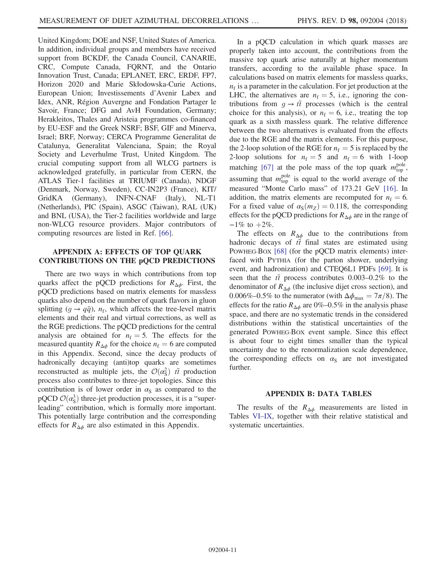United Kingdom; DOE and NSF, United States of America. In addition, individual groups and members have received support from BCKDF, the Canada Council, CANARIE, CRC, Compute Canada, FQRNT, and the Ontario Innovation Trust, Canada; EPLANET, ERC, ERDF, FP7, Horizon 2020 and Marie Skłodowska-Curie Actions, European Union; Investissements d'Avenir Labex and Idex, ANR, Région Auvergne and Fondation Partager le Savoir, France; DFG and AvH Foundation, Germany; Herakleitos, Thales and Aristeia programmes co-financed by EU-ESF and the Greek NSRF; BSF, GIF and Minerva, Israel; BRF, Norway; CERCA Programme Generalitat de Catalunya, Generalitat Valenciana, Spain; the Royal Society and Leverhulme Trust, United Kingdom. The crucial computing support from all WLCG partners is acknowledged gratefully, in particular from CERN, the ATLAS Tier-1 facilities at TRIUMF (Canada), NDGF (Denmark, Norway, Sweden), CC-IN2P3 (France), KIT/ GridKA (Germany), INFN-CNAF (Italy), NL-T1 (Netherlands), PIC (Spain), ASGC (Taiwan), RAL (UK) and BNL (USA), the Tier-2 facilities worldwide and large non-WLCG resource providers. Major contributors of computing resources are listed in Ref. [\[66\].](#page-16-22)

## <span id="page-10-0"></span>APPENDIX A: EFFECTS OF TOP QUARK CONTRIBUTIONS ON THE pQCD PREDICTIONS

There are two ways in which contributions from top quarks affect the pQCD predictions for  $R_{\Delta\phi}$ . First, the pQCD predictions based on matrix elements for massless quarks also depend on the number of quark flavors in gluon splitting  $(q \rightarrow q\bar{q})$ ,  $n_f$ , which affects the tree-level matrix elements and their real and virtual corrections, as well as the RGE predictions. The pQCD predictions for the central analysis are obtained for  $n_f = 5$ . The effects for the measured quantity  $R_{\Delta\phi}$  for the choice  $n_f = 6$  are computed in this Appendix. Second, since the decay products of hadronically decaying (anti)top quarks are sometimes reconstructed as multiple jets, the  $\mathcal{O}(\alpha_S^2)$  *tt* production process also contributes to three-jet topologies. Since this contribution is of lower order in  $\alpha_s$  as compared to the pQCD  $\mathcal{O}(\alpha_s^3)$  three-jet production processes, it is a "superleading" contribution, which is formally more important. This potentially large contribution and the corresponding effects for  $R_{\Delta\phi}$  are also estimated in this Appendix.

In a pOCD calculation in which quark masses are properly taken into account, the contributions from the massive top quark arise naturally at higher momentum transfers, according to the available phase space. In calculations based on matrix elements for massless quarks,  $n_f$  is a parameter in the calculation. For jet production at the LHC, the alternatives are  $n_f = 5$ , i.e., ignoring the contributions from  $g \to t\bar{t}$  processes (which is the central choice for this analysis), or  $n_f = 6$ , i.e., treating the top quark as a sixth massless quark. The relative difference between the two alternatives is evaluated from the effects due to the RGE and the matrix elements. For this purpose, the 2-loop solution of the RGE for  $n_f = 5$  is replaced by the 2-loop solutions for  $n_f = 5$  and  $n_f = 6$  with 1-loop matching [\[67\]](#page-16-23) at the pole mass of the top quark  $m_{\text{top}}^{\text{pole}}$ , assuming that  $m_{\text{top}}^{\text{pole}}$  is equal to the world average of the measured "Monte Carlo mass" of 173.21 GeV [\[16\].](#page-15-5) In addition, the matrix elements are recomputed for  $n_f = 6$ . For a fixed value of  $\alpha_{\rm s}(m_Z) = 0.118$ , the corresponding effects for the pQCD predictions for  $R_{\Delta\phi}$  are in the range of  $-1\%$  to  $+2\%$ .

The effects on  $R_{\Delta\phi}$  due to the contributions from hadronic decays of  $t\bar{t}$  final states are estimated using POWHEG-BOX [\[68\]](#page-16-24) (for the pQCD matrix elements) interfaced with PYTHIA (for the parton shower, underlying event, and hadronization) and CTEQ6L1 PDFs [\[69\].](#page-16-25) It is seen that the  $t\bar{t}$  process contributes 0.003–0.2% to the denominator of  $R_{\Delta\phi}$  (the inclusive dijet cross section), and 0.006%–0.5% to the numerator (with  $\Delta\phi_{\text{max}} = 7\pi/8$ ). The effects for the ratio  $R_{\Delta\phi}$  are 0%–0.5% in the analysis phase space, and there are no systematic trends in the considered distributions within the statistical uncertainties of the generated POWHEG-BOX event sample. Since this effect is about four to eight times smaller than the typical uncertainty due to the renormalization scale dependence, the corresponding effects on  $\alpha_{\rm S}$  are not investigated further.

#### APPENDIX B: DATA TABLES

<span id="page-10-1"></span>The results of the  $R_{\Delta\phi}$  measurements are listed in Tables VI–[IX,](#page-11-0) together with their relative statistical and systematic uncertainties.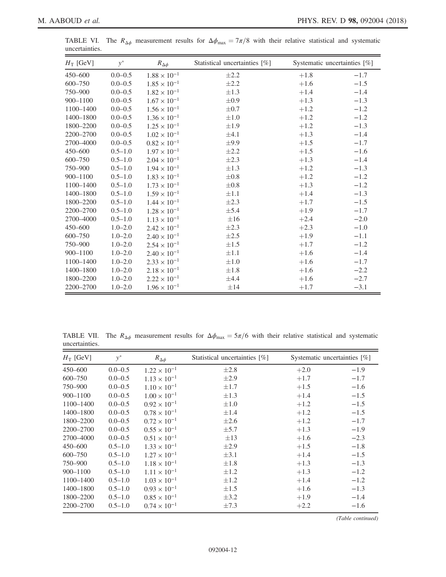| $H_T$ [GeV]   | $y^*$       | $R_{\Delta\phi}$      | Statistical uncertainties [%] |        | Systematic uncertainties [%] |
|---------------|-------------|-----------------------|-------------------------------|--------|------------------------------|
| $450 - 600$   | $0.0 - 0.5$ | $1.88 \times 10^{-1}$ | $\pm 2.2$                     | $+1.8$ | $-1.7$                       |
| 600-750       | $0.0 - 0.5$ | $1.85 \times 10^{-1}$ | $\pm 2.2$                     | $+1.6$ | $-1.5$                       |
| 750-900       | $0.0 - 0.5$ | $1.82 \times 10^{-1}$ | $\pm 1.3$                     | $+1.4$ | $-1.4$                       |
| $900 - 1100$  | $0.0 - 0.5$ | $1.67 \times 10^{-1}$ | $\pm 0.9$                     | $+1.3$ | $-1.3$                       |
| 1100-1400     | $0.0 - 0.5$ | $1.56 \times 10^{-1}$ | $\pm 0.7$                     | $+1.2$ | $-1.2$                       |
| 1400-1800     | $0.0 - 0.5$ | $1.36 \times 10^{-1}$ | $\pm 1.0$                     | $+1.2$ | $-1.2$                       |
| 1800-2200     | $0.0 - 0.5$ | $1.25 \times 10^{-1}$ | $\pm 1.9$                     | $+1.2$ | $-1.3$                       |
| 2200-2700     | $0.0 - 0.5$ | $1.02 \times 10^{-1}$ | $\pm 4.1$                     | $+1.3$ | $-1.4$                       |
| 2700-4000     | $0.0 - 0.5$ | $0.82 \times 10^{-1}$ | $\pm$ 9.9                     | $+1.5$ | $-1.7$                       |
| $450 - 600$   | $0.5 - 1.0$ | $1.97 \times 10^{-1}$ | $\pm 2.2$                     | $+1.5$ | $-1.6$                       |
| 600-750       | $0.5 - 1.0$ | $2.04 \times 10^{-1}$ | $\pm 2.3$                     | $+1.3$ | $-1.4$                       |
| 750-900       | $0.5 - 1.0$ | $1.94 \times 10^{-1}$ | $\pm 1.3$                     | $+1.2$ | $-1.3$                       |
| $900 - 1100$  | $0.5 - 1.0$ | $1.83 \times 10^{-1}$ | $\pm 0.8$                     | $+1.2$ | $-1.2$                       |
| 1100-1400     | $0.5 - 1.0$ | $1.73 \times 10^{-1}$ | $\pm 0.8$                     | $+1.3$ | $-1.2$                       |
| 1400-1800     | $0.5 - 1.0$ | $1.59 \times 10^{-1}$ | $\pm 1.1$                     | $+1.4$ | $-1.3$                       |
| 1800-2200     | $0.5 - 1.0$ | $1.44 \times 10^{-1}$ | $\pm 2.3$                     | $+1.7$ | $-1.5$                       |
| 2200-2700     | $0.5 - 1.0$ | $1.28 \times 10^{-1}$ | $\pm$ 5.4                     | $+1.9$ | $-1.7$                       |
| 2700-4000     | $0.5 - 1.0$ | $1.13 \times 10^{-1}$ | $\pm 16$                      | $+2.4$ | $-2.0$                       |
| 450-600       | $1.0 - 2.0$ | $2.42 \times 10^{-1}$ | $\pm 2.3$                     | $+2.3$ | $-1.0$                       |
| 600-750       | $1.0 - 2.0$ | $2.40 \times 10^{-1}$ | $\pm 2.5$                     | $+1.9$ | $-1.1$                       |
| 750-900       | $1.0 - 2.0$ | $2.54 \times 10^{-1}$ | $\pm 1.5$                     | $+1.7$ | $-1.2$                       |
| $900 - 1100$  | $1.0 - 2.0$ | $2.40 \times 10^{-1}$ | $\pm 1.1$                     | $+1.6$ | $-1.4$                       |
| 1100-1400     | $1.0 - 2.0$ | $2.33 \times 10^{-1}$ | $\pm 1.0$                     | $+1.6$ | $-1.7$                       |
| $1400 - 1800$ | $1.0 - 2.0$ | $2.18 \times 10^{-1}$ | $\pm 1.8$                     | $+1.6$ | $-2.2$                       |
| 1800-2200     | $1.0 - 2.0$ | $2.22 \times 10^{-1}$ | $\pm 4.4$                     | $+1.6$ | $-2.7$                       |
| 2200-2700     | $1.0 - 2.0$ | $1.96 \times 10^{-1}$ | $\pm 14$                      | $+1.7$ | $-3.1$                       |

<span id="page-11-0"></span>TABLE VI. The  $R_{\Delta\phi}$  measurement results for  $\Delta\phi_{\text{max}}=7\pi/8$  with their relative statistical and systematic uncertainties.

TABLE VII. The  $R_{\Delta\phi}$  measurement results for  $\Delta\phi_{\text{max}}=5\pi/6$  with their relative statistical and systematic uncertainties.

| $H_T$ [GeV]  | $v^*$       | $R_{\Delta\phi}$      | Statistical uncertainties [%] |        | Systematic uncertainties [%] |
|--------------|-------------|-----------------------|-------------------------------|--------|------------------------------|
| 450-600      | $0.0 - 0.5$ | $1.22 \times 10^{-1}$ | $\pm 2.8$                     | $+2.0$ | $-1.9$                       |
| 600-750      | $0.0 - 0.5$ | $1.13 \times 10^{-1}$ | $\pm 2.9$                     | $+1.7$ | $-1.7$                       |
| 750-900      | $0.0 - 0.5$ | $1.10 \times 10^{-1}$ | $\pm 1.7$                     | $+1.5$ | $-1.6$                       |
| $900 - 1100$ | $0.0 - 0.5$ | $1.00 \times 10^{-1}$ | $\pm 1.3$                     | $+1.4$ | $-1.5$                       |
| 1100-1400    | $0.0 - 0.5$ | $0.92 \times 10^{-1}$ | $\pm 1.0$                     | $+1.2$ | $-1.5$                       |
| 1400-1800    | $0.0 - 0.5$ | $0.78 \times 10^{-1}$ | $\pm 1.4$                     | $+1.2$ | $-1.5$                       |
| 1800-2200    | $0.0 - 0.5$ | $0.72 \times 10^{-1}$ | $\pm 2.6$                     | $+1.2$ | $-1.7$                       |
| 2200-2700    | $0.0 - 0.5$ | $0.55 \times 10^{-1}$ | $\pm$ 5.7                     | $+1.3$ | $-1.9$                       |
| 2700-4000    | $0.0 - 0.5$ | $0.51 \times 10^{-1}$ | $\pm$ 13                      | $+1.6$ | $-2.3$                       |
| 450-600      | $0.5 - 1.0$ | $1.33 \times 10^{-1}$ | $\pm 2.9$                     | $+1.5$ | $-1.8$                       |
| 600-750      | $0.5 - 1.0$ | $1.27 \times 10^{-1}$ | $\pm 3.1$                     | $+1.4$ | $-1.5$                       |
| 750-900      | $0.5 - 1.0$ | $1.18 \times 10^{-1}$ | $\pm 1.8$                     | $+1.3$ | $-1.3$                       |
| $900 - 1100$ | $0.5 - 1.0$ | $1.11 \times 10^{-1}$ | $\pm 1.2$                     | $+1.3$ | $-1.2$                       |
| 1100-1400    | $0.5 - 1.0$ | $1.03 \times 10^{-1}$ | $\pm 1.2$                     | $+1.4$ | $-1.2$                       |
| 1400-1800    | $0.5 - 1.0$ | $0.93 \times 10^{-1}$ | $\pm 1.5$                     | $+1.6$ | $-1.3$                       |
| 1800-2200    | $0.5 - 1.0$ | $0.85 \times 10^{-1}$ | $\pm 3.2$                     | $+1.9$ | $-1.4$                       |
| 2200-2700    | $0.5 - 1.0$ | $0.74 \times 10^{-1}$ | $\pm 7.3$                     | $+2.2$ | $-1.6$                       |

(Table continued)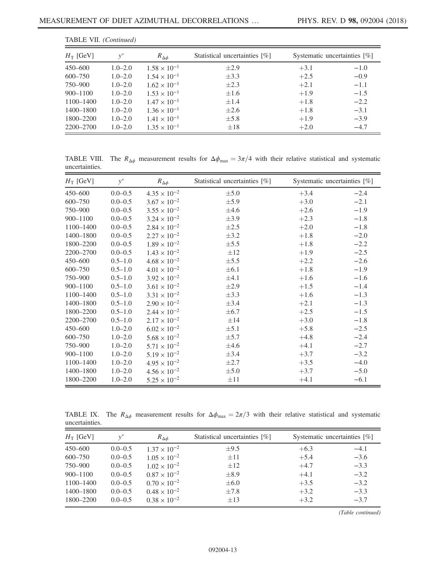| TABLE VII. (Continued) |             |                       |                               |        |                                 |  |
|------------------------|-------------|-----------------------|-------------------------------|--------|---------------------------------|--|
| $H_T$ [GeV]            | $v^*$       | $R_{\Delta\phi}$      | Statistical uncertainties [%] |        | Systematic uncertainties $[\%]$ |  |
| $450 - 600$            | $1.0 - 2.0$ | $1.58 \times 10^{-1}$ | $\pm 2.9$                     | $+3.1$ | $-1.0$                          |  |
| 600-750                | $1.0 - 2.0$ | $1.54 \times 10^{-1}$ | $\pm 3.3$                     | $+2.5$ | $-0.9$                          |  |
| 750–900                | $1.0 - 2.0$ | $1.62 \times 10^{-1}$ | $\pm 2.3$                     | $+2.1$ | $-1.1$                          |  |
| $900 - 1100$           | $1.0 - 2.0$ | $1.53 \times 10^{-1}$ | $\pm 1.6$                     | $+1.9$ | $-1.5$                          |  |
| 1100-1400              | $1.0 - 2.0$ | $1.47 \times 10^{-1}$ | $\pm 1.4$                     | $+1.8$ | $-2.2$                          |  |
| 1400-1800              | $1.0 - 2.0$ | $1.36 \times 10^{-1}$ | $\pm 2.6$                     | $+1.8$ | $-3.1$                          |  |
| 1800-2200              | $1.0 - 2.0$ | $1.41 \times 10^{-1}$ | $\pm$ 5.8                     | $+1.9$ | $-3.9$                          |  |
| 2200-2700              | $1.0 - 2.0$ | $1.35 \times 10^{-1}$ | $\pm 18$                      | $+2.0$ | $-4.7$                          |  |

TABLE VIII. The  $R_{\Delta\phi}$  measurement results for  $\Delta\phi_{\text{max}}=3\pi/4$  with their relative statistical and systematic uncertainties.

| $H_T$ [GeV]   | $y^*$       | $R_{\Delta\phi}$      | Statistical uncertainties [%] |        | Systematic uncertainties $[\%]$ |
|---------------|-------------|-----------------------|-------------------------------|--------|---------------------------------|
| $450 - 600$   | $0.0 - 0.5$ | $4.35 \times 10^{-2}$ | $\pm$ 5.0                     | $+3.4$ | $-2.4$                          |
| $600 - 750$   | $0.0 - 0.5$ | $3.67 \times 10^{-2}$ | $+5.9$                        | $+3.0$ | $-2.1$                          |
| 750-900       | $0.0 - 0.5$ | $3.55 \times 10^{-2}$ | $\pm 4.6$                     | $+2.6$ | $-1.9$                          |
| $900 - 1100$  | $0.0 - 0.5$ | $3.24 \times 10^{-2}$ | $\pm$ 3.9                     | $+2.3$ | $-1.8$                          |
| $1100 - 1400$ | $0.0 - 0.5$ | $2.84 \times 10^{-2}$ | $\pm 2.5$                     | $+2.0$ | $-1.8$                          |
| 1400-1800     | $0.0 - 0.5$ | $2.27 \times 10^{-2}$ | $\pm$ 3.2                     | $+1.8$ | $-2.0$                          |
| 1800-2200     | $0.0 - 0.5$ | $1.89 \times 10^{-2}$ | $\pm$ 5.5                     | $+1.8$ | $-2.2$                          |
| 2200-2700     | $0.0 - 0.5$ | $1.43 \times 10^{-2}$ | $\pm 12$                      | $+1.9$ | $-2.5$                          |
| $450 - 600$   | $0.5 - 1.0$ | $4.68 \times 10^{-2}$ | $\pm$ 5.5                     | $+2.2$ | $-2.6$                          |
| $600 - 750$   | $0.5 - 1.0$ | $4.01 \times 10^{-2}$ | ±6.1                          | $+1.8$ | $-1.9$                          |
| 750-900       | $0.5 - 1.0$ | $3.92 \times 10^{-2}$ | ±4.1                          | $+1.6$ | $-1.6$                          |
| $900 - 1100$  | $0.5 - 1.0$ | $3.61 \times 10^{-2}$ | $\pm 2.9$                     | $+1.5$ | $-1.4$                          |
| $1100 - 1400$ | $0.5 - 1.0$ | $3.31 \times 10^{-2}$ | $\pm 3.3$                     | $+1.6$ | $-1.3$                          |
| 1400-1800     | $0.5 - 1.0$ | $2.90 \times 10^{-2}$ | $\pm$ 3.4                     | $+2.1$ | $-1.3$                          |
| 1800-2200     | $0.5 - 1.0$ | $2.44 \times 10^{-2}$ | $\pm 6.7$                     | $+2.5$ | $-1.5$                          |
| 2200-2700     | $0.5 - 1.0$ | $2.17 \times 10^{-2}$ | $\pm 14$                      | $+3.0$ | $-1.8$                          |
| $450 - 600$   | $1.0 - 2.0$ | $6.02 \times 10^{-2}$ | $\pm$ 5.1                     | $+5.8$ | $-2.5$                          |
| $600 - 750$   | $1.0 - 2.0$ | $5.68 \times 10^{-2}$ | $+5.7$                        | $+4.8$ | $-2.4$                          |
| 750-900       | $1.0 - 2.0$ | $5.71 \times 10^{-2}$ | $\pm 4.6$                     | $+4.1$ | $-2.7$                          |
| $900 - 1100$  | $1.0 - 2.0$ | $5.19 \times 10^{-2}$ | $\pm 3.4$                     | $+3.7$ | $-3.2$                          |
| $1100 - 1400$ | $1.0 - 2.0$ | $4.95 \times 10^{-2}$ | $\pm 2.7$                     | $+3.5$ | $-4.0$                          |
| 1400-1800     | $1.0 - 2.0$ | $4.56 \times 10^{-2}$ | $\pm$ 5.0                     | $+3.7$ | $-5.0$                          |
| 1800-2200     | $1.0 - 2.0$ | $5.25 \times 10^{-2}$ | $\pm 11$                      | $+4.1$ | $-6.1$                          |

TABLE IX. The  $R_{\Delta\phi}$  measurement results for  $\Delta\phi_{\text{max}}=2\pi/3$  with their relative statistical and systematic uncertainties.

| $H_T$ [GeV]  | $v^*$       | $R_{\Delta\phi}$      | Statistical uncertainties [%] | Systematic uncertainties [%] |        |
|--------------|-------------|-----------------------|-------------------------------|------------------------------|--------|
| $450 - 600$  | $0.0 - 0.5$ | $1.37 \times 10^{-2}$ | $+9.5$                        | $+6.3$                       | $-4.1$ |
| $600 - 750$  | $0.0 - 0.5$ | $1.05 \times 10^{-2}$ | $\pm$ 11                      | $+5.4$                       | $-3.6$ |
| 750-900      | $0.0 - 0.5$ | $1.02 \times 10^{-2}$ | $\pm 12$                      | $+4.7$                       | $-3.3$ |
| $900 - 1100$ | $0.0 - 0.5$ | $0.87 \times 10^{-2}$ | $\pm$ 8.9                     | $+4.1$                       | $-3.2$ |
| 1100-1400    | $0.0 - 0.5$ | $0.70 \times 10^{-2}$ | $\pm 6.0$                     | $+3.5$                       | $-3.2$ |
| 1400-1800    | $0.0 - 0.5$ | $0.48 \times 10^{-2}$ | $\pm 7.8$                     | $+3.2$                       | $-3.3$ |
| 1800-2200    | $0.0 - 0.5$ | $0.38 \times 10^{-2}$ | $\pm$ 13                      | $+3.2$                       | $-3.7$ |

(Table continued)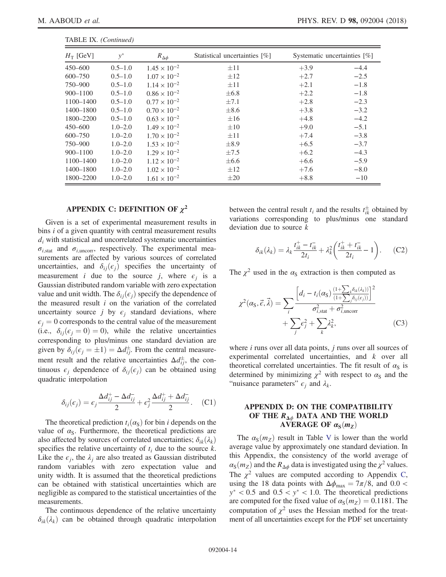| $H_T$ [GeV]  | $y^*$       | $R_{\Delta\phi}$      | Statistical uncertainties [%] |        | Systematic uncertainties [%] |
|--------------|-------------|-----------------------|-------------------------------|--------|------------------------------|
| 450-600      | $0.5 - 1.0$ | $1.45 \times 10^{-2}$ | $\pm 11$                      | $+3.9$ | $-4.4$                       |
| 600-750      | $0.5 - 1.0$ | $1.07 \times 10^{-2}$ | $\pm 12$                      | $+2.7$ | $-2.5$                       |
| 750-900      | $0.5 - 1.0$ | $1.14 \times 10^{-2}$ | $\pm 11$                      | $+2.1$ | $-1.8$                       |
| $900 - 1100$ | $0.5 - 1.0$ | $0.86 \times 10^{-2}$ | $\pm 6.8$                     | $+2.2$ | $-1.8$                       |
| 1100-1400    | $0.5 - 1.0$ | $0.77 \times 10^{-2}$ | $\pm 7.1$                     | $+2.8$ | $-2.3$                       |
| 1400-1800    | $0.5 - 1.0$ | $0.70 \times 10^{-2}$ | $\pm 8.6$                     | $+3.8$ | $-3.2$                       |
| 1800-2200    | $0.5 - 1.0$ | $0.63 \times 10^{-2}$ | $\pm 16$                      | $+4.8$ | $-4.2$                       |
| 450-600      | $1.0 - 2.0$ | $1.49 \times 10^{-2}$ | $\pm 10$                      | $+9.0$ | $-5.1$                       |
| 600-750      | $1.0 - 2.0$ | $1.70 \times 10^{-2}$ | $\pm 11$                      | $+7.4$ | $-3.8$                       |
| 750-900      | $1.0 - 2.0$ | $1.53 \times 10^{-2}$ | $\pm 8.9$                     | $+6.5$ | $-3.7$                       |
| $900 - 1100$ | $1.0 - 2.0$ | $1.29 \times 10^{-2}$ | $\pm 7.5$                     | $+6.2$ | $-4.3$                       |
| 1100-1400    | $1.0 - 2.0$ | $1.12 \times 10^{-2}$ | $\pm 6.6$                     | $+6.6$ | $-5.9$                       |
| 1400-1800    | $1.0 - 2.0$ | $1.02 \times 10^{-2}$ | $\pm 12$                      | $+7.6$ | $-8.0$                       |
| 1800-2200    | $1.0 - 2.0$ | $1.61 \times 10^{-2}$ | $\pm 20$                      | $+8.8$ | $-10$                        |

TABLE IX. (Continued)

## APPENDIX C: DEFINITION OF  $\chi^2$

<span id="page-13-0"></span>Given is a set of experimental measurement results in bins *i* of a given quantity with central measurement results  $d_i$  with statistical and uncorrelated systematic uncertainties  $\sigma_{i,stat}$  and  $\sigma_{i,uncorr}$ , respectively. The experimental measurements are affected by various sources of correlated uncertainties, and  $\delta_{ij}(\epsilon_j)$  specifies the uncertainty of measurement *i* due to the source *j*, where  $\epsilon_i$  is a Gaussian distributed random variable with zero expectation value and unit width. The  $\delta_{ij}(\epsilon_j)$  specify the dependence of the measured result  $i$  on the variation of the correlated uncertainty source j by  $\epsilon_j$  standard deviations, where  $\epsilon_j = 0$  corresponds to the central value of the measurement (i.e.,  $\delta_{ij}(\epsilon_i = 0) = 0$ ), while the relative uncertainties corresponding to plus/minus one standard deviation are given by  $\delta_{ij}(\epsilon_j = \pm 1) = \Delta d_{ij}^{\pm}$ . From the central measurement result and the relative uncertainties  $\Delta d_{ij}^{\pm}$ , the continuous  $\epsilon_i$  dependence of  $\delta_{ij}(\epsilon_j)$  can be obtained using quadratic interpolation

$$
\delta_{ij}(\epsilon_j) = \epsilon_j \frac{\Delta d_{ij}^+ - \Delta d_{ij}^-}{2} + \epsilon_j^2 \frac{\Delta d_{ij}^+ + \Delta d_{ij}^-}{2}.
$$
 (C1)

The theoretical prediction  $t_i(\alpha_S)$  for bin i depends on the value of  $\alpha_s$ . Furthermore, the theoretical predictions are also affected by sources of correlated uncertainties;  $\delta_{ik}(\lambda_k)$ specifies the relative uncertainty of  $t_i$  due to the source  $k$ . Like the  $\epsilon_i$ , the  $\lambda_i$  are also treated as Gaussian distributed random variables with zero expectation value and unity width. It is assumed that the theoretical predictions can be obtained with statistical uncertainties which are negligible as compared to the statistical uncertainties of the measurements.

The continuous dependence of the relative uncertainty  $\delta_{ik}(\lambda_k)$  can be obtained through quadratic interpolation

between the central result  $t_i$  and the results  $t_{ik}^{\pm}$  obtained by variations corresponding to plus/minus one standard deviation due to source  $k$ 

$$
\delta_{ik}(\lambda_k) = \lambda_k \frac{t_{ik}^+ - t_{ik}^-}{2t_i} + \lambda_k^2 \left( \frac{t_{ik}^+ + t_{ik}^-}{2t_i} - 1 \right). \tag{C2}
$$

The  $\chi^2$  used in the  $\alpha_s$  extraction is then computed as

$$
\chi^2(\alpha_{\rm S}, \vec{\epsilon}, \vec{\lambda}) = \sum_{i} \frac{\left[d_i - t_i(\alpha_{\rm S}) \frac{(1 + \sum_{k} \delta_{ik}(\lambda_k))}{(1 + \sum_{j} \delta_{ij}(\epsilon_j))}\right]^2}{\sigma_{i, \rm stat}^2 + \sigma_{i, \rm uncorr}^2} + \sum_{j} \epsilon_j^2 + \sum_{k} \lambda_k^2, \tag{C3}
$$

where  $i$  runs over all data points,  $j$  runs over all sources of experimental correlated uncertainties, and k over all theoretical correlated uncertainties. The fit result of  $\alpha_{\rm S}$  is determined by minimizing  $\chi^2$  with respect to  $\alpha_s$  and the "nuisance parameters"  $\epsilon_i$  and  $\lambda_k$ .

## <span id="page-13-1"></span>APPENDIX D: ON THE COMPATIBILITY OF THE  $R_{\Delta\phi}$  DATA AND THE WORLD AVERAGE OF  $\alpha_{\rm s}(m_Z)$

The  $\alpha_{\rm s}(m_{\rm z})$  result in Table [V](#page-8-0) is lower than the world average value by approximately one standard deviation. In this Appendix, the consistency of the world average of  $\alpha_{\rm S}(m_Z)$  and the  $R_{\Delta\phi}$  data is investigated using the  $\chi^2$  values. The  $\chi^2$  values are computed according to Appendix [C](#page-13-0), using the 18 data points with  $\Delta\phi_{\text{max}}=7\pi/8$ , and 0.0 <  $y^*$  < 0.5 and 0.5 <  $y^*$  < 1.0. The theoretical predictions are computed for the fixed value of  $\alpha_{\rm s}(m_Z) = 0.1181$ . The computation of  $\chi^2$  uses the Hessian method for the treatment of all uncertainties except for the PDF set uncertainty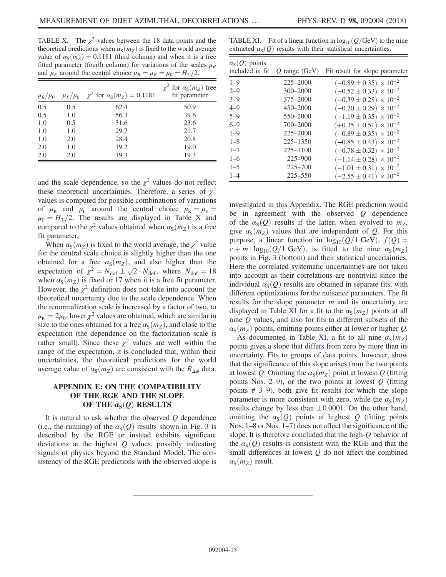<span id="page-14-1"></span>TABLE X. The  $\chi^2$  values between the 18 data points and the theoretical predictions when  $\alpha_{\rm S}(m_Z)$  is fixed to the world average value of  $\alpha_{\rm s}(m_Z) = 0.1181$  (third column) and when it is a free fitted parameter (fourth column) for variations of the scales  $\mu_R$ and  $\mu_F$  around the central choice  $\mu_R = \mu_F = \mu_0 = H_T/2$ .

| $\mu_R/\mu_0$ |     | $\mu_F/\mu_0 \chi^2$ for $\alpha_S(m_Z) = 0.1181$ | $\chi^2$ for $\alpha_{\rm S}(m_Z)$ free<br>fit parameter |
|---------------|-----|---------------------------------------------------|----------------------------------------------------------|
| 0.5           | 0.5 | 62.4                                              | 50.9                                                     |
| 0.5           | 1.0 | 56.3                                              | 39.6                                                     |
| 1.0           | 0.5 | 31.6                                              | 23.6                                                     |
| 1.0           | 1.0 | 29.7                                              | 21.7                                                     |
| 1.0           | 2.0 | 28.4                                              | 20.8                                                     |
| 2.0           | 1.0 | 19.2                                              | 19.0                                                     |
| 2.0           | 2.0 | 19.3                                              | 19.3                                                     |

and the scale dependence, so the  $\chi^2$  values do not reflect these theoretical uncertainties. Therefore, a series of  $\chi^2$ values is computed for possible combinations of variations of  $\mu_{\rm R}$  and  $\mu_{\rm F}$  around the central choice  $\mu_{\rm R} = \mu_{\rm F} =$  $\mu_0 = H_T/2$ . The results are displayed in Table [X](#page-14-1) and compared to the  $\chi^2$  values obtained when  $\alpha_S(m_Z)$  is a free fit parameter.

When  $\alpha_{\rm s}(m_{\rm z})$  is fixed to the world average, the  $\chi^2$  value for the central scale choice is slightly higher than the one obtained for a free  $\alpha_{\rm s}(m_Z)$ , and also higher than the expectation of  $\chi^2 = N_{\text{dof}} \pm \sqrt{2 \cdot N_{\text{dof}}}$ , where  $N_{\text{dof}} = 18$ when  $\alpha_{\rm s}(m_Z)$  is fixed or 17 when it is a free fit parameter. However, the  $\chi^2$  definition does not take into account the theoretical uncertainty due to the scale dependence. When the renormalization scale is increased by a factor of two, to  $\mu_{\rm R} = 2\mu_0$ , lower  $\chi^2$  values are obtained, which are similar in size to the ones obtained for a free  $\alpha_{\rm S}(m_Z)$ , and close to the expectation (the dependence on the factorization scale is rather small). Since these  $\chi^2$  values are well within the range of the expectation, it is concluded that, within their uncertainties, the theoretical predictions for the world average value of  $\alpha_{\rm s}(m_Z)$  are consistent with the  $R_{\Delta\phi}$  data.

## <span id="page-14-0"></span>APPENDIX E: ON THE COMPATIBILITY OF THE RGE AND THE SLOPE OF THE  $\alpha_{s}(Q)$  RESULTS

It is natural to ask whether the observed  $Q$  dependence (i.e., the running) of the  $\alpha_{s}(Q)$  results shown in Fig. [3](#page-7-0) is described by the RGE or instead exhibits significant deviations at the highest  $Q$  values, possibly indicating signals of physics beyond the Standard Model. The consistency of the RGE predictions with the observed slope is

<span id="page-14-2"></span>TABLE XI. Fit of a linear function in  $log_{10}(Q/\text{GeV})$  to the nine extracted  $\alpha_{\rm s}(Q)$  results with their statistical uncertainties.

| $\alpha_{\rm S}(Q)$ points<br>included in fit | Q range $(GeV)$ | Fit result for slope parameter    |
|-----------------------------------------------|-----------------|-----------------------------------|
| $1 - 9$                                       | $225 - 2000$    | $(-0.89 \pm 0.35) \times 10^{-2}$ |
| $2 - 9$                                       | $300 - 2000$    | $(-0.52 \pm 0.33) \times 10^{-2}$ |
| $3 - 9$                                       | 375-2000        | $(-0.39 \pm 0.28) \times 10^{-2}$ |
| $4 - 9$                                       | 450-2000        | $(-0.20 \pm 0.29) \times 10^{-2}$ |
| $5 - 9$                                       | 550-2000        | $(-1.19 \pm 0.35) \times 10^{-2}$ |
| $6 - 9$                                       | 700-2000        | $(+0.35 \pm 0.51) \times 10^{-2}$ |
| $1 - 9$                                       | $225 - 2000$    | $(-0.89 \pm 0.35) \times 10^{-2}$ |
| $1 - 8$                                       | $225 - 1350$    | $(-0.85 \pm 0.43) \times 10^{-2}$ |
| $1 - 7$                                       | $225 - 1100$    | $(-0.78 \pm 0.32) \times 10^{-2}$ |
| $1 - 6$                                       | $225 - 900$     | $(-1.14 \pm 0.28) \times 10^{-2}$ |
| $1 - 5$                                       | $225 - 700$     | $(-1.01 \pm 0.31) \times 10^{-2}$ |
| $1 - 4$                                       | $225 - 550$     | $(-2.55 \pm 0.41) \times 10^{-2}$ |

investigated in this Appendix. The RGE prediction would be in agreement with the observed  $O$  dependence of the  $\alpha_{\rm s}(Q)$  results if the latter, when evolved to  $m_Z$ , give  $\alpha_{\rm s}(m_{\rm z})$  values that are independent of Q. For this purpose, a linear function in  $log_{10}(Q/1 \text{ GeV})$ ,  $f(Q)$  $c + m \cdot log_{10}(Q/1 \text{ GeV})$ , is fitted to the nine  $\alpha_{\rm s}(m_Z)$ points in Fig. [3](#page-7-0) (bottom) and their statistical uncertainties. Here the correlated systematic uncertainties are not taken into account as their correlations are nontrivial since the individual  $\alpha_{\rm s}(Q)$  results are obtained in separate fits, with different optimizations for the nuisance parameters. The fit results for the slope parameter *m* and its uncertainty are displayed in Table [XI](#page-14-2) for a fit to the  $\alpha_{\rm s}(m_Z)$  points at all nine Q values, and also for fits to different subsets of the  $\alpha_{\rm s}(m_{\rm z})$  points, omitting points either at lower or higher Q.

As documented in Table [XI](#page-14-2), a fit to all nine  $\alpha_{\rm S}(m_Z)$ points gives a slope that differs from zero by more than its uncertainty. Fits to groups of data points, however, show that the significance of this slope arises from the two points at lowest Q. Omitting the  $\alpha_{\rm s}(m_Z)$  point at lowest Q (fitting points Nos. 2–9), or the two points at lowest  $Q$  (fitting points # 3–9), both give fit results for which the slope parameter is more consistent with zero, while the  $\alpha_{\rm s}(m_Z)$ results change by less than  $\pm 0.0001$ . On the other hand, omitting the  $\alpha_{s}(Q)$  points at highest Q (fitting points Nos. 1–8 or Nos. 1–7) does not affect the significance of the slope. It is therefore concluded that the high-Q behavior of the  $\alpha_{s}(Q)$  results is consistent with the RGE and that the small differences at lowest  $Q$  do not affect the combined  $\alpha_{\rm s}(m_{\rm z})$  result.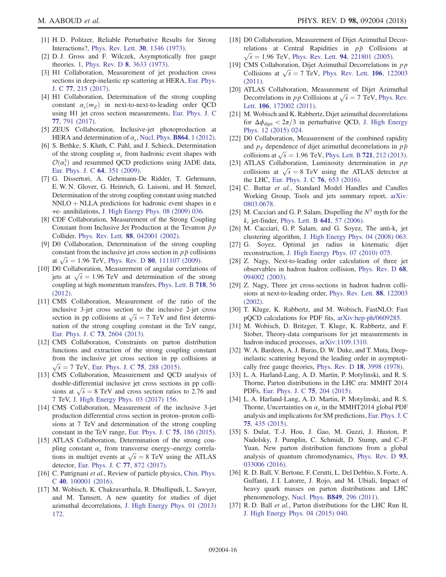- <span id="page-15-0"></span>[1] H. D. Politzer, Reliable Perturbative Results for Strong Interactions?, [Phys. Rev. Lett.](https://doi.org/10.1103/PhysRevLett.30.1346) 30, 1346 (1973).
- [2] D. J. Gross and F. Wilczek, Asymptotically free gauge theories. 1, Phys. Rev. D 8[, 3633 \(1973\)](https://doi.org/10.1103/PhysRevD.8.3633).
- <span id="page-15-1"></span>[3] H1 Collaboration, Measurement of jet production cross sections in deep-inelastic ep scattering at HERA, [Eur. Phys.](https://doi.org/10.1140/epjc/s10052-017-4717-9) J. C 77[, 215 \(2017\).](https://doi.org/10.1140/epjc/s10052-017-4717-9)
- <span id="page-15-27"></span>[4] H1 Collaboration, Determination of the strong coupling constant  $\alpha_s(m_Z)$  in next-to-next-to-leading order QCD using H1 jet cross section measurements, [Eur. Phys. J. C](https://doi.org/10.1140/epjc/s10052-017-5314-7) 77[, 791 \(2017\).](https://doi.org/10.1140/epjc/s10052-017-5314-7)
- [5] ZEUS Collaboration, Inclusive-jet photoproduction at HERA and determination of  $\alpha_s$ , [Nucl. Phys.](https://doi.org/10.1016/j.nuclphysb.2012.06.006) **B864**, 1 (2012).
- <span id="page-15-2"></span>[6] S. Bethke, S. Kluth, C. Pahl, and J. Schieck, Determination of the strong coupling  $\alpha_s$  from hadronic event shapes with  $\mathcal{O}(\alpha_s^3)$  and resummed QCD predictions using JADE data, [Eur. Phys. J. C](https://doi.org/10.1140/epjc/s10052-009-1149-1) 64, 351 (2009).
- [7] G. Dissertori, A. Gehrmann-De Ridder, T. Gehrmann, E. W. N. Glover, G. Heinrich, G. Luisoni, and H. Stenzel, Determination of the strong coupling constant using matched  $NNLO + NLLA$  predictions for hadronic event shapes in e +e- annihilations, [J. High Energy Phys. 08 \(2009\) 036.](https://doi.org/10.1088/1126-6708/2009/08/036)
- <span id="page-15-3"></span>[8] CDF Collaboration, Measurement of the Strong Coupling Constant from Inclusive Jet Production at the Tevatron  $\bar{p}p$ Collider, Phys. Rev. Lett. 88[, 042001 \(2002\)](https://doi.org/10.1103/PhysRevLett.88.042001).
- <span id="page-15-6"></span>[9] D0 Collaboration, Determination of the strong coupling constant from the inclusive jet cross section in  $p\bar{p}$  collisions at  $\sqrt{s} = 1.96$  TeV, Phys. Rev. D 80[, 111107 \(2009\)](https://doi.org/10.1103/PhysRevD.80.111107).
- <span id="page-15-7"></span>[10] D0 Collaboration, Measurement of angular correlations of jets at  $\sqrt{s} = 1.96 \text{ TeV}$  and determination of the strong coupling at high momentum transfers, [Phys. Lett. B](https://doi.org/10.1016/j.physletb.2012.10.003) 718, 56 [\(2012\).](https://doi.org/10.1016/j.physletb.2012.10.003)
- <span id="page-15-4"></span>[11] CMS Collaboration, Measurement of the ratio of the inclusive 3-jet cross section to the inclusive 2-jet cross section in pp collisions at  $\sqrt{s} = 7$  TeV and first determination of the strong coupling constant in the TeV range, [Eur. Phys. J. C](https://doi.org/10.1140/epjc/s10052-013-2604-6) 73, 2604 (2013).
- <span id="page-15-24"></span>[12] CMS Collaboration, Constraints on parton distribution functions and extraction of the strong coupling constant from the inclusive jet cross section in pp collisions at  $\sqrt{s} = 7$  TeV, [Eur. Phys. J. C](https://doi.org/10.1140/epjc/s10052-015-3499-1) 75, 288 (2015).
- [13] CMS Collaboration, Measurement and QCD analysis of double-differential inclusive jet cross sections in pp collisions at  $\sqrt{s} = 8$  TeV and cross section ratios to 2.76 and 7 TeV, [J. High Energy Phys. 03 \(2017\) 156.](https://doi.org/10.1007/JHEP03(2017)156)
- <span id="page-15-25"></span>[14] CMS Collaboration, Measurement of the inclusive 3-jet production differential cross section in proton–proton collisions at 7 TeV and determination of the strong coupling constant in the TeV range, [Eur. Phys. J. C](https://doi.org/10.1140/epjc/s10052-015-3376-y) 75, 186 (2015).
- <span id="page-15-26"></span>[15] ATLAS Collaboration, Determination of the strong coupling constant  $\alpha_s$  from transverse energy–energy correlations in multijet events at  $\sqrt{s} = 8$  TeV using the ATLAS detector, [Eur. Phys. J. C](https://doi.org/10.1140/epjc/s10052-017-5442-0) 77, 872 (2017).
- <span id="page-15-8"></span><span id="page-15-5"></span>[16] C. Patrignani et al., Review of particle physics, [Chin. Phys.](https://doi.org/10.1088/1674-1137/40/10/100001) C 40[, 100001 \(2016\).](https://doi.org/10.1088/1674-1137/40/10/100001)
- [17] M. Wobisch, K. Chakravarthula, R. Dhullipudi, L. Sawyer, and M. Tamsett, A new quantity for studies of dijet azimuthal decorrelations, [J. High Energy Phys. 01 \(2013\)](https://doi.org/10.1007/JHEP01(2013)172) [172.](https://doi.org/10.1007/JHEP01(2013)172)
- <span id="page-15-9"></span>[18] D0 Collaboration, Measurement of Dijet Azimuthal Decorrelations at Central Rapidities in  $p\bar{p}$  Collisions at  $\sqrt{s}$  = 1.96 TeV, Phys. Rev. Lett. 94[, 221801 \(2005\).](https://doi.org/10.1103/PhysRevLett.94.221801)
- <span id="page-15-10"></span>[19] CMS Collaboration, Dijet Azimuthal Decorrelations in  $p p$ Collisions at  $\sqrt{s} = 7$  TeV, [Phys. Rev. Lett.](https://doi.org/10.1103/PhysRevLett.106.122003) 106, 122003 [\(2011\).](https://doi.org/10.1103/PhysRevLett.106.122003)
- [20] ATLAS Collaboration, Measurement of Dijet Azimuthal Decorrelations in pp Collisions at  $\sqrt{s} = 7$  TeV, [Phys. Rev.](https://doi.org/10.1103/PhysRevLett.106.172002) Lett. 106[, 172002 \(2011\)](https://doi.org/10.1103/PhysRevLett.106.172002).
- <span id="page-15-11"></span>[21] M. Wobisch and K. Rabbertz, Dijet azimuthal decorrelations for  $\Delta\phi_{\text{dijet}} < 2\pi/3$  in perturbative QCD, [J. High Energy](https://doi.org/10.1007/JHEP12(2015)024) [Phys. 12 \(2015\) 024.](https://doi.org/10.1007/JHEP12(2015)024)
- <span id="page-15-12"></span>[22] D0 Collaboration, Measurement of the combined rapidity and  $p_T$  dependence of dijet azimuthal decorrelations in  $p\bar{p}$ collisions at  $\sqrt{s} = 1.96$  TeV, [Phys. Lett. B](https://doi.org/10.1016/j.physletb.2013.03.029) 721, 212 (2013).
- <span id="page-15-13"></span>[23] ATLAS Collaboration, Luminosity determination in pp collisions at  $\sqrt{s} = 8$  TeV using the ATLAS detector at the LHC, [Eur. Phys. J. C](https://doi.org/10.1140/epjc/s10052-016-4466-1) 76, 653 (2016).
- <span id="page-15-14"></span>[24] C. Buttar et al., Standard Model Handles and Candles Working Group, Tools and jets summary report, [arXiv:](http://arXiv.org/abs/0803.0678) [0803.0678.](http://arXiv.org/abs/0803.0678)
- <span id="page-15-15"></span>[25] M. Cacciari and G. P. Salam, Dispelling the  $N<sup>3</sup>$  myth for the  $k_t$  jet-finder, [Phys. Lett. B](https://doi.org/10.1016/j.physletb.2006.08.037) 641, 57 (2006).
- [26] M. Cacciari, G. P. Salam, and G. Soyez, The anti- $k_t$  jet clustering algorithm, [J. High Energy Phys. 04 \(2008\) 063.](https://doi.org/10.1088/1126-6708/2008/04/063)
- <span id="page-15-16"></span>[27] G. Soyez, Optimal jet radius in kinematic dijet reconstruction, [J. High Energy Phys. 07 \(2010\) 075.](https://doi.org/10.1007/JHEP07(2010)075)
- <span id="page-15-17"></span>[28] Z. Nagy, Next-to-leading order calculation of three jet observables in hadron hadron collision, [Phys. Rev. D](https://doi.org/10.1103/PhysRevD.68.094002) 68, [094002 \(2003\).](https://doi.org/10.1103/PhysRevD.68.094002)
- [29] Z. Nagy, Three jet cross-sections in hadron hadron collisions at next-to-leading order, [Phys. Rev. Lett.](https://doi.org/10.1103/PhysRevLett.88.122003) 88, 122003 [\(2002\).](https://doi.org/10.1103/PhysRevLett.88.122003)
- <span id="page-15-18"></span>[30] T. Kluge, K. Rabbertz, and M. Wobisch, FastNLO: Fast pQCD calculations for PDF fits, [arXiv:hep-ph/0609285.](http://arXiv.org/abs/hep-ph/0609285)
- [31] M. Wobisch, D. Britzger, T. Kluge, K. Rabbertz, and F. Stober, Theory-data comparisons for jet measurements in hadron-induced processes, [arXiv:1109.1310.](http://arXiv.org/abs/1109.1310)
- <span id="page-15-19"></span>[32] W. A. Bardeen, A. J. Buras, D. W. Duke, and T. Muta, Deepinelastic scattering beyond the leading order in asymptotically free gauge theories, Phys. Rev. D 18[, 3998 \(1978\).](https://doi.org/10.1103/PhysRevD.18.3998)
- <span id="page-15-20"></span>[33] L. A. Harland-Lang, A. D. Martin, P. Motylinski, and R. S. Thorne, Parton distributions in the LHC era: MMHT 2014 PDFs, [Eur. Phys. J. C](https://doi.org/10.1140/epjc/s10052-015-3397-6) 75, 204 (2015).
- [34] L. A. Harland-Lang, A. D. Martin, P. Motylinski, and R. S. Thorne, Uncertainties on  $\alpha_s$  in the MMHT2014 global PDF analysis and implications for SM predictions, [Eur. Phys. J. C](https://doi.org/10.1140/epjc/s10052-015-3630-3) 75[, 435 \(2015\).](https://doi.org/10.1140/epjc/s10052-015-3630-3)
- <span id="page-15-21"></span>[35] S. Dulat, T.-J. Hou, J. Gao, M. Guzzi, J. Huston, P. Nadolsky, J. Pumplin, C. Schmidt, D. Stump, and C.-P. Yuan, New parton distribution functions from a global analysis of quantum chromodynamics, [Phys. Rev. D](https://doi.org/10.1103/PhysRevD.93.033006) 93, [033006 \(2016\).](https://doi.org/10.1103/PhysRevD.93.033006)
- <span id="page-15-22"></span>[36] R. D. Ball, V. Bertone, F. Cerutti, L. Del Debbio, S. Forte, A. Guffanti, J. I. Latorre, J. Rojo, and M. Ubiali, Impact of heavy quark masses on parton distributions and LHC phenomenology, Nucl. Phys. B849[, 296 \(2011\)](https://doi.org/10.1016/j.nuclphysb.2011.03.021).
- <span id="page-15-23"></span>[37] R. D. Ball et al., Parton distributions for the LHC Run II, [J. High Energy Phys. 04 \(2015\) 040.](https://doi.org/10.1007/JHEP04(2015)040)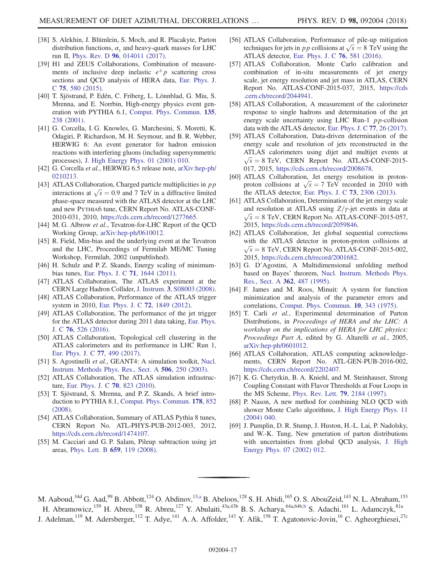- <span id="page-16-0"></span>[38] S. Alekhin, J. Blümlein, S. Moch, and R. Placakyte, Parton distribution functions,  $\alpha_s$  and heavy-quark masses for LHC run II, Phys. Rev. D 96[, 014011 \(2017\)](https://doi.org/10.1103/PhysRevD.96.014011).
- <span id="page-16-1"></span>[39] H1 and ZEUS Collaborations, Combination of measurements of inclusive deep inelastic  $e^{\pm}p$  scattering cross sections and QCD analysis of HERA data, [Eur. Phys. J.](https://doi.org/10.1140/epjc/s10052-015-3710-4) C 75[, 580 \(2015\)](https://doi.org/10.1140/epjc/s10052-015-3710-4).
- <span id="page-16-2"></span>[40] T. Sjöstrand, P. Edén, C. Friberg, L. Lönnblad, G. Miu, S. Mrenna, and E. Norrbin, High-energy physics event generation with PYTHIA 6.1, [Comput. Phys. Commun.](https://doi.org/10.1016/S0010-4655(00)00236-8) 135, [238 \(2001\)](https://doi.org/10.1016/S0010-4655(00)00236-8).
- <span id="page-16-3"></span>[41] G. Corcella, I. G. Knowles, G. Marchesini, S. Moretti, K. Odagiri, P. Richardson, M. H. Seymour, and B. R. Webber, HERWIG 6: An event generator for hadron emission reactions with interfering gluons (including supersymmetric processes), [J. High Energy Phys. 01 \(2001\) 010.](https://doi.org/10.1088/1126-6708/2001/01/010)
- [42] G. Corcella et al., HERWIG 6.5 release note, [arXiv:hep-ph/](http://arXiv.org/abs/hep-ph/0210213) [0210213.](http://arXiv.org/abs/hep-ph/0210213)
- <span id="page-16-4"></span>[43] ATLAS Collaboration, Charged particle multiplicities in  $pp$ interactions at  $\sqrt{s} = 0.9$  and 7 TeV in a diffractive limited phase-space measured with the ATLAS detector at the LHC and new PYTHIA6 tune, CERN Report No. ATLAS-CONF-2010-031, 2010, <https://cds.cern.ch/record/1277665>.
- <span id="page-16-5"></span>[44] M. G. Albrow et al., Tevatron-for-LHC Report of the QCD Working Group, [arXiv:hep-ph/0610012.](http://arXiv.org/abs/hep-ph/0610012)
- <span id="page-16-6"></span>[45] R. Field, Min-bias and the underlying event at the Tevatron and the LHC, Proceedings of Fermilab ME/MC Tuning Workshop, Fermilab, 2002 (unpublished).
- <span id="page-16-7"></span>[46] H. Schulz and P. Z. Skands, Energy scaling of minimumbias tunes, [Eur. Phys. J. C](https://doi.org/10.1140/epjc/s10052-011-1644-z) 71, 1644 (2011).
- <span id="page-16-8"></span>[47] ATLAS Collaboration, The ATLAS experiment at the CERN Large Hadron Collider, J. Instrum. 3[, S08003 \(2008\).](https://doi.org/10.1088/1748-0221/3/08/S08003)
- <span id="page-16-9"></span>[48] ATLAS Collaboration, Performance of the ATLAS trigger system in 2010, [Eur. Phys. J. C](https://doi.org/10.1140/epjc/s10052-011-1849-1) 72, 1849 (2012).
- [49] ATLAS Collaboration, The performance of the jet trigger for the ATLAS detector during 2011 data taking, [Eur. Phys.](https://doi.org/10.1140/epjc/s10052-016-4325-0) J. C 76[, 526 \(2016\).](https://doi.org/10.1140/epjc/s10052-016-4325-0)
- <span id="page-16-10"></span>[50] ATLAS Collaboration, Topological cell clustering in the ATLAS calorimeters and its performance in LHC Run 1, [Eur. Phys. J. C](https://doi.org/10.1140/epjc/s10052-017-5004-5) 77, 490 (2017).
- <span id="page-16-11"></span>[51] S. Agostinelli et al., GEANT4: A simulation toolkit, [Nucl.](https://doi.org/10.1016/S0168-9002(03)01368-8) [Instrum. Methods Phys. Res., Sect. A](https://doi.org/10.1016/S0168-9002(03)01368-8) 506, 250 (2003).
- [52] ATLAS Collaboration, The ATLAS simulation infrastructure, [Eur. Phys. J. C](https://doi.org/10.1140/epjc/s10052-010-1429-9) 70, 823 (2010).
- <span id="page-16-12"></span>[53] T. Sjöstrand, S. Mrenna, and P. Z. Skands, A brief introduction to PYTHIA 8.1, [Comput. Phys. Commun.](https://doi.org/10.1016/j.cpc.2008.01.036) 178, 852 [\(2008\).](https://doi.org/10.1016/j.cpc.2008.01.036)
- <span id="page-16-13"></span>[54] ATLAS Collaboration, Summary of ATLAS Pythia 8 tunes, CERN Report No. ATL-PHYS-PUB-2012-003, 2012, [https://cds.cern.ch/record/1474107.](https://cds.cern.ch/record/1474107)
- <span id="page-16-14"></span>[55] M. Cacciari and G. P. Salam, Pileup subtraction using jet areas, [Phys. Lett. B](https://doi.org/10.1016/j.physletb.2007.09.077) 659, 119 (2008).
- <span id="page-16-15"></span>[56] ATLAS Collaboration, Performance of pile-up mitigation techniques for jets in *pp* collisions at  $\sqrt{s} = 8$  TeV using the ATLAS detector, [Eur. Phys. J. C](https://doi.org/10.1140/epjc/s10052-016-4395-z) 76, 581 (2016).
- <span id="page-16-16"></span>[57] ATLAS Collaboration, Monte Carlo calibration and combination of in-situ measurements of jet energy scale, jet energy resolution and jet mass in ATLAS, CERN Report No. ATLAS-CONF-2015-037, 2015, [https://cds](https://cds.cern.ch/record/2044941) [.cern.ch/record/2044941.](https://cds.cern.ch/record/2044941)
- <span id="page-16-17"></span>[58] ATLAS Collaboration, A measurement of the calorimeter response to single hadrons and determination of the jet energy scale uncertainty using LHC Run-1 pp-collision data with the ATLAS detector, [Eur. Phys. J. C](https://doi.org/10.1140/epjc/s10052-016-4580-0) 77, 26 (2017).
- <span id="page-16-18"></span>[59] ATLAS Collaboration, Data-driven determination of the energy scale and resolution of jets reconstructed in the ATLAS calorimeters using dijet and multijet events at  $\sqrt{s}$  = 8 TeV, CERN Report No. ATLAS-CONF-2015-017, 2015, <https://cds.cern.ch/record/2008678>.
- [60] ATLAS Collaboration, Jet energy resolution in protonproton collisions at  $\sqrt{s} = 7$  TeV recorded in 2010 with the ATLAS detector, [Eur. Phys. J. C](https://doi.org/10.1140/epjc/s10052-013-2306-0) 73, 2306 (2013).
- [61] ATLAS Collaboration, Determination of the jet energy scale and resolution at ATLAS using  $Z/\gamma$ -jet events in data at  $\sqrt{s}$  = 8 TeV, CERN Report No. ATLAS-CONF-2015-057, 2015, <https://cds.cern.ch/record/2059846>.
- [62] ATLAS Collaboration, Jet global sequential corrections with the ATLAS detector in proton-proton collisions at  $\sqrt{s}$  = 8 TeV, CERN Report No. ATLAS-CONF-2015-002, 2015, <https://cds.cern.ch/record/2001682>.
- <span id="page-16-19"></span>[63] G. D'Agostini, A Multidimensional unfolding method based on Bayes' theorem, [Nucl. Instrum. Methods Phys.](https://doi.org/10.1016/0168-9002(95)00274-X) [Res., Sect. A](https://doi.org/10.1016/0168-9002(95)00274-X) 362, 487 (1995).
- <span id="page-16-20"></span>[64] F. James and M. Roos, Minuit: A system for function minimization and analysis of the parameter errors and correlations, [Comput. Phys. Commun.](https://doi.org/10.1016/0010-4655(75)90039-9) 10, 343 (1975).
- <span id="page-16-21"></span>[65] T. Carli et al., Experimental determination of Parton Distributions, in Proceedings of HERA and the LHC: A workshop on the implications of HERA for LHC physics: Proceedings Part A, edited by G. Altarelli et al., 2005, [arXiv:hep-ph/0601012.](http://arXiv.org/abs/hep-ph/0601012)
- <span id="page-16-22"></span>[66] ATLAS Collaboration, ATLAS computing acknowledgements, CERN Report No. ATL-GEN-PUB-2016-002, [https://cds.cern.ch/record/2202407.](https://cds.cern.ch/record/2202407)
- <span id="page-16-23"></span>[67] K. G. Chetyrkin, B. A. Kniehl, and M. Steinhauser, Strong Coupling Constant with Flavor Thresholds at Four Loops in the MS Scheme, [Phys. Rev. Lett.](https://doi.org/10.1103/PhysRevLett.79.2184) 79, 2184 (1997).
- <span id="page-16-24"></span>[68] P. Nason, A new method for combining NLO OCD with shower Monte Carlo algorithms, [J. High Energy Phys. 11](https://doi.org/10.1088/1126-6708/2004/11/040) [\(2004\) 040.](https://doi.org/10.1088/1126-6708/2004/11/040)
- <span id="page-16-25"></span>[69] J. Pumplin, D. R. Stump, J. Huston, H.-L. Lai, P. Nadolsky, and W.-K. Tung, New generation of parton distributions with uncertainties from global QCD analysis, [J. High](https://doi.org/10.1088/1126-6708/2002/07/012) [Energy Phys. 07 \(2002\) 012.](https://doi.org/10.1088/1126-6708/2002/07/012)

<span id="page-16-27"></span><span id="page-16-26"></span>M. Aaboud,  $34d$  G. Aad,  $99$  B. Abbott,  $124$  O. Abdinov,  $13a$  B. Abeloos,  $128$  S. H. Abidi,  $165$  O. S. AbouZeid,  $143$  N. L. Abraham,  $153$ H. Abramowicz,<sup>159</sup> H. Abreu,<sup>158</sup> R. Abreu,<sup>127</sup> Y. Abulaiti,<sup>43a,43b</sup> B. S. Acharya,<sup>64a,64b[,b](#page-29-1)</sup> S. Adachi,<sup>161</sup> L. Adamczyk,<sup>81a</sup> J. Adelman,<sup>119</sup> M. Adersberger,<sup>112</sup> T. Adye,<sup>141</sup> A. A. Affolder,<sup>143</sup> Y. Afik,<sup>158</sup> T. Agatonovic-Jovin,<sup>16</sup> C. Agheorghiesei,<sup>27c</sup>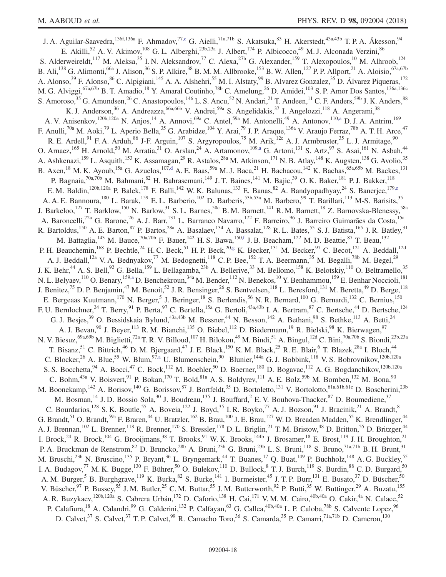<span id="page-17-4"></span><span id="page-17-3"></span><span id="page-17-2"></span><span id="page-17-1"></span><span id="page-17-0"></span>J. A. Aguilar-Saavedra,<sup>136f,136a</sup> F. Ahmadov,<sup>77[,c](#page-29-2)</sup> G. Aielli,<sup>71a,71b</sup> S. Akatsuka,<sup>83</sup> H. Akerstedt,<sup>43a,43b</sup> T. P. A. Åkesson,<sup>94</sup> E. Akilli,<sup>52</sup> A. V. Akimov,<sup>108</sup> G. L. Alberghi,<sup>23b,23a</sup> J. Albert,<sup>174</sup> P. Albicocco,<sup>49</sup> M. J. Alconada Verzini,<sup>86</sup> S. Alderweireldt,<sup>117</sup> M. Aleksa,<sup>35</sup> I. N. Aleksandrov,<sup>77</sup> C. Alexa,<sup>27b</sup> G. Alexander,<sup>159</sup> T. Alexopoulos,<sup>10</sup> M. Alhroob,<sup>124</sup> B. Ali,  $^{138}$  G. Alimonti,  $^{66a}$  J. Alison,  $^{36}$  S. P. Alkire,  $^{38}$  B. M. M. Allbrooke,  $^{153}$  B. W. Allen,  $^{127}$  P. P. Allport,  $^{21}$  A. Aloisio,  $^{67a,67b}$ A. Alonso,<sup>39</sup> F. Alonso,<sup>86</sup> C. Alpigiani,<sup>145</sup> A. A. Alshehri,<sup>55</sup> M. I. Alstaty,<sup>99</sup> B. Alvarez Gonzalez,<sup>35</sup> D. Álvarez Piqueras,<sup>172</sup> M. G. Alviggi,<sup>67a,67b</sup> B. T. Amadio,<sup>18</sup> Y. Amaral Coutinho,<sup>78b</sup> C. Amelung,<sup>26</sup> D. Amidei,<sup>103</sup> S. P. Amor Dos Santos,<sup>136a,136c</sup> S. Amoroso,<sup>35</sup> G. Amundsen,<sup>26</sup> C. Anastopoulos,<sup>146</sup> L. S. Ancu,<sup>52</sup> N. Andari,<sup>21</sup> T. Andeen,<sup>11</sup> C. F. Anders,<sup>59b</sup> J. K. Anders,<sup>88</sup> K. J. Anderson,<sup>36</sup> A. Andreazza,<sup>66a,66b</sup> V. Andrei,<sup>59a</sup> S. Angelidakis,<sup>37</sup> I. Angelozzi,<sup>118</sup> A. Angerami,<sup>38</sup> A. V. Anisenkov,<sup>120b,120a</sup> N. Anjos,<sup>14</sup> A. Annovi,<sup>69a</sup> C. Antel,<sup>59a</sup> M. Antonelli,<sup>49</sup> A. Antonov,<sup>11[0,a](#page-29-0)</sup> D. J. A. Antrim,<sup>169</sup> F. Anulli,<sup>70a</sup> M. Aoki,<sup>79</sup> L. Aperio Bella,<sup>35</sup> G. Arabidze,<sup>104</sup> Y. Arai,<sup>79</sup> J. P. Araque,<sup>136a</sup> V. Araujo Ferraz,<sup>78b</sup> A. T. H. Arce,<sup>47</sup> R. E. Ardell,<sup>91</sup> F. A. Arduh,<sup>86</sup> J-F. Arguin,<sup>107</sup> S. Argyropoulos,<sup>75</sup> M. Arik,<sup>12c</sup> A. J. Armbruster,<sup>35</sup> L. J. Armitage,<sup>90</sup> O. Arnaez, <sup>165</sup> H. Arnold, <sup>50</sup> M. Arratia, <sup>31</sup> O. Arslan, <sup>24</sup> A. Artamonov, <sup>109[,a](#page-29-0)</sup> G. Artoni, <sup>131</sup> S. Artz, <sup>97</sup> S. Asai, <sup>161</sup> N. Asbah, <sup>44</sup> A. Ashkenazi,<sup>159</sup> L. Asquith,<sup>153</sup> K. Assamagan,<sup>29</sup> R. Astalos,<sup>28a</sup> M. Atkinson,<sup>171</sup> N. B. Atlay,<sup>148</sup> K. Augsten,<sup>138</sup> G. Avolio,<sup>35</sup> B. Axen,<sup>18</sup> M. K. Ayoub,<sup>15a</sup> G. Azuelos,<sup>10[7,d](#page-29-3)</sup> A. E. Baas,<sup>59a</sup> M. J. Baca,<sup>21</sup> H. Bachacou,<sup>142</sup> K. Bachas,<sup>65a,65b</sup> M. Backes,<sup>131</sup> P. Bagnaia,<sup>70a,70b</sup> M. Bahmani,<sup>82</sup> H. Bahrasemani,<sup>149</sup> J. T. Baines,<sup>141</sup> M. Bajic,<sup>39</sup> O. K. Baker,<sup>181</sup> P. J. Bakker,<sup>118</sup> E. M. Baldin,<sup>120b,120a</sup> P. Balek,<sup>178</sup> F. Balli,<sup>142</sup> W. K. Balunas,<sup>133</sup> E. Banas,<sup>82</sup> A. Bandyopadhyay,<sup>24</sup> S. Banerjee,<sup>179[,e](#page-29-4)</sup> A. A. E. Bannoura, <sup>180</sup> L. Barak, <sup>159</sup> E. L. Barberio, <sup>102</sup> D. Barberis, <sup>53b, 53a</sup> M. Barbero, <sup>99</sup> T. Barillari, <sup>113</sup> M-S. Barisits, <sup>35</sup> J. Barkeloo,<sup>127</sup> T. Barklow,<sup>150</sup> N. Barlow,<sup>31</sup> S. L. Barnes,<sup>58c</sup> B. M. Barnett,<sup>141</sup> R. M. Barnett,<sup>18</sup> Z. Barnovska-Blenessy,<sup>58a</sup> A. Baroncelli,<sup>72a</sup> G. Barone,<sup>26</sup> A. J. Barr,<sup>131</sup> L. Barranco Navarro,<sup>172</sup> F. Barreiro,<sup>96</sup> J. Barreiro Guimarães da Costa,<sup>15a</sup> R. Bartoldus,<sup>150</sup> A. E. Barton,<sup>87</sup> P. Bartos,<sup>28a</sup> A. Basalaev,<sup>134</sup> A. Bassalat,<sup>128</sup> R. L. Bates,<sup>55</sup> S. J. Batista,<sup>165</sup> J. R. Batley,<sup>31</sup> M. Battaglia,<sup>143</sup> M. Bauce,<sup>70a,70b</sup> F. Bauer,<sup>142</sup> H. S. Bawa,<sup>150[,f](#page-29-5)</sup> J. B. Beacham,<sup>122</sup> M. D. Beattie,<sup>87</sup> T. Beau,<sup>132</sup> P. H. Beauchemin,<sup>168</sup> P. Bechtle,<sup>24</sup> H. C. Beck,<sup>51</sup> H. P. Beck,<sup>2[0,g](#page-29-6)</sup> K. Becker,<sup>131</sup> M. Becker,<sup>97</sup> C. Becot,<sup>121</sup> A. Beddall,<sup>12d</sup> A. J. Beddall,<sup>12a</sup> V. A. Bednyakov,<sup>77</sup> M. Bedognetti,<sup>118</sup> C. P. Bee,<sup>152</sup> T. A. Beermann,<sup>35</sup> M. Begalli,<sup>78b</sup> M. Begel,<sup>29</sup> J. K. Behr,  $^{44}$  A. S. Bell,  $^{92}$  G. Bella,  $^{159}$  L. Bellagamba,  $^{23b}$  A. Bellerive,  $^{33}$  M. Bellomo,  $^{158}$  K. Belotskiy,  $^{110}$  O. Beltramello,  $^{35}$ N. L. Belyaev,<sup>110</sup> O. Benary,<sup>159[,a](#page-29-0)</sup> D. Benchekroun,<sup>34a</sup> M. Bender,<sup>112</sup> N. Benekos,<sup>10</sup> Y. Benhammou,<sup>159</sup> E. Benhar Noccioli,<sup>181</sup> J. Benitez,<sup>75</sup> D. P. Benjamin,<sup>47</sup> M. Benoit,<sup>52</sup> J. R. Bensinger,<sup>26</sup> S. Bentvelsen,<sup>118</sup> L. Beresford,<sup>131</sup> M. Beretta,<sup>49</sup> D. Berge,<sup>118</sup> E. Bergeaas Kuutmann,<sup>170</sup> N. Berger,<sup>5</sup> J. Beringer,<sup>18</sup> S. Berlendis,<sup>56</sup> N. R. Bernard,<sup>100</sup> G. Bernardi,<sup>132</sup> C. Bernius,<sup>150</sup> F. U. Bernlochner,<sup>24</sup> T. Berry,<sup>91</sup> P. Berta,<sup>97</sup> C. Bertella,<sup>15a</sup> G. Bertoli,<sup>43a,43b</sup> I. A. Bertram,<sup>87</sup> C. Bertsche,<sup>44</sup> D. Bertsche,<sup>124</sup> G. J. Besjes,<sup>39</sup> O. Bessidskaia Bylund,<sup>43a,43b</sup> M. Bessner,<sup>44</sup> N. Besson,<sup>142</sup> A. Bethani,<sup>98</sup> S. Bethke,<sup>113</sup> A. Betti,<sup>24</sup> A. J. Bevan, <sup>90</sup> J. Beyer, <sup>113</sup> R. M. Bianchi, <sup>135</sup> O. Biebel, <sup>112</sup> D. Biedermann, <sup>19</sup> R. Bielski, <sup>98</sup> K. Bierwagen, <sup>97</sup> N. V. Biesuz,<sup>69a,69b</sup> M. Biglietti,<sup>72a</sup> T. R. V. Billoud,<sup>107</sup> H. Bilokon,<sup>49</sup> M. Bindi,<sup>51</sup> A. Bingul,<sup>12d</sup> C. Bini,<sup>70a,70b</sup> S. Biondi,<sup>23b,23a</sup> T. Bisanz,<sup>51</sup> C. Bittrich,<sup>46</sup> D. M. Bjergaard,<sup>47</sup> J. E. Black,<sup>150</sup> K. M. Black,<sup>25</sup> R. E. Blair,<sup>6</sup> T. Blazek,<sup>28a</sup> I. Bloch,<sup>44</sup> C. Blocker,  $^{26}$  A. Blue,  $^{55}$  W. Blum,  $^{97,a}$  $^{97,a}$  $^{97,a}$  U. Blumenschein,  $^{90}$  Blunier,  $^{144a}$  G. J. Bobbink,  $^{118}$  V. S. Bobrovnikov,  $^{120b,120a}$ S. S. Bocchetta,  $^{94}$  A. Bocci,  $^{47}$  C. Bock,  $^{112}$  M. Boehler,  $^{50}$  D. Boerner,  $^{180}$  D. Bogavac,  $^{112}$  A. G. Bogdanchikov,  $^{120b,120a}$ C. Bohm,<sup>43a</sup> V. Boisvert,<sup>91</sup> P. Bokan,<sup>170</sup> T. Bold,<sup>81a</sup> A. S. Boldyrev,<sup>111</sup> A. E. Bolz,<sup>59b</sup> M. Bomben,<sup>132</sup> M. Bona,<sup>90</sup> M. Boonekamp, <sup>142</sup> A. Borisov, <sup>140</sup> G. Borissov, <sup>87</sup> J. Bortfeldt, <sup>35</sup> D. Bortoletto, <sup>131</sup> V. Bortolotto, <sup>61a,61b,61c</sup> D. Boscherini, <sup>23b</sup> M. Bosman,<sup>14</sup> J. D. Bossio Sola,<sup>30</sup> J. Boudreau,<sup>135</sup> J. Bouffard,<sup>2</sup> E. V. Bouhova-Thacker,<sup>87</sup> D. Boumediene,<sup>37</sup> C. Bourdarios,<sup>128</sup> S. K. Boutle,<sup>55</sup> A. Boveia,<sup>122</sup> J. Boyd,<sup>35</sup> I. R. Boyko,<sup>77</sup> A. J. Bozson,<sup>91</sup> J. Bracinik,<sup>21</sup> A. Brandt,<sup>8</sup> G. Brandt,<sup>51</sup> O. Brandt,<sup>59a</sup> F. Braren,<sup>44</sup> U. Bratzler,<sup>162</sup> B. Brau,<sup>100</sup> J. E. Brau,<sup>127</sup> W. D. Breaden Madden,<sup>55</sup> K. Brendlinger,<sup>44</sup> A. J. Brennan,<sup>102</sup> L. Brenner,<sup>118</sup> R. Brenner,<sup>170</sup> S. Bressler,<sup>178</sup> D. L. Briglin,<sup>21</sup> T. M. Bristow,<sup>48</sup> D. Britton,<sup>55</sup> D. Britzger,<sup>44</sup> I. Brock,<sup>24</sup> R. Brock,<sup>104</sup> G. Brooijmans,<sup>38</sup> T. Brooks,<sup>91</sup> W. K. Brooks,<sup>144b</sup> J. Brosamer,<sup>18</sup> E. Brost,<sup>119</sup> J. H. Broughton,<sup>21</sup> P. A. Bruckman de Renstrom,<sup>82</sup> D. Bruncko,<sup>28b</sup> A. Bruni,<sup>23b</sup> G. Bruni,<sup>23b</sup> L. S. Bruni,<sup>118</sup> S. Bruno,<sup>71a,71b</sup> B. H. Brunt,<sup>31</sup> M. Bruschi,<sup>23b</sup> N. Bruscino,<sup>135</sup> P. Bryant,<sup>36</sup> L. Bryngemark,<sup>44</sup> T. Buanes,<sup>17</sup> Q. Buat,<sup>149</sup> P. Buchholz,<sup>148</sup> A. G. Buckley,<sup>55</sup> I. A. Budagov,<sup>77</sup> M. K. Bugge,<sup>130</sup> F. Bührer,<sup>50</sup> O. Bulekov,<sup>110</sup> D. Bullock,<sup>8</sup> T. J. Burch,<sup>119</sup> S. Burdin,<sup>88</sup> C. D. Burgard,<sup>50</sup> A. M. Burger,<sup>5</sup> B. Burghgrave,<sup>119</sup> K. Burka,<sup>82</sup> S. Burke,<sup>141</sup> I. Burmeister,<sup>45</sup> J. T. P. Burr,<sup>131</sup> E. Busato,<sup>37</sup> D. Büscher,<sup>50</sup> V. Büscher, <sup>97</sup> P. Bussey, <sup>55</sup> J. M. Butler, <sup>25</sup> C. M. Buttar, <sup>55</sup> J. M. Butterworth, <sup>92</sup> P. Butti, <sup>35</sup> W. Buttinger, <sup>29</sup> A. Buzatu, <sup>155</sup> A. R. Buzykaev, <sup>120b,120a</sup> S. Cabrera Urbán, <sup>172</sup> D. Caforio, <sup>138</sup> H. Cai, <sup>171</sup> V. M. M. Cairo, <sup>40b,40a</sup> O. Cakir, <sup>4a</sup> N. Calace, <sup>52</sup> P. Calafiura,<sup>18</sup> A. Calandri,<sup>99</sup> G. Calderini,<sup>132</sup> P. Calfayan,<sup>63</sup> G. Callea,<sup>40b,40a</sup> L. P. Caloba,<sup>78b</sup> S. Calvente Lopez,<sup>96</sup> D. Calvet,<sup>37</sup> S. Calvet,<sup>37</sup> T. P. Calvet,<sup>99</sup> R. Camacho Toro,<sup>36</sup> S. Camarda,<sup>35</sup> P. Camarri,<sup>71a,71b</sup> D. Cameron,<sup>130</sup>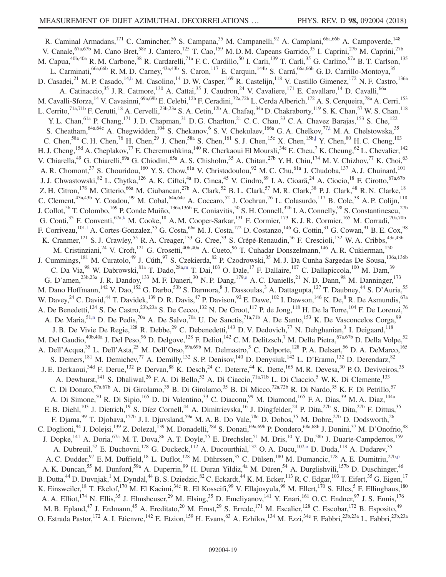<span id="page-18-8"></span><span id="page-18-7"></span><span id="page-18-6"></span><span id="page-18-5"></span><span id="page-18-4"></span><span id="page-18-3"></span><span id="page-18-2"></span><span id="page-18-1"></span><span id="page-18-0"></span>R. Caminal Armadans,<sup>171</sup> C. Camincher,<sup>56</sup> S. Campana,<sup>35</sup> M. Campanelli,<sup>92</sup> A. Camplani,<sup>66a,66b</sup> A. Campoverde,<sup>148</sup> V. Canale,<sup>67a,67b</sup> M. Cano Bret,<sup>58c</sup> J. Cantero,<sup>125</sup> T. Cao,<sup>159</sup> M. D. M. Capeans Garrido,<sup>35</sup> I. Caprini,<sup>27b</sup> M. Caprini,<sup>27b</sup> M. Capua, <sup>40b,40a</sup> R. M. Carbone,<sup>38</sup> R. Cardarelli,<sup>71a</sup> F. C. Cardillo,<sup>50</sup> I. Carli,<sup>139</sup> T. Carli,<sup>35</sup> G. Carlino,<sup>67a</sup> B. T. Carlson,<sup>135</sup> L. Carminati,<sup>66a,66b</sup> R. M. D. Carney,<sup>43a,43b</sup> S. Caron,<sup>117</sup> E. Carquin,<sup>144b</sup> S. Carrá,<sup>66a,66b</sup> G. D. Carrillo-Montoya,<sup>35</sup> D. Casadei,<sup>21</sup> M. P. Casado,<sup>14[,h](#page-29-7)</sup> M. Casolino,<sup>14</sup> D. W. Casper,<sup>169</sup> R. Castelijn,<sup>118</sup> V. Castillo Gimenez,<sup>172</sup> N. F. Castro,<sup>136a</sup> A. Catinaccio,<sup>35</sup> J. R. Catmore,<sup>130</sup> A. Cattai,<sup>35</sup> J. Caudron,<sup>24</sup> V. Cavaliere,<sup>171</sup> E. Cavallaro,<sup>14</sup> D. Cavalli,<sup>66a</sup> M. Cavalli-Sforza, <sup>14</sup> V. Cavasinni, <sup>69a,69b</sup> E. Celebi, <sup>12b</sup> F. Ceradini, <sup>72a,72b</sup> L. Cerda Alberich, <sup>172</sup> A. S. Cerqueira, <sup>78a</sup> A. Cerri, <sup>153</sup> L. Cerrito,<sup>71a,71b</sup> F. Cerutti,<sup>18</sup> A. Cervelli,<sup>23b,23a</sup> S. A. Cetin,<sup>12b</sup> A. Chafaq,<sup>34a</sup> D. Chakraborty,<sup>119</sup> S. K. Chan,<sup>57</sup> W. S. Chan,<sup>118</sup> Y. L. Chan, <sup>61a</sup> P. Chang, <sup>171</sup> J. D. Chapman, <sup>31</sup> D. G. Charlton, <sup>21</sup> C. C. Chau, <sup>33</sup> C. A. Chavez Barajas, <sup>153</sup> S. Che, <sup>122</sup> S. Cheatham,  $64a,64c$  A. Chegwidden,  $104$  S. Chekanov,  $6$  S. V. Chekulaev,  $166a$  G. A. Chelkov,  $77, i$  M. A. Chelstowska,  $35$ C. Chen,<sup>58a</sup> C. H. Chen,<sup>76</sup> H. Chen,<sup>29</sup> J. Chen,<sup>58a</sup> S. Chen,<sup>161</sup> S. J. Chen,<sup>15c</sup> X. Chen,<sup>15b[,j](#page-29-9)</sup> Y. Chen,<sup>80</sup> H. C. Cheng,<sup>103</sup> H. J. Cheng,<sup>15d</sup> A. Cheplakov,<sup>77</sup> E. Cheremushkina,<sup>140</sup> R. Cherkaoui El Moursli,<sup>34e</sup> E. Cheu,<sup>7</sup> K. Cheung,<sup>62</sup> L. Chevalier,<sup>142</sup> V. Chiarella,<sup>49</sup> G. Chiarelli,<sup>69a</sup> G. Chiodini,<sup>65a</sup> A. S. Chisholm,<sup>35</sup> A. Chitan,<sup>27b</sup> Y. H. Chiu,<sup>174</sup> M. V. Chizhov,<sup>77</sup> K. Choi,<sup>63</sup> A. R. Chomont,<sup>37</sup> S. Chouridou,<sup>160</sup> Y. S. Chow,<sup>61a</sup> V. Christodoulou,<sup>92</sup> M. C. Chu,<sup>61a</sup> J. Chudoba,<sup>137</sup> A. J. Chuinard,<sup>101</sup> J. J. Chwastowski,<sup>82</sup> L. Chytka,<sup>126</sup> A. K. Ciftci,<sup>4a</sup> D. Cinca,<sup>45</sup> V. Cindro,<sup>89</sup> I. A. Cioară,<sup>24</sup> A. Ciocio,<sup>18</sup> F. Cirotto,<sup>67a,67b</sup> Z. H. Citron,<sup>178</sup> M. Citterio,<sup>66a</sup> M. Ciubancan,<sup>27b</sup> A. Clark,<sup>52</sup> B. L. Clark,<sup>57</sup> M. R. Clark,<sup>38</sup> P. J. Clark,<sup>48</sup> R. N. Clarke,<sup>18</sup> C. Clement,<sup>43a,43b</sup> Y. Coadou,<sup>99</sup> M. Cobal,<sup>64a,64c</sup> A. Coccaro,<sup>52</sup> J. Cochran,<sup>76</sup> L. Colasurdo,<sup>117</sup> B. Cole,<sup>38</sup> A. P. Colijn,<sup>118</sup> J. Collot,<sup>56</sup> T. Colombo,<sup>169</sup> P. Conde Muiño,<sup>136a,136b</sup> E. Coniavitis,<sup>50</sup> S. H. Connell,<sup>32b</sup> I. A. Connelly,<sup>98</sup> S. Constantinescu,<sup>27b</sup> G. Conti,<sup>35</sup> F. Conventi,<sup>67a[,k](#page-29-10)</sup> M. Cooke,<sup>18</sup> A. M. Cooper-Sarkar,<sup>131</sup> F. Cormier,<sup>173</sup> K. J. R. Cormier,<sup>165</sup> M. Corradi,<sup>70a,70b</sup> F. Corriveau,<sup>101,1</sup> A. Cortes-Gonzalez,<sup>35</sup> G. Costa,<sup>66a</sup> M. J. Costa,<sup>172</sup> D. Costanzo,<sup>146</sup> G. Cottin,<sup>31</sup> G. Cowan,<sup>91</sup> B. E. Cox,<sup>98</sup> K. Cranmer,<sup>121</sup> S. J. Crawley,<sup>55</sup> R. A. Creager,<sup>133</sup> G. Cree,<sup>33</sup> S. Crépé-Renaudin,<sup>56</sup> F. Crescioli,<sup>132</sup> W. A. Cribbs,<sup>43a,43b</sup> M. Cristinziani,<sup>24</sup> V. Croft,<sup>121</sup> G. Crosetti,<sup>40b,40a</sup> A. Cueto,<sup>96</sup> T. Cuhadar Donszelmann,<sup>146</sup> A. R. Cukierman,<sup>150</sup> J. Cummings,<sup>181</sup> M. Curatolo,<sup>49</sup> J. Cúth,<sup>97</sup> S. Czekierda,<sup>82</sup> P. Czodrowski,<sup>35</sup> M. J. Da Cunha Sargedas De Sousa,<sup>136a,136b</sup> C. Da Via, <sup>98</sup> W. Dabrowski, <sup>81a</sup> T. Dado, <sup>28[a,m](#page-29-12)</sup> T. Dai, <sup>103</sup> O. Dale, <sup>17</sup> F. Dallaire, <sup>107</sup> C. Dallapiccola, <sup>100</sup> M. Dam, <sup>39</sup> G. D'amen,<sup>23b,23a</sup> J. R. Dandoy,<sup>133</sup> M. F. Daneri,<sup>30</sup> N. P. Dang,<sup>179[,e](#page-29-4)</sup> A. C. Daniells,<sup>21</sup> N. D. Dann,<sup>98</sup> M. Danninger,<sup>173</sup> M. Dano Hoffmann,<sup>142</sup> V. Dao,<sup>152</sup> G. Darbo,<sup>53b</sup> S. Darmora,<sup>8</sup> J. Dassoulas,<sup>3</sup> A. Dattagupta,<sup>127</sup> T. Daubney,<sup>44</sup> S. D'Auria,<sup>55</sup> W. Davey,  $^{24}$  C. David,  $^{44}$  T. Davidek,  $^{139}$  D. R. Davis,  $^{47}$  P. Davison,  $^{92}$  E. Dawe,  $^{102}$  I. Dawson,  $^{146}$  K. De,  $^{8}$  R. De Asmundis,  $^{67a}$ A. De Benedetti,  $^{124}$  S. De Castro,  $^{23b,23a}$  S. De Cecco,  $^{132}$  N. De Groot,  $^{117}$  P. de Jong,  $^{118}$  H. De la Torre,  $^{104}$  F. De Lorenzi,  $^{76}$ A. De Maria,<sup>5[1,n](#page-29-13)</sup> D. De Pedis,<sup>70a</sup> A. De Salvo,<sup>70a</sup> U. De Sanctis,<sup>71a,71b</sup> A. De Santo,<sup>153</sup> K. De Vasconcelos Corga,<sup>99</sup> J. B. De Vivie De Regie,<sup>128</sup> R. Debbe,<sup>29</sup> C. Debenedetti,<sup>143</sup> D. V. Dedovich,<sup>77</sup> N. Dehghanian,<sup>3</sup> I. Deigaard,<sup>118</sup> M. Del Gaudio,<sup>40b,40a</sup> J. Del Peso,<sup>96</sup> D. Delgove,<sup>128</sup> F. Deliot,<sup>142</sup> C. M. Delitzsch,<sup>7</sup> M. Della Pietra,<sup>67a,67b</sup> D. Della Volpe,<sup>52</sup> A. Dell'Acqua,<sup>35</sup> L. Dell'Asta,<sup>25</sup> M. Dell'Orso,<sup>69a,69b</sup> M. Delmastro,<sup>5</sup> C. Delporte,<sup>128</sup> P. A. Delsart,<sup>56</sup> D. A. DeMarco,<sup>165</sup> S. Demers,<sup>181</sup> M. Demichev,<sup>77</sup> A. Demilly,<sup>132</sup> S. P. Denisov,<sup>140</sup> D. Denysiuk,<sup>142</sup> L. D'Eramo,<sup>132</sup> D. Derendarz,<sup>82</sup> J. E. Derkaoui,<sup>34d</sup> F. Derue,<sup>132</sup> P. Dervan,<sup>88</sup> K. Desch,<sup>24</sup> C. Deterre,<sup>44</sup> K. Dette,<sup>165</sup> M. R. Devesa,<sup>30</sup> P. O. Deviveiros,<sup>35</sup> A. Dewhurst,<sup>141</sup> S. Dhaliwal,<sup>26</sup> F. A. Di Bello,<sup>52</sup> A. Di Ciaccio,<sup>71a,71b</sup> L. Di Ciaccio,<sup>5</sup> W. K. Di Clemente,<sup>133</sup> C. Di Donato, <sup>67a,67b</sup> A. Di Girolamo,<sup>35</sup> B. Di Girolamo,<sup>35</sup> B. Di Micco,<sup>72a,72b</sup> R. Di Nardo,<sup>35</sup> K. F. Di Petrillo,<sup>57</sup> A. Di Simone,<sup>50</sup> R. Di Sipio,<sup>165</sup> D. Di Valentino,<sup>33</sup> C. Diaconu,<sup>99</sup> M. Diamond,<sup>165</sup> F. A. Dias,<sup>39</sup> M. A. Diaz,<sup>144a</sup> E. B. Diehl,<sup>103</sup> J. Dietrich,<sup>19</sup> S. Díez Cornell,<sup>44</sup> A. Dimitrievska,<sup>16</sup> J. Dingfelder,<sup>24</sup> P. Dita,<sup>27b</sup> S. Dita,<sup>27b</sup> F. Dittus,<sup>35</sup> F. Djama,<sup>99</sup> T. Djobava,<sup>157b</sup> J. I. Djuvsland,<sup>59a</sup> M. A. B. Do Vale,<sup>78c</sup> D. Dobos,<sup>35</sup> M. Dobre,<sup>27b</sup> D. Dodsworth,<sup>26</sup> C. Doglioni,<sup>94</sup> J. Dolejsi,<sup>139</sup> Z. Dolezal,<sup>139</sup> M. Donadelli,<sup>78d</sup> S. Donati,<sup>69a,69b</sup> P. Dondero,<sup>68a,68b</sup> J. Donini,<sup>37</sup> M. D'Onofrio,<sup>88</sup> J. Dopke,<sup>141</sup> A. Doria,<sup>67a</sup> M. T. Dova,<sup>86</sup> A. T. Doyle,<sup>55</sup> E. Drechsler,<sup>51</sup> M. Dris,<sup>10</sup> Y. Du,<sup>58b</sup> J. Duarte-Campderros,<sup>159</sup> A. Dubreuil,<sup>52</sup> E. Duchovni,<sup>178</sup> G. Duckeck,<sup>112</sup> A. Ducourthial,<sup>132</sup> O. A. Ducu,<sup>107,0</sup> D. Duda,<sup>118</sup> A. Dudarev,<sup>35</sup> A. C. Dudder, <sup>97</sup> E. M. Duffield, <sup>18</sup> L. Duflot, <sup>128</sup> M. Dührssen, <sup>35</sup> C. Dülsen, <sup>180</sup> M. Dumancic, <sup>178</sup> A. E. Dumitriu, <sup>27b, p</sup> A. K. Duncan,<sup>55</sup> M. Dunford,<sup>59a</sup> A. Duperrin,<sup>99</sup> H. Duran Yildiz,<sup>4a</sup> M. Düren,<sup>54</sup> A. Durglishvili,<sup>157b</sup> D. Duschinger,<sup>46</sup> B. Dutta,<sup>44</sup> D. Duvnjak,<sup>1</sup> M. Dyndal,<sup>44</sup> B. S. Dziedzic,<sup>82</sup> C. Eckardt,<sup>44</sup> K. M. Ecker,<sup>113</sup> R. C. Edgar,<sup>103</sup> T. Eifert,<sup>35</sup> G. Eigen,<sup>17</sup> K. Einsweiler,<sup>18</sup> T. Ekelof,<sup>170</sup> M. El Kacimi,<sup>34c</sup> R. El Kosseifi,<sup>99</sup> V. Ellajosyula,<sup>99</sup> M. Ellert,<sup>170</sup> S. Elles,<sup>5</sup> F. Ellinghaus,<sup>180</sup> A. A. Elliot,<sup>174</sup> N. Ellis,<sup>35</sup> J. Elmsheuser,<sup>29</sup> M. Elsing,<sup>35</sup> D. Emeliyanov,<sup>141</sup> Y. Enari,<sup>161</sup> O. C. Endner,<sup>97</sup> J. S. Ennis,<sup>176</sup> M. B. Epland,<sup>47</sup> J. Erdmann,<sup>45</sup> A. Ereditato,<sup>20</sup> M. Ernst,<sup>29</sup> S. Errede,<sup>171</sup> M. Escalier,<sup>128</sup> C. Escobar,<sup>172</sup> B. Esposito,<sup>49</sup> O. Estrada Pastor,<sup>172</sup> A. I. Etienvre,<sup>142</sup> E. Etzion,<sup>159</sup> H. Evans,<sup>63</sup> A. Ezhilov,<sup>134</sup> M. Ezzi,<sup>34e</sup> F. Fabbri,<sup>23b,23a</sup> L. Fabbri,<sup>23b,23a</sup>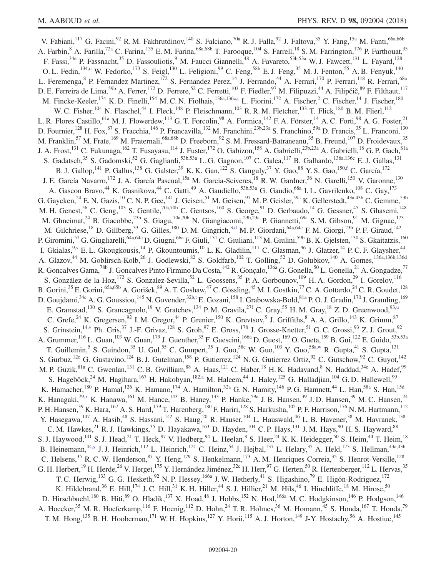<span id="page-19-8"></span><span id="page-19-7"></span><span id="page-19-6"></span><span id="page-19-5"></span><span id="page-19-4"></span><span id="page-19-3"></span><span id="page-19-2"></span><span id="page-19-1"></span><span id="page-19-0"></span>V. Fabiani,<sup>117</sup> G. Facini,<sup>92</sup> R. M. Fakhrutdinov,<sup>140</sup> S. Falciano,<sup>70a</sup> R. J. Falla,<sup>92</sup> J. Faltova,<sup>35</sup> Y. Fang,<sup>15a</sup> M. Fanti,<sup>66a,66b</sup> A. Farbin,<sup>8</sup> A. Farilla,<sup>72a</sup> C. Farina,<sup>135</sup> E.M. Farina,<sup>68a,68b</sup> T. Farooque,<sup>104</sup> S. Farrell,<sup>18</sup> S.M. Farrington,<sup>176</sup> P. Farthouat,<sup>35</sup> F. Fassi,<sup>34e</sup> P. Fassnacht,<sup>35</sup> D. Fassouliotis,<sup>9</sup> M. Faucci Giannelli,<sup>48</sup> A. Favareto,<sup>53b,53a</sup> W. J. Fawcett,<sup>131</sup> L. Fayard,<sup>128</sup> O. L. Fedin,  $^{134,q}$  $^{134,q}$  $^{134,q}$  W. Fedorko,  $^{173}$  S. Feigl,  $^{130}$  L. Feligioni,  $^{99}$  C. Feng,  $^{58b}$  E. J. Feng,  $^{35}$  M. J. Fenton,  $^{55}$  A. B. Fenyuk,  $^{140}$ L. Feremenga, <sup>8</sup> P. Fernandez Martinez, <sup>172</sup> S. Fernandez Perez, <sup>14</sup> J. Ferrando, <sup>44</sup> A. Ferrari, <sup>170</sup> P. Ferrari, <sup>118</sup> R. Ferrari, <sup>68a</sup> D. E. Ferreira de Lima,<sup>59b</sup> A. Ferrer,<sup>172</sup> D. Ferrere,<sup>52</sup> C. Ferretti,<sup>103</sup> F. Fiedler,<sup>97</sup> M. Filipuzzi,<sup>44</sup> A. Filipčič,<sup>89</sup> F. Filthaut,<sup>117</sup> M. Fincke-Keeler,<sup>174</sup> K. D. Finelli,<sup>154</sup> M. C. N. Fiolhais,<sup>136a,136[c,r](#page-29-17)</sup> L. Fiorini,<sup>172</sup> A. Fischer,<sup>2</sup> C. Fischer,<sup>14</sup> J. Fischer,<sup>180</sup> W. C. Fisher,<sup>104</sup> N. Flaschel,<sup>44</sup> I. Fleck,<sup>148</sup> P. Fleischmann,<sup>103</sup> R. R. M. Fletcher,<sup>133</sup> T. Flick,<sup>180</sup> B. M. Flierl,<sup>112</sup> L. R. Flores Castillo, <sup>61a</sup> M. J. Flowerdew, <sup>113</sup> G. T. Forcolin, <sup>98</sup> A. Formica, <sup>142</sup> F. A. Förster, <sup>14</sup> A. C. Forti, <sup>98</sup> A. G. Foster, <sup>21</sup> D. Fournier,<sup>128</sup> H. Fox,<sup>87</sup> S. Fracchia,<sup>146</sup> P. Francavilla,<sup>132</sup> M. Franchini,<sup>23b,23a</sup> S. Franchino,<sup>59a</sup> D. Francis,<sup>35</sup> L. Franconi,<sup>130</sup> M. Franklin,<sup>57</sup> M. Frate,<sup>169</sup> M. Fraternali,<sup>68a,68b</sup> D. Freeborn,<sup>92</sup> S. M. Fressard-Batraneanu,<sup>35</sup> B. Freund,<sup>107</sup> D. Froidevaux,<sup>35</sup> J. A. Frost,<sup>131</sup> C. Fukunaga,<sup>162</sup> T. Fusayasu,<sup>114</sup> J. Fuster,<sup>172</sup> O. Gabizon,<sup>158</sup> A. Gabrielli,<sup>23b,23a</sup> A. Gabrielli,<sup>18</sup> G. P. Gach,<sup>81a</sup> S. Gadatsch,<sup>35</sup> S. Gadomski,<sup>52</sup> G. Gagliardi,<sup>53b,53a</sup> L. G. Gagnon,<sup>107</sup> C. Galea,<sup>117</sup> B. Galhardo,<sup>136a,136c</sup> E. J. Gallas,<sup>131</sup> B. J. Gallop, <sup>141</sup> P. Gallus, <sup>138</sup> G. Galster, <sup>39</sup> K. K. Gan, <sup>122</sup> S. Ganguly, <sup>37</sup> Y. Gao, <sup>88</sup> Y. S. Gao, <sup>150[,f](#page-29-5)</sup> C. García, <sup>172</sup> J. E. García Navarro,<sup>172</sup> J. A. García Pascual,<sup>15a</sup> M. Garcia-Sciveres,<sup>18</sup> R. W. Gardner,<sup>36</sup> N. Garelli,<sup>150</sup> V. Garonne,<sup>130</sup> A. Gascon Bravo,<sup>44</sup> K. Gasnikova,<sup>44</sup> C. Gatti,<sup>49</sup> A. Gaudiello,<sup>53b,53a</sup> G. Gaudio,<sup>68a</sup> I. L. Gavrilenko,<sup>108</sup> C. Gay,<sup>173</sup> G. Gaycken,  $^{24}$  E. N. Gazis,  $^{10}$  C. N. P. Gee,  $^{141}$  J. Geisen,  $^{51}$  M. Geisen,  $^{97}$  M. P. Geisler,  $^{59a}$  K. Gellerstedt,  $^{43a,43b}$  C. Gemme,  $^{53b}$ M. H. Genest, <sup>56</sup> C. Geng, <sup>103</sup> S. Gentile, <sup>70a, 70b</sup> C. Gentsos, <sup>160</sup> S. George, <sup>91</sup> D. Gerbaudo, <sup>14</sup> G. Gessner, <sup>45</sup> S. Ghasemi, <sup>148</sup> M. Ghneimat,<sup>24</sup> B. Giacobbe,<sup>23b</sup> S. Giagu,<sup>70a,70b</sup> N. Giangiacomi,<sup>23b,23a</sup> P. Giannetti,<sup>69a</sup> S. M. Gibson,<sup>91</sup> M. Gignac,<sup>173</sup> M. Gilchriese,<sup>18</sup> D. Gillberg,<sup>33</sup> G. Gilles,<sup>180</sup> D. M. Gingrich,<sup>[3,d](#page-29-3)</sup> M. P. Giordani,<sup>64a,64c</sup> F. M. Giorgi,<sup>23b</sup> P. F. Giraud,<sup>142</sup> P. Giromini,<sup>57</sup> G. Giugliarelli,<sup>64a,64c</sup> D. Giugni,<sup>66a</sup> F. Giuli,<sup>131</sup> C. Giuliani,<sup>113</sup> M. Giulini,<sup>59b</sup> B. K. Gjelsten,<sup>130</sup> S. Gkaitatzis,<sup>160</sup> I. Gkialas,<sup>9[,s](#page-29-18)</sup> E. L. Gkougkousis,<sup>14</sup> P. Gkountoumis,<sup>10</sup> L. K. Gladilin,<sup>111</sup> C. Glasman,<sup>96</sup> J. Glatzer,<sup>14</sup> P. C. F. Glaysher, A. Glazov,<sup>44</sup> M. Goblirsch-Kolb,<sup>26</sup> J. Godlewski,<sup>82</sup> S. Goldfarb,<sup>102</sup> T. Golling,<sup>52</sup> D. Golubkov,<sup>140</sup> A. Gomes,<sup>136a,136b,136d</sup> R. Goncalves Gama, <sup>78b</sup> J. Goncalves Pinto Firmino Da Costa, <sup>142</sup> R. Gonçalo, <sup>136a</sup> G. Gonella, <sup>50</sup> L. Gonella, <sup>21</sup> A. Gongadze, <sup>77</sup> S. González de la Hoz,<sup>172</sup> S. Gonzalez-Sevilla,<sup>52</sup> L. Goossens,<sup>35</sup> P. A. Gorbounov,<sup>109</sup> H. A. Gordon,<sup>29</sup> I. Gorelov,<sup>116</sup> B. Gorini,<sup>35</sup> E. Gorini,<sup>65a,65b</sup> A. Gorišek,<sup>89</sup> A. T. Goshaw,<sup>47</sup> C. Gössling,<sup>45</sup> M. I. Gostkin,<sup>77</sup> C. A. Gottardo,<sup>24</sup> C. R. Goudet,<sup>128</sup> D. Goujdami,<sup>34c</sup> A. G. Goussiou,<sup>145</sup> N. Govender,<sup>32b[,t](#page-29-19)</sup> E. Gozani,<sup>158</sup> I. Grabowska-Bold,<sup>81a</sup> P. O. J. Gradin,<sup>170</sup> J. Gramling,<sup>169</sup> E. Gramstad,<sup>130</sup> S. Grancagnolo,<sup>19</sup> V. Gratchev,<sup>134</sup> P. M. Gravila,<sup>27f</sup> C. Gray,<sup>55</sup> H. M. Gray,<sup>18</sup> Z. D. Greenwood,<sup>9[3,u](#page-29-20)</sup> C. Grefe,  $24$  K. Gregersen,  $92$  I. M. Gregor,  $44$  P. Grenier,  $150$  K. Grevtsov,  $5$  J. Griffiths,  $8$  A. A. Grillo,  $143$  K. Grimm,  $87$ S. Grinstein,  $14,y$  Ph. Gris,  $37$  J.-F. Grivaz,  $128$  S. Groh,  $97$  E. Gross,  $178$  J. Grosse-Knetter,  $51$  G. C. Grossi,  $93$  Z. J. Grout,  $92$ A. Grummer,  $^{116}$  L. Guan,  $^{103}$  W. Guan,  $^{179}$  J. Guenther,  $^{35}$  F. Guescini,  $^{166a}$  D. Guest,  $^{169}$  O. Gueta,  $^{159}$  B. Gui,  $^{122}$  E. Guido,  $^{53b,53a}$ T. Guillemin,<sup>5</sup> S. Guindon,<sup>35</sup> U. Gul,<sup>55</sup> C. Gumpert,<sup>35</sup> J. Guo,<sup>58c</sup> W. Guo,<sup>103</sup> Y. Guo,<sup>58a[,w](#page-29-22)</sup> R. Gupta,<sup>41</sup> S. Gupta,<sup>131</sup> S. Gurbuz,<sup>12c</sup> G. Gustavino,<sup>124</sup> B. J. Gutelman,<sup>158</sup> P. Gutierrez,<sup>124</sup> N. G. Gutierrez Ortiz,<sup>92</sup> C. Gutschow,<sup>92</sup> C. Guyot,<sup>142</sup> M. P. Guzik,<sup>81a</sup> C. Gwenlan,<sup>131</sup> C. B. Gwilliam,<sup>88</sup> A. Haas,<sup>121</sup> C. Haber,<sup>18</sup> H. K. Hadavand,<sup>8</sup> N. Haddad,<sup>34e</sup> A. Hadef,<sup>99</sup> S. Hageböck,<sup>24</sup> M. Hagihara,<sup>167</sup> H. Hakobyan,<sup>182[,a](#page-29-0)</sup> M. Haleem,<sup>44</sup> J. Haley,<sup>125</sup> G. Halladjian,<sup>104</sup> G.D. Hallewell,<sup>99</sup> K. Hamacher,<sup>180</sup> P. Hamal,<sup>126</sup> K. Hamano,<sup>174</sup> A. Hamilton,<sup>32a</sup> G. N. Hamity,<sup>146</sup> P. G. Hamnett,<sup>44</sup> L. Han,<sup>58a</sup> S. Han,<sup>15d</sup> K. Hanagaki,<sup>7[9,x](#page-29-23)</sup> K. Hanawa,<sup>161</sup> M. Hance,<sup>143</sup> B. Haney,<sup>133</sup> P. Hanke,<sup>59a</sup> J. B. Hansen,<sup>39</sup> J. D. Hansen,<sup>39</sup> M. C. Hansen,<sup>24</sup> P. H. Hansen,<sup>39</sup> K. Hara,<sup>167</sup> A. S. Hard,<sup>179</sup> T. Harenberg,<sup>180</sup> F. Hariri,<sup>128</sup> S. Harkusha,<sup>105</sup> P. F. Harrison,<sup>176</sup> N. M. Hartmann,<sup>112</sup> Y. Hasegawa,<sup>147</sup> A. Hasib,<sup>48</sup> S. Hassani,<sup>142</sup> S. Haug,<sup>20</sup> R. Hauser,<sup>104</sup> L. Hauswald,<sup>46</sup> L. B. Havener,<sup>38</sup> M. Havranek,<sup>138</sup> C. M. Hawkes,<sup>21</sup> R. J. Hawkings,<sup>35</sup> D. Hayakawa,<sup>163</sup> D. Hayden,<sup>104</sup> C. P. Hays,<sup>131</sup> J. M. Hays,<sup>90</sup> H. S. Hayward,<sup>88</sup> S. J. Haywood,<sup>141</sup> S. J. Head,<sup>21</sup> T. Heck,<sup>97</sup> V. Hedberg,<sup>94</sup> L. Heelan,<sup>8</sup> S. Heer,<sup>24</sup> K. K. Heidegger,<sup>50</sup> S. Heim,<sup>44</sup> T. Heim,<sup>18</sup> B. Heinemann,<sup>4[4,y](#page-29-24)</sup> J.J. Heinrich,<sup>112</sup> L. Heinrich,<sup>121</sup> C. Heinz,<sup>54</sup> J. Hejbal,<sup>137</sup> L. Helary,<sup>35</sup> A. Held,<sup>173</sup> S. Hellman,<sup>43a,43b</sup> C. Helsens,  $35$  R. C. W. Henderson,  $87$  Y. Heng,  $179$  S. Henkelmann,  $173$  A. M. Henriques Correia,  $35$  S. Henrot-Versille,  $128$ G. H. Herbert,  $^{19}$  H. Herde,  $^{26}$  V. Herget,  $^{175}$  Y. Hernández Jiménez,  $^{32c}$  H. Herr,  $^{97}$  G. Herten,  $^{50}$  R. Hertenberger,  $^{112}$  L. Hervas,  $^{35}$ T. C. Herwig,<sup>133</sup> G. G. Hesketh,<sup>92</sup> N. P. Hessey,<sup>166a</sup> J. W. Hetherly,<sup>41</sup> S. Higashino,<sup>79</sup> E. Higón-Rodriguez,<sup>172</sup> K. Hildebrand,  $36$  E. Hill,  $174$  J. C. Hill,  $31$  K. H. Hiller,  $44$  S. J. Hillier,  $21$  M. Hils,  $46$  I. Hinchliffe,  $18$  M. Hirose,  $50$ D. Hirschbuehl,<sup>180</sup> B. Hiti,<sup>89</sup> O. Hladik,<sup>137</sup> X. Hoad,<sup>48</sup> J. Hobbs,<sup>152</sup> N. Hod,<sup>166a</sup> M. C. Hodgkinson,<sup>146</sup> P. Hodgson,<sup>146</sup> A. Hoecker,<sup>35</sup> M. R. Hoeferkamp,<sup>116</sup> F. Hoenig,<sup>112</sup> D. Hohn,<sup>24</sup> T. R. Holmes,<sup>36</sup> M. Homann,<sup>45</sup> S. Honda,<sup>167</sup> T. Honda,<sup>79</sup> T. M. Hong,<sup>135</sup> B. H. Hooberman,<sup>171</sup> W. H. Hopkins,<sup>127</sup> Y. Horii,<sup>115</sup> A. J. Horton,<sup>149</sup> J-Y. Hostachy,<sup>56</sup> A. Hostiuc,<sup>145</sup>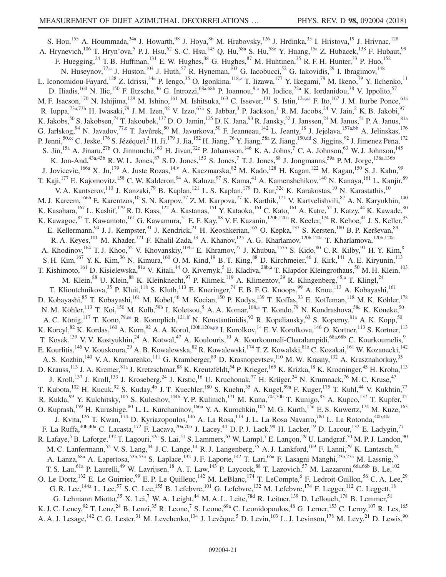<span id="page-20-5"></span><span id="page-20-4"></span><span id="page-20-3"></span><span id="page-20-2"></span><span id="page-20-1"></span><span id="page-20-0"></span>S. Hou,<sup>155</sup> A. Hoummada,<sup>34a</sup> J. Howarth,<sup>98</sup> J. Hoya,<sup>86</sup> M. Hrabovsky,<sup>126</sup> J. Hrdinka,<sup>35</sup> I. Hristova,<sup>19</sup> J. Hrivnac,<sup>128</sup> A. Hrynevich,<sup>106</sup> T. Hryn'ova,<sup>5</sup> P. J. Hsu,<sup>62</sup> S.-C. Hsu,<sup>145</sup> Q. Hu,<sup>58a</sup> S. Hu,<sup>58c</sup> Y. Huang,<sup>15a</sup> Z. Hubacek,<sup>138</sup> F. Hubaut,<sup>99</sup> F. Huegging,<sup>24</sup> T. B. Huffman,<sup>131</sup> E. W. Hughes,<sup>38</sup> G. Hughes,<sup>87</sup> M. Huhtinen,<sup>35</sup> R. F. H. Hunter,<sup>33</sup> P. Huo,<sup>152</sup> N. Huseynov,<sup>77[,c](#page-29-2)</sup> J. Huston,<sup>104</sup> J. Huth,<sup>57</sup> R. Hyneman,<sup>103</sup> G. Iacobucci,<sup>52</sup> G. Iakovidis,<sup>29</sup> I. Ibragimov,<sup>148</sup> L. Iconomidou-Fayard,<sup>128</sup> Z. Idrissi,<sup>34e</sup> P. Iengo,<sup>35</sup> O. Igonkina,<sup>118[,z](#page-29-25)</sup> T. Iizawa,<sup>177</sup> Y. Ikegami,<sup>79</sup> M. Ikeno,<sup>79</sup> Y. Ilchenko,<sup>11</sup> D. Iliadis,<sup>160</sup> N. Ilic,<sup>150</sup> F. Iltzsche,<sup>46</sup> G. Introzzi,<sup>68a,68b</sup> P. Ioannou,<sup>9[,a](#page-29-0)</sup> M. Iodice,<sup>72a</sup> K. Iordanidou,<sup>38</sup> V. Ippolito,<sup>57</sup> M. F. Isacson,<sup>170</sup> N. Ishijima,<sup>129</sup> M. Ishino,<sup>161</sup> M. Ishitsuka,<sup>163</sup> C. Issever,<sup>131</sup> S. Istin,<sup>12c[,aa](#page-29-26)</sup> F. Ito,<sup>167</sup> J. M. Iturbe Ponce,<sup>61a</sup> R. Iuppa,<sup>73a,73b</sup> H. Iwasaki,<sup>79</sup> J. M. Izen,<sup>42</sup> V. Izzo,<sup>67a</sup> S. Jabbar,<sup>3</sup> P. Jackson,<sup>1</sup> R. M. Jacobs,<sup>24</sup> V. Jain,<sup>2</sup> K. B. Jakobi,<sup>97</sup> K. Jakobs,  $^{50}$  S. Jakobsen,  $^{74}$  T. Jakoubek,  $^{137}$  D. O. Jamin,  $^{125}$  D. K. Jana,  $^{93}$  R. Jansky,  $^{52}$  J. Janssen,  $^{24}$  M. Janus,  $^{51}$  P. A. Janus,  $^{81a}$ G. Jarlskog,  $94$  N. Javadov,  $77$ , C. Javůrek,  $50$  M. Javurkova,  $50$  F. Jeanneau,  $^{142}$  L. Jeanty,  $^{18}$  J. Jejelava,  $^{157a,bb}$  $^{157a,bb}$  $^{157a,bb}$  A. Jelinskas,  $^{176}$ P. Jenni,<sup>5[0,cc](#page-29-28)</sup> C. Jeske,<sup>176</sup> S. Jézéquel,<sup>5</sup> H. Ji,<sup>179</sup> J. Jia,<sup>152</sup> H. Jiang,<sup>76</sup> Y. Jiang,<sup>58a</sup> Z. Jiang,<sup>150[,dd](#page-29-29)</sup> S. Jiggins,<sup>92</sup> J. Jimenez Pena,<sup>172</sup> S. Jin,<sup>15a</sup> A. Jinaru,<sup>27b</sup> O. Jinnouchi,<sup>163</sup> H. Jivan,<sup>32c</sup> P. Johansson,<sup>146</sup> K. A. Johns,<sup>7</sup> C. A. Johnson,<sup>63</sup> W. J. Johnson,<sup>145</sup> K. Jon-And,<sup>43a,43b</sup> R. W. L. Jones,<sup>87</sup> S. D. Jones,<sup>153</sup> S. Jones,<sup>7</sup> T. J. Jones,<sup>88</sup> J. Jongmanns,<sup>59a</sup> P. M. Jorge,<sup>136a,136b</sup> J. Jovicevic,<sup>166a</sup> X. Ju,<sup>179</sup> A. Juste Rozas,<sup>14[,v](#page-29-21)</sup> A. Kaczmarska,<sup>82</sup> M. Kado,<sup>128</sup> H. Kagan,<sup>122</sup> M. Kagan,<sup>150</sup> S. J. Kahn,<sup>99</sup> T. Kaji,<sup>177</sup> E. Kajomovitz,<sup>158</sup> C. W. Kalderon,<sup>94</sup> A. Kaluza,<sup>97</sup> S. Kama,<sup>41</sup> A. Kamenshchikov,<sup>140</sup> N. Kanaya,<sup>161</sup> L. Kanjir,<sup>89</sup> V. A. Kantserov,<sup>110</sup> J. Kanzaki,<sup>79</sup> B. Kaplan,<sup>121</sup> L. S. Kaplan,<sup>179</sup> D. Kar,<sup>32c</sup> K. Karakostas,<sup>10</sup> N. Karastathis,<sup>10</sup> M. J. Kareem, <sup>166b</sup> E. Karentzos, <sup>10</sup> S. N. Karpov, <sup>77</sup> Z. M. Karpova, <sup>77</sup> K. Karthik, <sup>121</sup> V. Kartvelishvili, <sup>87</sup> A. N. Karyukhin, <sup>140</sup> K. Kasahara,<sup>167</sup> L. Kashif,<sup>179</sup> R. D. Kass,<sup>122</sup> A. Kastanas,<sup>151</sup> Y. Kataoka,<sup>161</sup> C. Kato,<sup>161</sup> A. Katre,<sup>52</sup> J. Katzy,<sup>44</sup> K. Kawade,<sup>80</sup> K. Kawagoe,<sup>85</sup> T. Kawamoto,<sup>161</sup> G. Kawamura,<sup>51</sup> E. F. Kay,<sup>88</sup> V. F. Kazanin,<sup>120b,120a</sup> R. Keeler,<sup>174</sup> R. Kehoe,<sup>41</sup> J. S. Keller,<sup>33</sup> E. Kellermann,<sup>94</sup> J. J. Kempster,<sup>91</sup> J. Kendrick,<sup>21</sup> H. Keoshkerian,<sup>165</sup> O. Kepka,<sup>137</sup> S. Kersten,<sup>180</sup> B. P. Kerševan,<sup>89</sup> R. A. Keyes,<sup>101</sup> M. Khader,<sup>171</sup> F. Khalil-Zada,<sup>13</sup> A. Khanov,<sup>125</sup> A. G. Kharlamov,<sup>120b,120a</sup> T. Kharlamova,<sup>120b,120a</sup> A. Khodinov,<sup>164</sup> T. J. Khoo,<sup>52</sup> V. Khovanskiy,<sup>10[9,a](#page-29-0)</sup> E. Khramov,<sup>77</sup> J. Khubua,<sup>157b</sup> S. Kido,<sup>80</sup> C. R. Kilby,<sup>91</sup> H. Y. Kim,<sup>8</sup> S. H. Kim,  $^{167}$  Y. K. Kim,  $^{36}$  N. Kimura,  $^{160}$  O. M. Kind,  $^{19}$  B. T. King,  $^{88}$  D. Kirchmeier,  $^{46}$  J. Kirk,  $^{141}$  A. E. Kiryunin,  $^{113}$ T. Kishimoto,<sup>161</sup> D. Kisielewska,<sup>81a</sup> V. Kitali,<sup>44</sup> O. Kivernyk,<sup>5</sup> E. Kladiva,<sup>28b[,a](#page-29-0)</sup> T. Klapdor-Kleingrothaus,<sup>50</sup> M. H. Klein,<sup>103</sup> M. Klein,<sup>88</sup> U. Klein,<sup>88</sup> K. Kleinknecht,<sup>97</sup> P. Klimek,<sup>119</sup> A. Klimentov,<sup>29</sup> R. Klingenberg,<sup>4[5,a](#page-29-0)</sup> T. Klingl,<sup>24</sup> T. Klioutchnikova,<sup>35</sup> P. Kluit,<sup>118</sup> S. Kluth,<sup>113</sup> E. Kneringer,<sup>74</sup> E. B. F. G. Knoops,<sup>99</sup> A. Knue,<sup>113</sup> A. Kobayashi,<sup>161</sup> D. Kobayashi,<sup>85</sup> T. Kobayashi,<sup>161</sup> M. Kobel,<sup>46</sup> M. Kocian,<sup>150</sup> P. Kodys,<sup>139</sup> T. Koffas,<sup>33</sup> E. Koffeman,<sup>118</sup> M. K. Köhler,<sup>178</sup> N. M. Köhler, 113 T. Koi, 150 M. Kolb, <sup>59b</sup> I. Koletsou, 5A. A. Komar, <sup>108[,a](#page-29-0)</sup> T. Kondo, <sup>79</sup> N. Kondrashova, <sup>58c</sup> K. Köneke, <sup>50</sup> A. C. König,<sup>117</sup> T. Kono,<sup>79[,ee](#page-29-30)</sup> R. Konoplich,<sup>12[1,ff](#page-29-31)</sup> N. Konstantinidis,<sup>92</sup> R. Kopeliansky,<sup>63</sup> S. Koperny,<sup>81a</sup> A. K. Kopp,<sup>50</sup> K. Korcyl,<sup>82</sup> K. Kordas,<sup>160</sup> A. Korn,<sup>92</sup> A. A. Korol,<sup>120b,120a[,gg](#page-29-32)</sup> I. Korolkov,<sup>14</sup> E. V. Korolkova,<sup>146</sup> O. Kortner,<sup>113</sup> S. Kortner,<sup>113</sup> T. Kosek,<sup>139</sup> V. V. Kostyukhin,<sup>24</sup> A. Kotwal,<sup>47</sup> A. Koulouris,<sup>10</sup> A. Kourkoumeli-Charalampidi,<sup>68a,68b</sup> C. Kourkoumelis,<sup>9</sup> E. Kourlitis,<sup>146</sup> V. Kouskoura,<sup>29</sup> A. B. Kowalewska,<sup>82</sup> R. Kowalewski,<sup>174</sup> T. Z. Kowalski,<sup>81a</sup> C. Kozakai,<sup>161</sup> W. Kozanecki,<sup>142</sup> A. S. Kozhin,<sup>140</sup> V. A. Kramarenko,<sup>111</sup> G. Kramberger,<sup>89</sup> D. Krasnopevtsev,<sup>110</sup> M. W. Krasny,<sup>132</sup> A. Krasznahorkay,<sup>35</sup> D. Krauss,<sup>113</sup> J. A. Kremer,<sup>81a</sup> J. Kretzschmar,<sup>88</sup> K. Kreutzfeldt,<sup>54</sup> P. Krieger,<sup>165</sup> K. Krizka,<sup>18</sup> K. Kroeninger,<sup>45</sup> H. Kroha,<sup>113</sup> J. Kroll,<sup>137</sup> J. Kroll,<sup>133</sup> J. Kroseberg,<sup>24</sup> J. Krstic,<sup>16</sup> U. Kruchonak,<sup>77</sup> H. Krüger,<sup>24</sup> N. Krumnack,<sup>76</sup> M. C. Kruse,<sup>47</sup> T. Kubota,<sup>102</sup> H. Kucuk,<sup>92</sup> S. Kuday,<sup>4b</sup> J. T. Kuechler,<sup>180</sup> S. Kuehn,<sup>35</sup> A. Kugel,<sup>59a</sup> F. Kuger,<sup>175</sup> T. Kuhl,<sup>44</sup> V. Kukhtin,<sup>77</sup> R. Kukla,<sup>99</sup> Y. Kulchitsky,<sup>105</sup> S. Kuleshov,<sup>144b</sup> Y. P. Kulinich,<sup>171</sup> M. Kuna,<sup>70a,70b</sup> T. Kunigo,<sup>83</sup> A. Kupco,<sup>137</sup> T. Kupfer,<sup>45</sup> O. Kuprash,<sup>159</sup> H. Kurashige,<sup>80</sup> L. L. Kurchaninov,<sup>166a</sup> Y. A. Kurochkin,<sup>105</sup> M. G. Kurth,<sup>15d</sup> E. S. Kuwertz,<sup>174</sup> M. Kuze,<sup>163</sup> J. Kvita,<sup>126</sup> T. Kwan,<sup>174</sup> D. Kyriazopoulos,<sup>146</sup> A. La Rosa,<sup>113</sup> J. L. La Rosa Navarro,<sup>78d</sup> L. La Rotonda,<sup>40b,40a</sup> F. La Ruffa,<sup>40b,40a</sup> C. Lacasta,<sup>172</sup> F. Lacava,<sup>70a,70b</sup> J. Lacey,<sup>44</sup> D. P. J. Lack,<sup>98</sup> H. Lacker,<sup>19</sup> D. Lacour,<sup>132</sup> E. Ladygin,<sup>77</sup> R. Lafaye,<sup>5</sup> B. Laforge,<sup>132</sup> T. Lagouri,<sup>32c</sup> S. Lai,<sup>51</sup> S. Lammers,<sup>63</sup> W. Lampl,<sup>7</sup> E. Lançon,<sup>29</sup> U. Landgraf,<sup>50</sup> M. P. J. Landon,<sup>90</sup> M. C. Lanfermann,<sup>52</sup> V. S. Lang,<sup>44</sup> J. C. Lange,<sup>14</sup> R. J. Langenberg,<sup>35</sup> A. J. Lankford,<sup>169</sup> F. Lanni,<sup>29</sup> K. Lantzsch,<sup>24</sup> M. C. Langenberg,<sup>35</sup> A. J. Lankford,<sup>169</sup> F. Lanni,<sup>29</sup> K. Lantzsch,<sup>24</sup> A. Lanza,<sup>68a</sup> A. Lapertosa,<sup>53b,53a</sup> S. Laplace,<sup>132</sup> J. F. Laporte,<sup>142</sup> T. Lari,<sup>66a</sup> F. Lasagni Manghi,<sup>23b,23a</sup> M. Lassnig,<sup>35</sup> T. S. Lau,<sup>61a</sup> P. Laurelli,<sup>49</sup> W. Lavrijsen,<sup>18</sup> A. T. Law,<sup>143</sup> P. Laycock,<sup>88</sup> T. Lazovich,<sup>57</sup> M. Lazzaroni,<sup>66a,66b</sup> B. Le,<sup>102</sup> O. Le Dortz,<sup>132</sup> E. Le Guirriec,<sup>99</sup> E. P. Le Quilleuc,<sup>142</sup> M. LeBlanc,<sup>174</sup> T. LeCompte,<sup>6</sup> F. Ledroit-Guillon,<sup>56</sup> C. A. Lee,<sup>29</sup> G. R. Lee,<sup>144a</sup> L. Lee,<sup>57</sup> S. C. Lee,<sup>155</sup> B. Lefebvre,<sup>101</sup> G. Lefebvre,<sup>132</sup> M. Lefebvre,<sup>174</sup> F. Legger,<sup>112</sup> C. Leggett,<sup>18</sup> G. Lehmann Miotto,<sup>35</sup> X. Lei,<sup>7</sup> W. A. Leight,<sup>44</sup> M. A. L. Leite,<sup>78d</sup> R. Leitner,<sup>139</sup> D. Lellouch,<sup>178</sup> B. Lemmer,<sup>51</sup> K. J. C. Leney,  $92$  T. Lenz,  $24$  B. Lenzi,  $35$  R. Leone,  $7$  S. Leone,  $99$ <sup>a</sup> C. Leonidopoulos,  $48$  G. Lerner,  $153$  C. Leroy,  $107$  R. Les,  $165$ A. A. J. Lesage,<sup>142</sup> C. G. Lester,<sup>31</sup> M. Levchenko,<sup>134</sup> J. Levêque,<sup>5</sup> D. Levin,<sup>103</sup> L. J. Levinson,<sup>178</sup> M. Levy,<sup>21</sup> D. Lewis,<sup>90</sup>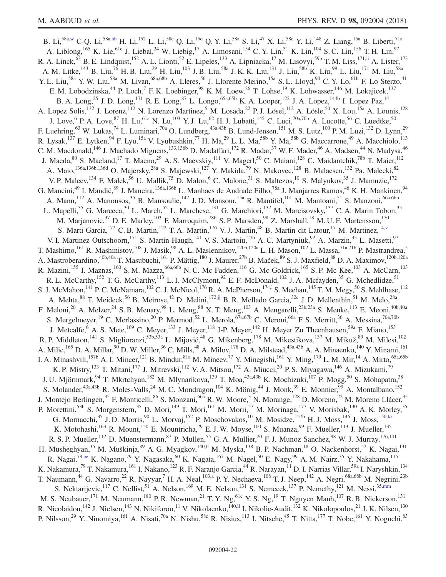<span id="page-21-5"></span><span id="page-21-4"></span><span id="page-21-3"></span><span id="page-21-2"></span><span id="page-21-1"></span><span id="page-21-0"></span>B. Li,<sup>58a[,w](#page-29-22)</sup> C-Q. Li,<sup>58[a,hh](#page-29-33)</sup> H. Li,<sup>152</sup> L. Li,<sup>58c</sup> Q. Li,<sup>15d</sup> Q. Y. Li,<sup>58a</sup> S. Li,<sup>47</sup> X. Li,<sup>58c</sup> Y. Li,<sup>148</sup> Z. Liang,<sup>15a</sup> B. Liberti,<sup>71a</sup> A. Liblong,  $^{165}$  K. Lie,  $^{61c}$  J. Liebal,  $^{24}$  W. Liebig,  $^{17}$  A. Limosani,  $^{154}$  C. Y. Lin,  $^{31}$  K. Lin,  $^{104}$  S. C. Lin,  $^{156}$  T. H. Lin,  $^{97}$ R. A. Linck,<sup>63</sup> B. E. Lindquist,<sup>152</sup> A. L. Lionti,<sup>52</sup> E. Lipeles,<sup>133</sup> A. Lipniacka,<sup>17</sup> M. Lisovyi,<sup>59b</sup> T. M. Liss,<sup>17[1,ii](#page-29-34)</sup> A. Lister,<sup>173</sup> A. M. Litke, <sup>143</sup> B. Liu, <sup>76</sup> H. B. Liu, <sup>29</sup> H. Liu, <sup>103</sup> J. B. Liu, <sup>58a</sup> J. K. K. Liu, <sup>131</sup> J. Liu, <sup>58b</sup> K. Liu, <sup>99</sup> L. Liu, <sup>171</sup> M. Liu, <sup>58a</sup> Y. L. Liu,<sup>58a</sup> Y. W. Liu,<sup>58a</sup> M. Livan,<sup>68a,68b</sup> A. Lleres,<sup>56</sup> J. Llorente Merino,<sup>15a</sup> S. L. Lloyd,<sup>90</sup> C. Y. Lo,<sup>61b</sup> F. Lo Sterzo,<sup>41</sup> E. M. Lobodzinska,<sup>44</sup> P. Loch,<sup>7</sup> F. K. Loebinger,<sup>98</sup> K. M. Loew,<sup>26</sup> T. Lohse,<sup>19</sup> K. Lohwasser,<sup>146</sup> M. Lokajicek,<sup>137</sup> B. A. Long,<sup>25</sup> J. D. Long,<sup>171</sup> R. E. Long,<sup>87</sup> L. Longo,<sup>65a,65b</sup> K. A. Looper,<sup>122</sup> J. A. Lopez,<sup>144b</sup> I. Lopez Paz,<sup>14</sup> A. Lopez Solis,<sup>132</sup> J. Lorenz,<sup>112</sup> N. Lorenzo Martinez,<sup>5</sup> M. Losada,<sup>22</sup> P. J. Lösel,<sup>112</sup> A. Lösle,<sup>50</sup> X. Lou,<sup>15a</sup> A. Lounis,<sup>128</sup> J. Love, P. A. Love, <sup>87</sup> H. Lu,<sup>61a</sup> N. Lu,<sup>103</sup> Y. J. Lu,<sup>62</sup> H. J. Lubatti,<sup>145</sup> C. Luci,<sup>70a,70b</sup> A. Lucotte,<sup>56</sup> C. Luedtke,<sup>50</sup> F. Luehring,<sup>63</sup> W. Lukas,<sup>74</sup> L. Luminari,<sup>70a</sup> O. Lundberg,<sup>43a,43b</sup> B. Lund-Jensen,<sup>151</sup> M. S. Lutz,<sup>100</sup> P. M. Luzi,<sup>132</sup> D. Lynn,<sup>29</sup> R. Lysak,<sup>137</sup> E. Lytken,<sup>94</sup> F. Lyu,<sup>15a</sup> V. Lyubushkin,<sup>77</sup> H. Ma,<sup>29</sup> L. L. Ma,<sup>58b</sup> Y. Ma,<sup>58b</sup> G. Maccarrone,<sup>49</sup> A. Macchiolo,<sup>113</sup> C. M. Macdonald,<sup>146</sup> J. Machado Miguens,<sup>133,136b</sup> D. Madaffari,<sup>172</sup> R. Madar,<sup>37</sup> W. F. Mader,<sup>46</sup> A. Madsen,<sup>44</sup> N. Madysa,<sup>46</sup> J. Maeda, <sup>80</sup> S. Maeland, <sup>17</sup> T. Maeno, <sup>29</sup> A. S. Maevskiy, <sup>111</sup> V. Magerl, <sup>50</sup> C. Maiani, <sup>128</sup> C. Maidantchik, <sup>78b</sup> T. Maier, <sup>112</sup> A. Maio,<sup>136a,136b,136d</sup> O. Majersky,<sup>28a</sup> S. Majewski,<sup>127</sup> Y. Makida,<sup>79</sup> N. Makovec,<sup>128</sup> B. Malaescu,<sup>132</sup> Pa. Malecki,<sup>82</sup> V. P. Maleev,<sup>134</sup> F. Malek,<sup>56</sup> U. Mallik,<sup>75</sup> D. Malon,<sup>6</sup> C. Malone,<sup>31</sup> S. Maltezos,<sup>10</sup> S. Malyukov,<sup>35</sup> J. Mamuzic,<sup>172</sup> G. Mancini,<sup>49</sup> I. Mandić,<sup>89</sup> J. Maneira,<sup>136a,136b</sup> L. Manhaes de Andrade Filho,<sup>78a</sup> J. Manjarres Ramos,<sup>46</sup> K. H. Mankinen,<sup>94</sup> A. Mann,<sup>112</sup> A. Manousos,<sup>35</sup> B. Mansoulie,<sup>142</sup> J.D. Mansour,<sup>15a</sup> R. Mantifel,<sup>101</sup> M. Mantoani,<sup>51</sup> S. Manzoni,<sup>66a,66b</sup> L. Mapelli,<sup>35</sup> G. Marceca,<sup>30</sup> L. March,<sup>52</sup> L. Marchese,<sup>131</sup> G. Marchiori,<sup>132</sup> M. Marcisovsky,<sup>137</sup> C. A. Marin Tobon,<sup>35</sup> M. Marjanovic,<sup>37</sup> D. E. Marley,<sup>103</sup> F. Marroquim,<sup>78b</sup> S. P. Marsden,<sup>98</sup> Z. Marshall,<sup>18</sup> M. U. F. Martensson,<sup>170</sup> S. Marti-Garcia,<sup>172</sup> C. B. Martin,<sup>122</sup> T. A. Martin,<sup>176</sup> V. J. Martin,<sup>48</sup> B. Martin dit Latour,<sup>17</sup> M. Martinez,<sup>1[4,v](#page-29-21)</sup> V. I. Martinez Outschoorn,<sup>171</sup> S. Martin-Haugh,<sup>141</sup> V. S. Martoiu,<sup>27b</sup> A. C. Martyniuk,<sup>92</sup> A. Marzin,<sup>35</sup> L. Masetti,<sup>97</sup> T. Mashimo, <sup>161</sup> R. Mashinistov, <sup>108</sup> J. Masik, <sup>98</sup> A. L. Maslennikov, <sup>120b,120a</sup> L. H. Mason, <sup>102</sup> L. Massa, <sup>71a,71b</sup> P. Mastrandrea, 5 A. Mastroberardino, <sup>40b,40a</sup> T. Masubuchi, <sup>161</sup> P. Mättig, <sup>180</sup> J. Maurer, <sup>27b</sup> B. Maček, <sup>89</sup> S. J. Maxfield, <sup>88</sup> D. A. Maximov, <sup>120b,120a</sup> R. Mazini,<sup>155</sup> I. Maznas,<sup>160</sup> S. M. Mazza,<sup>66a,66b</sup> N. C. Mc Fadden,<sup>116</sup> G. Mc Goldrick,<sup>165</sup> S. P. Mc Kee,<sup>103</sup> A. McCarn,<sup>103</sup> R. L. McCarthy,<sup>152</sup> T. G. McCarthy,<sup>113</sup> L. I. McClymont,<sup>92</sup> E. F. McDonald,<sup>102</sup> J. A. Mcfayden,<sup>35</sup> G. Mchedlidze,<sup>51</sup> S. J. McMahon,<sup>141</sup> P. C. McNamara,<sup>102</sup> C. J. McNicol,<sup>176</sup> R. A. McPherson,<sup>174,1</sup> S. Meehan,<sup>145</sup> T. M. Megy,<sup>50</sup> S. Mehlhase,<sup>112</sup> A. Mehta,<sup>88</sup> T. Meideck,<sup>56</sup> B. Meirose,<sup>42</sup> D. Melini,<sup>17[2,jj](#page-29-35)</sup> B. R. Mellado Garcia,<sup>32c</sup> J. D. Mellenthin,<sup>51</sup> M. Melo,<sup>28a</sup> F. Meloni,<sup>20</sup> A. Melzer,<sup>24</sup> S. B. Menary,<sup>98</sup> L. Meng,<sup>88</sup> X. T. Meng,<sup>103</sup> A. Mengarelli,<sup>23b,23a</sup> S. Menke,<sup>113</sup> E. Meoni,<sup>40b,40a</sup> S. Mergelmeyer,<sup>19</sup> C. Merlassino,<sup>20</sup> P. Mermod,<sup>52</sup> L. Merola,<sup>67a,67b</sup> C. Meroni,<sup>66a</sup> F. S. Merritt,<sup>36</sup> A. Messina,<sup>70a,70b</sup> J. Metcalfe, <sup>6</sup> A. S. Mete,<sup>169</sup> C. Meyer,<sup>133</sup> J. Meyer,<sup>118</sup> J-P. Meyer,<sup>142</sup> H. Meyer Zu Theenhausen,<sup>59a</sup> F. Miano,<sup>153</sup> R. P. Middleton, <sup>141</sup> S. Miglioranzi, <sup>53b, 53a</sup> L. Mijović, <sup>48</sup> G. Mikenberg, <sup>178</sup> M. Mikestikova, <sup>137</sup> M. Mikuž, <sup>89</sup> M. Milesi, <sup>102</sup> A. Milic,<sup>165</sup> D. A. Millar,<sup>90</sup> D. W. Miller,<sup>36</sup> C. Mills,<sup>48</sup> A. Milov,<sup>178</sup> D. A. Milstead,<sup>43a,43b</sup> A. A. Minaenko,<sup>140</sup> Y. Minami,<sup>161</sup> I. A. Minashvili,<sup>157b</sup> A. I. Mincer,<sup>121</sup> B. Mindur,<sup>81a</sup> M. Mineev,<sup>77</sup> Y. Minegishi,<sup>161</sup> Y. Ming,<sup>179</sup> L. M. Mir,<sup>14</sup> A. Mirto,<sup>65a,65b</sup> K. P. Mistry,<sup>133</sup> T. Mitani,<sup>177</sup> J. Mitrevski,<sup>112</sup> V. A. Mitsou,<sup>172</sup> A. Miucci,<sup>20</sup> P. S. Miyagawa,<sup>146</sup> A. Mizukami,<sup>79</sup> J. U. Mjörnmark,<sup>94</sup> T. Mkrtchyan,<sup>182</sup> M. Mlynarikova,<sup>139</sup> T. Moa,<sup>43a,43b</sup> K. Mochizuki,<sup>107</sup> P. Mogg,<sup>50</sup> S. Mohapatra,<sup>38</sup> S. Molander,<sup>43a,43b</sup> R. Moles-Valls,<sup>24</sup> M. C. Mondragon,<sup>104</sup> K. Mönig,<sup>44</sup> J. Monk,<sup>39</sup> E. Monnier,<sup>99</sup> A. Montalbano,<sup>152</sup> J. Montejo Berlingen,<sup>35</sup> F. Monticelli,<sup>86</sup> S. Monzani,<sup>66a</sup> R. W. Moore,<sup>3</sup> N. Morange,<sup>128</sup> D. Moreno,<sup>22</sup> M. Moreno Llácer,<sup>35</sup> P. Morettini,<sup>53b</sup> S. Morgenstern,<sup>35</sup> D. Mori,<sup>149</sup> T. Mori,<sup>161</sup> M. Morii,<sup>57</sup> M. Morinaga,<sup>177</sup> V. Morisbak,<sup>130</sup> A. K. Morley,<sup>35</sup> G. Mornacchi,<sup>35</sup> J. D. Morris,<sup>90</sup> L. Morvaj,<sup>152</sup> P. Moschovakos,<sup>10</sup> M. Mosidze,<sup>157b</sup> H. J. Moss,<sup>146</sup> J. Moss,<sup>150[,kk](#page-29-36)</sup> K. Motohashi,<sup>163</sup> R. Mount,<sup>150</sup> E. Mountricha,<sup>29</sup> E. J. W. Moyse,<sup>100</sup> S. Muanza,<sup>99</sup> F. Mueller,<sup>113</sup> J. Mueller,<sup>135</sup> R. S. P. Mueller, <sup>112</sup> D. Muenstermann, <sup>87</sup> P. Mullen, <sup>55</sup> G. A. Mullier, <sup>20</sup> F. J. Munoz Sanchez, <sup>98</sup> W. J. Murray, <sup>176,141</sup> H. Musheghyan,<sup>35</sup> M. Muškinja,<sup>89</sup> A. G. Myagkov,<sup>14[0,ll](#page-29-37)</sup> M. Myska,<sup>138</sup> B. P. Nachman,<sup>18</sup> O. Nackenhorst,<sup>52</sup> K. Nagai,<sup>131</sup> R. Nagai,<sup>7[9,ee](#page-29-30)</sup> K. Nagano,<sup>79</sup> Y. Nagasaka,<sup>60</sup> K. Nagata,<sup>167</sup> M. Nagel,<sup>50</sup> E. Nagy,<sup>99</sup> A. M. Nairz,<sup>35</sup> Y. Nakahama,<sup>115</sup> K. Nakamura,<sup>79</sup> T. Nakamura,<sup>161</sup> I. Nakano,<sup>123</sup> R. F. Naranjo Garcia,<sup>44</sup> R. Narayan,<sup>11</sup> D. I. Narrias Villar,<sup>59a</sup> I. Naryshkin,<sup>134</sup> T. Naumann,<sup>44</sup> G. Navarro,<sup>22</sup> R. Nayyar,<sup>7</sup> H. A. Neal,<sup>103[,a](#page-29-0)</sup> P. Y. Nechaeva,<sup>108</sup> T. J. Neep,<sup>142</sup> A. Negri,<sup>68a,68b</sup> M. Negrini,<sup>23b</sup> S. Nektarijevic,<sup>117</sup> C. Nellist,<sup>51</sup> A. Nelson,<sup>169</sup> M. E. Nelson,<sup>131</sup> S. Nemecek,<sup>137</sup> P. Nemethy,<sup>121</sup> M. Nessi,<sup>3[5,mm](#page-29-38)</sup> M. S. Neubauer,<sup>171</sup> M. Neumann,<sup>180</sup> P. R. Newman,<sup>21</sup> T. Y. Ng,<sup>61c</sup> Y. S. Ng,<sup>19</sup> T. Nguyen Manh,<sup>107</sup> R. B. Nickerson,<sup>131</sup> R. Nicolaidou,<sup>142</sup> J. Nielsen,<sup>143</sup> N. Nikiforou,<sup>11</sup> V. Nikolaenko,<sup>14[0,ll](#page-29-37)</sup> I. Nikolic-Audit,<sup>132</sup> K. Nikolopoulos,<sup>21</sup> J. K. Nilsen,<sup>130</sup> P. Nilsson,<sup>29</sup> Y. Ninomiya,<sup>161</sup> A. Nisati,<sup>70a</sup> N. Nishu,<sup>58c</sup> R. Nisius,<sup>113</sup> I. Nitsche,<sup>45</sup> T. Nitta,<sup>177</sup> T. Nobe,<sup>161</sup> Y. Noguchi,<sup>83</sup>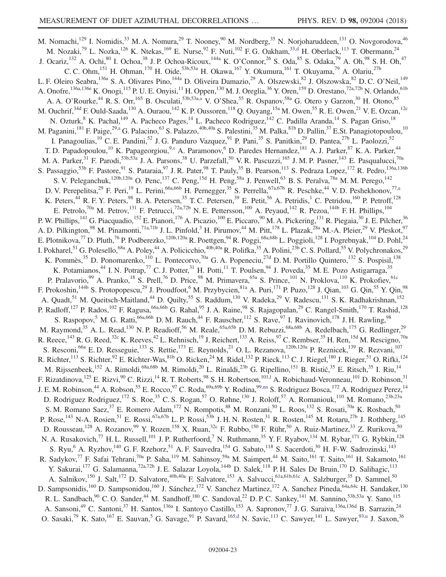<span id="page-22-0"></span>M. Nomachi,<sup>129</sup> I. Nomidis,<sup>33</sup> M. A. Nomura,<sup>29</sup> T. Nooney,<sup>90</sup> M. Nordberg,<sup>35</sup> N. Norjoharuddeen,<sup>131</sup> O. Novgorodova,<sup>46</sup> M. Nozaki,<sup>79</sup> L. Nozka,<sup>126</sup> K. Ntekas,<sup>169</sup> E. Nurse,<sup>92</sup> F. Nuti,<sup>102</sup> F. G. Oakham,<sup>3[3,d](#page-29-3)</sup> H. Oberlack,<sup>113</sup> T. Obermann,<sup>24</sup> J. Ocariz,<sup>132</sup> A. Ochi,<sup>80</sup> I. Ochoa,<sup>38</sup> J. P. Ochoa-Ricoux,<sup>144a</sup> K. O'Connor,<sup>26</sup> S. Oda,<sup>85</sup> S. Odaka,<sup>79</sup> A. Oh,<sup>98</sup> S. H. Oh,<sup>47</sup> C. C. Ohm, <sup>151</sup> H. Ohman, <sup>170</sup> H. Oide, <sup>53b, 53a</sup> H. Okawa, <sup>167</sup> Y. Okumura, <sup>161</sup> T. Okuyama, <sup>79</sup> A. Olariu, <sup>27b</sup> L. F. Oleiro Seabra, <sup>136a</sup> S. A. Olivares Pino, <sup>144a</sup> D. Oliveira Damazio, <sup>29</sup> A. Olszewski, <sup>82</sup> J. Olszowska, <sup>82</sup> D. C. O'Neil, <sup>149</sup> A. Onofre,<sup>136a,136e</sup> K. Onogi,<sup>115</sup> P. U. E. Onyisi,<sup>11</sup> H. Oppen,<sup>130</sup> M. J. Oreglia,<sup>36</sup> Y. Oren,<sup>159</sup> D. Orestano,<sup>72a,72b</sup> N. Orlando,<sup>61b</sup> A. A. O'Rourke,<sup>44</sup> R. S. Orr,<sup>165</sup> B. Osculati,<sup>53b,53a[,a](#page-29-0)</sup> V. O'Shea,<sup>55</sup> R. Ospanov,<sup>58a</sup> G. Otero y Garzon,<sup>30</sup> H. Otono,<sup>85</sup> M. Ouchrif,  $34d$  F. Ould-Saada,  $130$  A. Ouraou,  $142$  K. P. Oussoren,  $118$  Q. Ouyang,  $15a$  M. Owen,  $55$  R. E. Owen,  $21$  V. E. Ozcan,  $12c$ N. Ozturk,<sup>8</sup> K. Pachal,<sup>149</sup> A. Pacheco Pages,<sup>14</sup> L. Pacheco Rodriguez,<sup>142</sup> C. Padilla Aranda,<sup>14</sup> S. Pagan Griso,<sup>18</sup> M. Paganini,<sup>181</sup> F. Paige,<sup>29[,a](#page-29-0)</sup> G. Palacino,<sup>63</sup> S. Palazzo,<sup>40b,40a</sup> S. Palestini,<sup>35</sup> M. Palka,<sup>81b</sup> D. Pallin,<sup>37</sup> E.St. Panagiotopoulou,<sup>10</sup> I. Panagoulias,<sup>10</sup> C. E. Pandini,<sup>52</sup> J. G. Panduro Vazquez,<sup>91</sup> P. Pani,<sup>35</sup> S. Panitkin,<sup>29</sup> D. Pantea,<sup>27b</sup> L. Paolozzi,<sup>52</sup> T. D. Papadopoulou,<sup>10</sup> K. Papageorgiou,<sup>9[,s](#page-29-18)</sup> A. Paramonov,<sup>6</sup> D. Paredes Hernandez,<sup>181</sup> A. J. Parker,<sup>87</sup> K. A. Parker,<sup>44</sup> M. A. Parker,<sup>31</sup> F. Parodi,<sup>53b,53a</sup> J. A. Parsons,<sup>38</sup> U. Parzefall,<sup>50</sup> V. R. Pascuzzi,<sup>165</sup> J. M. P. Pasner,<sup>143</sup> E. Pasqualucci,<sup>70a</sup> S. Passaggio,<sup>53b</sup> F. Pastore,<sup>91</sup> S. Pataraia,<sup>97</sup> J. R. Pater,<sup>98</sup> T. Pauly,<sup>35</sup> B. Pearson,<sup>113</sup> S. Pedraza Lopez,<sup>172</sup> R. Pedro,<sup>136a,136b</sup> S. V. Peleganchuk,<sup>120b,120a</sup> O. Penc,<sup>137</sup> C. Peng,<sup>15d</sup> H. Peng,<sup>58a</sup> J. Penwell,<sup>63</sup> B. S. Peralva,<sup>78a</sup> M. M. Perego,<sup>142</sup> D. V. Perepelitsa,<sup>29</sup> F. Peri,<sup>19</sup> L. Perini,<sup>66a,66b</sup> H. Pernegger,<sup>35</sup> S. Perrella,<sup>67a,67b</sup> R. Peschke,<sup>44</sup> V. D. Peshekhonov,<sup>77[,a](#page-29-0)</sup> K. Peters,<sup>44</sup> R. F. Y. Peters,<sup>98</sup> B. A. Petersen,<sup>35</sup> T. C. Petersen,<sup>39</sup> E. Petit,<sup>56</sup> A. Petridis,<sup>1</sup> C. Petridou,<sup>160</sup> P. Petroff,<sup>128</sup> E. Petrolo,<sup>70a</sup> M. Petrov,<sup>131</sup> F. Petrucci,<sup>72a,72b</sup> N. E. Pettersson,<sup>100</sup> A. Peyaud,<sup>142</sup> R. Pezoa,<sup>144b</sup> F. H. Phillips,<sup>104</sup> P. W. Phillips, <sup>141</sup> G. Piacquadio, <sup>152</sup> E. Pianori, <sup>176</sup> A. Picazio, <sup>100</sup> E. Piccaro, <sup>90</sup> M. A. Pickering, <sup>131</sup> R. Piegaia, <sup>30</sup> J. E. Pilcher, <sup>36</sup> A. D. Pilkington,<sup>98</sup> M. Pinamonti,<sup>71a,71b</sup> J. L. Pinfold,<sup>3</sup> H. Pirumov,<sup>44</sup> M. Pitt,<sup>178</sup> L. Plazak,<sup>28a</sup> M.-A. Pleier,<sup>29</sup> V. Pleskot,<sup>97</sup> E. Plotnikova,<sup>77</sup> D. Pluth,<sup>76</sup> P. Podberezko,<sup>120b,120a</sup> R. Poettgen,<sup>94</sup> R. Poggi,<sup>68a,68b</sup> L. Poggioli,<sup>128</sup> I. Pogrebnyak,<sup>104</sup> D. Pohl,<sup>24</sup> I. Pokharel,<sup>51</sup> G. Polesello,<sup>68a</sup> A. Poley,<sup>44</sup> A. Policicchio,<sup>40b,40a</sup> R. Polifka,<sup>35</sup> A. Polini,<sup>23b</sup> C. S. Pollard,<sup>55</sup> V. Polychronakos,<sup>29</sup> K. Pommès,<sup>35</sup> D. Ponomarenko,<sup>110</sup> L. Pontecorvo,<sup>70a</sup> G. A. Popeneciu,<sup>27d</sup> D. M. Portillo Quintero,<sup>132</sup> S. Pospisil,<sup>138</sup> K. Potamianos,<sup>44</sup> I. N. Potrap,<sup>77</sup> C. J. Potter,<sup>31</sup> H. Potti,<sup>11</sup> T. Poulsen,<sup>94</sup> J. Poveda,<sup>35</sup> M. E. Pozo Astigarraga,<sup>35</sup> P. Pralavorio,<sup>99</sup> A. Pranko,<sup>18</sup> S. Prell,<sup>76</sup> D. Price,<sup>98</sup> M. Primavera,<sup>65a</sup> S. Prince,<sup>101</sup> N. Proklova,<sup>110</sup> K. Prokofiev,<sup>61c</sup> F. Prokoshin,<sup>144b</sup> S. Protopopescu,<sup>29</sup> J. Proudfoot,<sup>6</sup> M. Przybycien,<sup>81a</sup> A. Puri,<sup>171</sup> P. Puzo,<sup>128</sup> J. Qian,<sup>103</sup> G. Qin,<sup>55</sup> Y. Qin,<sup>98</sup> A. Quadt,<sup>51</sup> M. Queitsch-Maitland,<sup>44</sup> D. Quilty,<sup>55</sup> S. Raddum,<sup>130</sup> V. Radeka,<sup>29</sup> V. Radescu,<sup>131</sup> S. K. Radhakrishnan,<sup>152</sup> P. Radloff,<sup>127</sup> P. Rados,<sup>102</sup> F. Ragusa,<sup>66a,66b</sup> G. Rahal,<sup>95</sup> J. A. Raine,<sup>98</sup> S. Rajagopalan,<sup>29</sup> C. Rangel-Smith,<sup>170</sup> T. Rashid,<sup>128</sup> S. Raspopov,<sup>5</sup> M. G. Ratti,<sup>66a,66b</sup> D. M. Rauch,<sup>44</sup> F. Rauscher,<sup>112</sup> S. Rave,<sup>97</sup> I. Ravinovich,<sup>178</sup> J. H. Rawling,<sup>98</sup> M. Raymond,<sup>35</sup> A. L. Read,<sup>130</sup> N. P. Readioff,<sup>56</sup> M. Reale,<sup>65a,65b</sup> D. M. Rebuzzi,<sup>68a,68b</sup> A. Redelbach,<sup>175</sup> G. Redlinger,<sup>29</sup> R. Reece,  $^{143}$  R. G. Reed,  $^{32c}$  K. Reeves,  $^{42}$  L. Rehnisch,  $^{19}$  J. Reichert,  $^{133}$  A. Reiss,  $^{97}$  C. Rembser,  $^{35}$  H. Ren,  $^{15d}$  M. Rescigno,  $^{70a}$ S. Resconi,<sup>66a</sup> E. D. Resseguie,<sup>133</sup> S. Rettie,<sup>173</sup> E. Reynolds,<sup>21</sup> O. L. Rezanova,<sup>120b,120a</sup> P. Reznicek,<sup>139</sup> R. Rezvani,<sup>107</sup> R. Richter,<sup>113</sup> S. Richter,<sup>92</sup> E. Richter-Was,<sup>81b</sup> O. Ricken,<sup>24</sup> M. Ridel,<sup>132</sup> P. Rieck,<sup>113</sup> C. J. Riegel,<sup>180</sup> J. Rieger,<sup>51</sup> O. Rifki,<sup>124</sup> M. Rijssenbeek, <sup>152</sup> A. Rimoldi, <sup>68a,68b</sup> M. Rimoldi, <sup>20</sup> L. Rinaldi, <sup>23b</sup> G. Ripellino, <sup>151</sup> B. Ristić, <sup>35</sup> E. Ritsch, <sup>35</sup> I. Riu, <sup>14</sup> F. Rizatdinova, <sup>125</sup> E. Rizvi, <sup>90</sup> C. Rizzi, <sup>14</sup> R. T. Roberts, <sup>98</sup> S. H. Robertson, <sup>101,1</sup> A. Robichaud-Veronneau, <sup>101</sup> D. Robinson, <sup>31</sup> J. E. M. Robinson,<sup>44</sup> A. Robson,<sup>55</sup> E. Rocco,<sup>97</sup> C. Roda,<sup>69a,69b</sup> Y. Rodina,<sup>9[9,nn](#page-29-39)</sup> S. Rodriguez Bosca,<sup>172</sup> A. Rodriguez Perez,<sup>14</sup> D. Rodriguez Rodriguez,<sup>172</sup> S. Roe,<sup>35</sup> C. S. Rogan,<sup>57</sup> O. Røhne,<sup>130</sup> J. Roloff,<sup>57</sup> A. Romaniouk,<sup>110</sup> M. Romano,<sup>23b,23a</sup> S. M. Romano Saez,<sup>37</sup> E. Romero Adam,<sup>172</sup> N. Rompotis,<sup>88</sup> M. Ronzani,<sup>50</sup> L. Roos,<sup>132</sup> S. Rosati,<sup>70a</sup> K. Rosbach,<sup>50</sup> P. Rose,<sup>143</sup> N-A. Rosien,<sup>51</sup> E. Rossi,<sup>67a,67b</sup> L. P. Rossi,<sup>53b</sup> J. H. N. Rosten,<sup>31</sup> R. Rosten,<sup>145</sup> M. Rotaru,<sup>27b</sup> J. Rothberg,<sup>145</sup> D. Rousseau,<sup>128</sup> A. Rozanov,<sup>99</sup> Y. Rozen,<sup>158</sup> X. Ruan,<sup>32c</sup> F. Rubbo,<sup>150</sup> F. Rühr,<sup>50</sup> A. Ruiz-Martinez,<sup>33</sup> Z. Rurikova,<sup>50</sup> N. A. Rusakovich,<sup>77</sup> H. L. Russell,<sup>101</sup> J. P. Rutherfoord,<sup>7</sup> N. Ruthmann,<sup>35</sup> Y. F. Ryabov,<sup>134</sup> M. Rybar,<sup>171</sup> G. Rybkin,<sup>128</sup> S. Ryu,<sup>6</sup> A. Ryzhov,<sup>140</sup> G. F. Rzehorz,<sup>51</sup> A. F. Saavedra,<sup>154</sup> G. Sabato,<sup>118</sup> S. Sacerdoti,<sup>30</sup> H. F-W. Sadrozinski,<sup>143</sup> R. Sadykov,<sup>77</sup> F. Safai Tehrani,<sup>70a</sup> P. Saha,<sup>119</sup> M. Sahinsoy,<sup>59a</sup> M. Saimpert,<sup>44</sup> M. Saito,<sup>161</sup> T. Saito,<sup>161</sup> H. Sakamoto,<sup>161</sup> Y. Sakurai,<sup>177</sup> G. Salamanna,<sup>72a,72b</sup> J. E. Salazar Loyola,<sup>144b</sup> D. Salek,<sup>118</sup> P. H. Sales De Bruin,<sup>170</sup> D. Salihagic,<sup>113</sup> A. Salnikov,<sup>150</sup> J. Salt,<sup>172</sup> D. Salvatore,<sup>40b,40a</sup> F. Salvatore,<sup>153</sup> A. Salvucci,<sup>61a,61b,61c</sup> A. Salzburger,<sup>35</sup> D. Sammel,<sup>50</sup> D. Sampsonidis,<sup>160</sup> D. Sampsonidou,<sup>160</sup> J. Sánchez,<sup>172</sup> V. Sanchez Martinez,<sup>172</sup> A. Sanchez Pineda,<sup>64a,64c</sup> H. Sandaker,<sup>130</sup> R. L. Sandbach,  $90$  C. O. Sander,  $44$  M. Sandhoff,  $180$  C. Sandoval,  $22$  D. P. C. Sankey,  $141$  M. Sannino,  $53b,53a$  Y. Sano,  $115$ A. Sansoni,<sup>49</sup> C. Santoni,<sup>37</sup> H. Santos,<sup>136a</sup> I. Santoyo Castillo,<sup>153</sup> A. Sapronov,<sup>77</sup> J.G. Saraiva,<sup>136a,136d</sup> B. Sarrazin,<sup>24</sup> O. Sasaki,<sup>79</sup> K. Sato,<sup>167</sup> E. Sauvan,<sup>5</sup> G. Savage,<sup>91</sup> P. Savard,<sup>16[5,d](#page-29-3)</sup> N. Savic,<sup>113</sup> C. Sawyer,<sup>141</sup> L. Sawyer,<sup>93[,u](#page-29-20)</sup> J. Saxon,<sup>36</sup>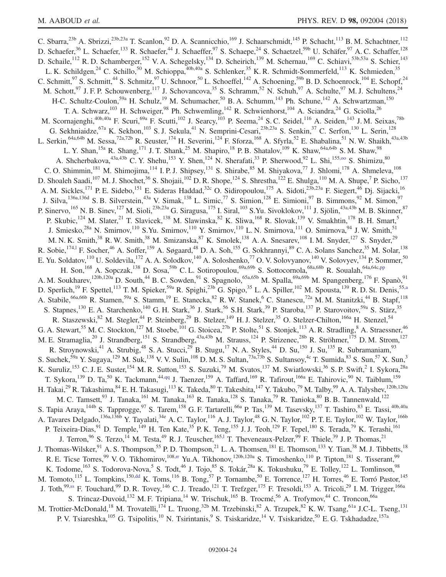<span id="page-23-4"></span><span id="page-23-3"></span><span id="page-23-2"></span><span id="page-23-1"></span><span id="page-23-0"></span>C. Sbarra,<sup>23b</sup> A. Sbrizzi,<sup>23b,23a</sup> T. Scanlon,<sup>92</sup> D. A. Scannicchio,<sup>169</sup> J. Schaarschmidt,<sup>145</sup> P. Schacht,<sup>113</sup> B. M. Schachtner,<sup>112</sup> D. Schaefer,<sup>36</sup> L. Schaefer,<sup>133</sup> R. Schaefer,<sup>44</sup> J. Schaeffer,<sup>97</sup> S. Schaepe,<sup>24</sup> S. Schaetzel,<sup>59b</sup> U. Schäfer,<sup>97</sup> A. C. Schaffer,<sup>128</sup> D. Schaile,<sup>112</sup> R. D. Schamberger,<sup>152</sup> V. A. Schegelsky,<sup>134</sup> D. Scheirich,<sup>139</sup> M. Schernau,<sup>169</sup> C. Schiavi,<sup>53b,53a</sup> S. Schier,<sup>143</sup> L. K. Schildgen,<sup>24</sup> C. Schillo,<sup>50</sup> M. Schioppa,<sup>40b,40a</sup> S. Schlenker,<sup>35</sup> K. R. Schmidt-Sommerfeld,<sup>113</sup> K. Schmieden,<sup>35</sup> C. Schmitt,<sup>97</sup> S. Schmitt,<sup>44</sup> S. Schmitz,<sup>97</sup> U. Schnoor,<sup>50</sup> L. Schoeffel,<sup>142</sup> A. Schoening,<sup>59b</sup> B. D. Schoenrock,<sup>104</sup> E. Schopf,<sup>24</sup> M. Schott,<sup>97</sup> J. F. P. Schouwenberg,<sup>117</sup> J. Schovancova,<sup>35</sup> S. Schramm,<sup>52</sup> N. Schuh,<sup>97</sup> A. Schulte,<sup>97</sup> M. J. Schultens,<sup>24</sup> H-C. Schultz-Coulon,<sup>59a</sup> H. Schulz,<sup>19</sup> M. Schumacher,<sup>50</sup> B. A. Schumm,<sup>143</sup> Ph. Schune,<sup>142</sup> A. Schwartzman,<sup>150</sup> T. A. Schwarz,<sup>103</sup> H. Schweiger,<sup>98</sup> Ph. Schwemling,<sup>142</sup> R. Schwienhorst,<sup>104</sup> A. Sciandra,<sup>24</sup> G. Sciolla,<sup>26</sup> M. Scornajenghi,<sup>40b,40a</sup> F. Scuri,<sup>69a</sup> F. Scutti,<sup>102</sup> J. Searcy,<sup>103</sup> P. Seema,<sup>24</sup> S. C. Seidel,<sup>116</sup> A. Seiden,<sup>143</sup> J. M. Seixas,<sup>78b</sup> G. Sekhniaidze,<sup>67a</sup> K. Sekhon,<sup>103</sup> S. J. Sekula,<sup>41</sup> N. Semprini-Cesari,<sup>23b,23a</sup> S. Senkin,<sup>37</sup> C. Serfon,<sup>130</sup> L. Serin,<sup>128</sup> L. Serkin, <sup>64a,64b</sup> M. Sessa, <sup>72a,72b</sup> R. Seuster, <sup>174</sup> H. Severini, <sup>124</sup> F. Sforza, <sup>168</sup> A. Sfyrla, <sup>52</sup> E. Shabalina, <sup>51</sup> N. W. Shaikh, <sup>43a,43b</sup> L. Y. Shan,<sup>15a</sup> R. Shang,<sup>171</sup> J. T. Shank,<sup>25</sup> M. Shapiro,<sup>18</sup> P. B. Shatalov,<sup>109</sup> K. Shaw,<sup>64a,64b</sup> S. M. Shaw,<sup>98</sup> A. Shcherbakova,  $43a,43b$  C. Y. Shehu,  $153$  Y. Shen,  $124$  N. Sherafati,  $33$  P. Sherwood,  $92$  L. Shi,  $155,00$  S. Shimizu,  $80$ C. O. Shimmin,<sup>181</sup> M. Shimojima,<sup>114</sup> I. P. J. Shipsey,<sup>131</sup> S. Shirabe,<sup>85</sup> M. Shiyakova,<sup>77</sup> J. Shlomi,<sup>178</sup> A. Shmeleva,<sup>108</sup> D. Shoaleh Saadi,<sup>107</sup> M. J. Shochet,<sup>36</sup> S. Shojaii,<sup>102</sup> D. R. Shope,<sup>124</sup> S. Shrestha,<sup>122</sup> E. Shulga,<sup>110</sup> M. A. Shupe,<sup>7</sup> P. Sicho,<sup>137</sup> A. M. Sickles,<sup>171</sup> P. E. Sidebo,<sup>151</sup> E. Sideras Haddad,<sup>32c</sup> O. Sidiropoulou,<sup>175</sup> A. Sidoti,<sup>23b,23a</sup> F. Siegert,<sup>46</sup> Dj. Sijacki,<sup>16</sup> J. Silva,<sup>136a,136d</sup> S. B. Silverstein,<sup>43a</sup> V. Simak,<sup>138</sup> L. Simic,<sup>77</sup> S. Simion,<sup>128</sup> E. Simioni,<sup>97</sup> B. Simmons,<sup>92</sup> M. Simon,<sup>97</sup> P. Sinervo,<sup>165</sup> N. B. Sinev,<sup>127</sup> M. Sioli,<sup>23b,23a</sup> G. Siragusa,<sup>175</sup> I. Siral,<sup>103</sup> S.Yu. Sivoklokov,<sup>111</sup> J. Sjölin,<sup>43a,43b</sup> M. B. Skinner,<sup>87</sup> P. Skubic,<sup>124</sup> M. Slater,<sup>21</sup> T. Slavicek,<sup>138</sup> M. Slawinska,<sup>82</sup> K. Sliwa,<sup>168</sup> R. Slovak,<sup>139</sup> V. Smakhtin,<sup>178</sup> B. H. Smart,<sup>5</sup> J. Smiesko,<sup>28a</sup> N. Smirnov,<sup>110</sup> S.Yu. Smirnov,<sup>110</sup> Y. Smirnov,<sup>110</sup> L. N. Smirnova,<sup>111</sup> O. Smirnova,<sup>94</sup> J. W. Smith,<sup>51</sup> M. N. K. Smith,<sup>38</sup> R. W. Smith,<sup>38</sup> M. Smizanska,  $87$  K. Smolek,  $138$  A. A. Snesarev,  $108$  I. M. Snyder,  $127$  S. Snyder,  $29$ R. Sobie,<sup>174[,l](#page-29-11)</sup> F. Socher,<sup>46</sup> A. Soffer,<sup>159</sup> A. Søgaard,<sup>48</sup> D. A. Soh,<sup>155</sup> G. Sokhrannyi,<sup>89</sup> C. A. Solans Sanchez,<sup>35</sup> M. Solar,<sup>138</sup> E. Yu. Soldatov,<sup>110</sup> U. Soldevila,<sup>172</sup> A. A. Solodkov,<sup>140</sup> A. Soloshenko,<sup>77</sup> O. V. Solovyanov,<sup>140</sup> V. Solovyev,<sup>134</sup> P. Sommer,<sup>50</sup> H. Son,<sup>168</sup> A. Sopczak,<sup>138</sup> D. Sosa,<sup>59b</sup> C. L. Sotiropoulou,<sup>69a,69b</sup> S. Sottocornola,<sup>68a,68b</sup> R. Soualah,<sup>64a,64c[,pp](#page-30-1)</sup> A. M. Soukharev,<sup>120b,120a</sup> D. South,<sup>44</sup> B. C. Sowden,<sup>91</sup> S. Spagnolo,<sup>65a,65b</sup> M. Spalla,<sup>69a,69b</sup> M. Spangenberg,<sup>176</sup> F. Spanò,<sup>91</sup> D. Sperlich,<sup>19</sup> F. Spettel,<sup>113</sup> T. M. Spieker,<sup>59a</sup> R. Spighi,<sup>23b</sup> G. Spigo,<sup>35</sup> L. A. Spiller,<sup>102</sup> M. Spousta,<sup>139</sup> R. D. St. Denis,<sup>5[5,a](#page-29-0)</sup> A. Stabile,<sup>66a,66b</sup> R. Stamen,<sup>59a</sup> S. Stamm,<sup>19</sup> E. Stanecka,<sup>82</sup> R. W. Stanek,<sup>6</sup> C. Stanescu,<sup>72a</sup> M. M. Stanitzki,<sup>44</sup> B. Stapf,<sup>118</sup> S. Stapnes,<sup>130</sup> E. A. Starchenko,<sup>140</sup> G. H. Stark,<sup>36</sup> J. Stark,<sup>56</sup> S.H. Stark,<sup>39</sup> P. Staroba,<sup>137</sup> P. Starovoitov,<sup>59a</sup> S. Stärz,<sup>35</sup> R. Staszewski,<sup>82</sup> M. Stegler,<sup>44</sup> P. Steinberg,<sup>29</sup> B. Stelzer,<sup>149</sup> H. J. Stelzer,<sup>35</sup> O. Stelzer-Chilton,<sup>166a</sup> H. Stenzel,<sup>54</sup> G. A. Stewart,<sup>55</sup> M. C. Stockton,<sup>127</sup> M. Stoebe,<sup>101</sup> G. Stoicea,<sup>27b</sup> P. Stolte,<sup>51</sup> S. Stonjek,<sup>113</sup> A. R. Stradling,<sup>8</sup> A. Straessner,<sup>46</sup> M. E. Stramaglia,<sup>20</sup> J. Strandberg,<sup>151</sup> S. Strandberg,<sup>43a,43b</sup> M. Strauss,<sup>124</sup> P. Strizenec,<sup>28b</sup> R. Ströhmer,<sup>175</sup> D. M. Strom,<sup>127</sup> R. Stroynowski,<sup>41</sup> A. Strubig,<sup>48</sup> S. A. Stucci,<sup>29</sup> B. Stugu,<sup>17</sup> N. A. Styles,<sup>44</sup> D. Su,<sup>150</sup> J. Su,<sup>135</sup> R. Subramaniam,<sup>93</sup> S. Suchek,<sup>59a</sup> Y. Sugaya,<sup>129</sup> M. Suk,<sup>138</sup> V. V. Sulin,<sup>108</sup> D. M. S. Sultan,<sup>73a,73b</sup> S. Sultansoy,<sup>4c</sup> T. Sumida,<sup>83</sup> S. Sun,<sup>57</sup> X. Sun,<sup>3</sup> K. Suruliz,<sup>153</sup> C. J. E. Suster,<sup>154</sup> M. R. Sutton,<sup>153</sup> S. Suzuki,<sup>79</sup> M. Svatos,<sup>137</sup> M. Swiatlowski,<sup>36</sup> S. P. Swift,<sup>2</sup> I. Sykora,<sup>28a</sup> T. Sykora,<sup>139</sup> D. Ta,<sup>50</sup> K. Tackmann,<sup>4[4,qq](#page-30-2)</sup> J. Taenzer,<sup>159</sup> A. Taffard,<sup>169</sup> R. Tafirout,<sup>166a</sup> E. Tahirovic,<sup>90</sup> N. Taiblum,<sup>159</sup> H. Takai,<sup>29</sup> R. Takashima,<sup>84</sup> E. H. Takasugi,<sup>113</sup> K. Takeda,<sup>80</sup> T. Takeshita,<sup>147</sup> Y. Takubo,<sup>79</sup> M. Talby,<sup>99</sup> A. A. Talyshev,<sup>120b,120a</sup> M. C. Tamsett, <sup>93</sup> J. Tanaka, <sup>161</sup> M. Tanaka, <sup>163</sup> R. Tanaka, <sup>128</sup> S. Tanaka, <sup>79</sup> R. Tanioka, <sup>80</sup> B. B. Tannenwald, <sup>122</sup> S. Tapia Araya,<sup>144b</sup> S. Tapprogge,<sup>97</sup> S. Tarem,<sup>158</sup> G. F. Tartarelli,<sup>66a</sup> P. Tas,<sup>139</sup> M. Tasevsky,<sup>137</sup> T. Tashiro,<sup>83</sup> E. Tassi,<sup>40b,40a</sup> A. Tavares Delgado,<sup>136a,136b</sup> Y. Tayalati,<sup>34e</sup> A. C. Taylor,<sup>116</sup> A. J. Taylor,<sup>48</sup> G. N. Taylor,<sup>102</sup> P. T. E. Taylor,<sup>102</sup> W. Taylor,<sup>166b</sup> P. Teixeira-Dias,<sup>91</sup> D. Temple,<sup>149</sup> H. Ten Kate,<sup>35</sup> P. K. Teng,<sup>155</sup> J. J. Teoh,<sup>129</sup> F. Tepel,<sup>180</sup> S. Terada,<sup>79</sup> K. Terashi,<sup>161</sup> J. Terron,  $96$  S. Terzo,  $^{14}$  M. Testa,  $^{49}$  R. J. Teuscher,  $^{165,1}$  T. Theveneaux-Pelzer,  $^{99}$  F. Thiele,  $^{39}$  J. P. Thomas,  $^{21}$ J. Thomas-Wilsker, <sup>91</sup> A. S. Thompson, <sup>55</sup> P. D. Thompson, <sup>21</sup> L. A. Thomsen, <sup>181</sup> E. Thomson, <sup>133</sup> Y. Tian, <sup>38</sup> M. J. Tibbetts, <sup>18</sup> R. E. Ticse Torres, <sup>99</sup> V. O. Tikhomirov, <sup>108, rr</sup> Yu. A. Tikhonov, <sup>120b,120a</sup> S. Timoshenko, <sup>110</sup> P. Tipton, <sup>181</sup> S. Tisserant, <sup>99</sup> K. Todome, <sup>163</sup> S. Todorova-Nova, <sup>5</sup> S. Todt, <sup>46</sup> J. Tojo, <sup>85</sup> S. Tokár, <sup>28a</sup> K. Tokushuku, <sup>79</sup> E. Tolley, <sup>122</sup> L. Tomlinson, <sup>98</sup> M. Tomoto,<sup>115</sup> L. Tompkins,<sup>150[,dd](#page-29-29)</sup> K. Toms,<sup>116</sup> B. Tong,<sup>57</sup> P. Tornambe,<sup>50</sup> E. Torrence,<sup>127</sup> H. Torres,<sup>46</sup> E. Torró Pastor,<sup>145</sup> J. Toth,<sup>99[,ss](#page-30-4)</sup> F. Touchard,<sup>99</sup> D. R. Tovey,<sup>146</sup> C. J. Treado,<sup>121</sup> T. Trefzger,<sup>175</sup> F. Tresoldi,<sup>153</sup> A. Tricoli,<sup>29</sup> I. M. Trigger,<sup>166a</sup> S. Trincaz-Duvoid, <sup>132</sup> M. F. Tripiana, <sup>14</sup> W. Trischuk, <sup>165</sup> B. Trocmé, <sup>56</sup> A. Trofymov, <sup>44</sup> C. Troncon, <sup>66a</sup> M. Trottier-McDonald,<sup>18</sup> M. Trovatelli,<sup>174</sup> L. Truong,<sup>32b</sup> M. Trzebinski,<sup>82</sup> A. Trzupek,<sup>82</sup> K. W. Tsang,<sup>61a</sup> J.C-L. Tseng,<sup>131</sup> P. V. Tsiareshka,<sup>105</sup> G. Tsipolitis,<sup>10</sup> N. Tsirintanis,<sup>9</sup> S. Tsiskaridze,<sup>14</sup> V. Tsiskaridze,<sup>50</sup> E. G. Tskhadadze,<sup>157a</sup>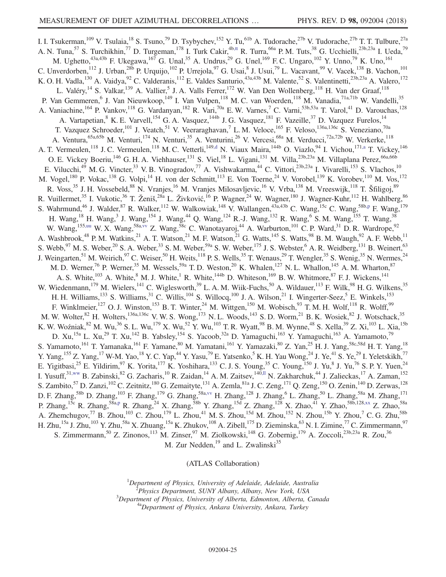<span id="page-24-1"></span><span id="page-24-0"></span>I. I. Tsukerman,<sup>109</sup> V. Tsulaia,<sup>18</sup> S. Tsuno,<sup>79</sup> D. Tsybychev,<sup>152</sup> Y. Tu,<sup>61b</sup> A. Tudorache,<sup>27b</sup> V. Tudorache,<sup>27b</sup> T. T. Tulbure,<sup>27a</sup> A. N. Tuna,<sup>57</sup> S. Turchikhin,<sup>77</sup> D. Turgeman,<sup>178</sup> I. Turk Cakir,<sup>4[b,tt](#page-30-5)</sup> R. Turra,<sup>66a</sup> P. M. Tuts,<sup>38</sup> G. Ucchielli,<sup>23b,23a</sup> I. Ueda,<sup>79</sup> M. Ughetto,<sup>43a,43b</sup> F. Ukegawa,<sup>167</sup> G. Unal,<sup>35</sup> A. Undrus,<sup>29</sup> G. Unel,<sup>169</sup> F. C. Ungaro,<sup>102</sup> Y. Unno,<sup>79</sup> K. Uno,<sup>161</sup> C. Unverdorben, <sup>112</sup> J. Urban, <sup>28b</sup> P. Urquijo, <sup>102</sup> P. Urrejola, <sup>97</sup> G. Usai, <sup>8</sup> J. Usui, <sup>79</sup> L. Vacavant, <sup>99</sup> V. Vacek, <sup>138</sup> B. Vachon, <sup>101</sup> K. O. H. Vadla, <sup>130</sup> A. Vaidya, <sup>92</sup> C. Valderanis, <sup>112</sup> E. Valdes Santurio, <sup>43a, 43b</sup> M. Valente, <sup>52</sup> S. Valentinetti, <sup>23b, 23a</sup> A. Valero, <sup>172</sup> L. Valéry,<sup>14</sup> S. Valkar,<sup>139</sup> A. Vallier,<sup>5</sup> J. A. Valls Ferrer,<sup>172</sup> W. Van Den Wollenberg,<sup>118</sup> H. Van der Graaf,<sup>118</sup> P. Van Gemmeren, <sup>6</sup> J. Van Nieuwkoop, <sup>149</sup> I. Van Vulpen, <sup>118</sup> M. C. van Woerden, <sup>118</sup> M. Vanadia, <sup>71a,71b</sup> W. Vandelli, <sup>35</sup> A. Vaniachine, <sup>164</sup> P. Vankov, <sup>118</sup> G. Vardanyan, <sup>182</sup> R. Vari, <sup>70a</sup> E. W. Varnes, <sup>7</sup> C. Varni, <sup>53b, 53a</sup> T. Varol, <sup>41</sup> D. Varouchas, <sup>128</sup> A. Vartapetian, <sup>8</sup> K. E. Varvell, <sup>154</sup> G. A. Vasquez, <sup>144b</sup> J. G. Vasquez, <sup>181</sup> F. Vazeille, <sup>37</sup> D. Vazquez Furelos, <sup>14</sup> T. Vazquez Schroeder,<sup>101</sup> J. Veatch,<sup>51</sup> V. Veeraraghavan,<sup>7</sup> L.M. Veloce,<sup>165</sup> F. Veloso,<sup>136a,136c</sup> S. Veneziano,<sup>70a</sup> A. Ventura, <sup>65a,65b</sup> M. Venturi, <sup>174</sup> N. Venturi, <sup>35</sup> A. Venturini, <sup>26</sup> V. Vercesi, <sup>68a</sup> M. Verducci, <sup>72a,72b</sup> W. Verkerke, <sup>118</sup> A. T. Vermeulen,<sup>118</sup> J. C. Vermeulen,<sup>118</sup> M. C. Vetterli,<sup>14[9,d](#page-29-3)</sup> N. Viaux Maira,<sup>144b</sup> O. Viazlo,<sup>94</sup> I. Vichou,<sup>17[1,a](#page-29-0)</sup> T. Vickey,<sup>146</sup> O. E. Vickey Boeriu,<sup>146</sup> G. H. A. Viehhauser,<sup>131</sup> S. Viel,<sup>18</sup> L. Vigani,<sup>131</sup> M. Villa,<sup>23b,23a</sup> M. Villaplana Perez,<sup>66a,66b</sup> E. Vilucchi,<sup>49</sup> M. G. Vincter,<sup>33</sup> V. B. Vinogradov,<sup>77</sup> A. Vishwakarma,<sup>44</sup> C. Vittori,<sup>23b,23a</sup> I. Vivarelli,<sup>153</sup> S. Vlachos,<sup>10</sup> M. Vogel,<sup>180</sup> P. Vokac,<sup>138</sup> G. Volpi,<sup>14</sup> H. von der Schmitt,<sup>113</sup> E. Von Toerne,<sup>24</sup> V. Vorobel,<sup>139</sup> K. Vorobev,<sup>110</sup> M. Vos,<sup>172</sup> R. Voss,<sup>35</sup> J. H. Vossebeld,<sup>88</sup> N. Vranjes,<sup>16</sup> M. Vranjes Milosavljevic,<sup>16</sup> V. Vrba,<sup>138</sup> M. Vreeswijk,<sup>118</sup> T. Šfiligoj,<sup>89</sup> R. Vuillermet,<sup>35</sup> I. Vukotic,<sup>36</sup> T. Ženiš,<sup>28a</sup> L. Živković,<sup>16</sup> P. Wagner,<sup>24</sup> W. Wagner,<sup>180</sup> J. Wagner-Kuhr,<sup>112</sup> H. Wahlberg,<sup>86</sup> S. Wahrmund,<sup>46</sup> J. Walder,<sup>87</sup> R. Walker,<sup>112</sup> W. Walkowiak,<sup>148</sup> V. Wallangen,<sup>43a,43b</sup> C. Wang,<sup>15c</sup> C. Wang,<sup>58b[,p](#page-29-15)</sup> F. Wang,<sup>179</sup> H. Wang,<sup>18</sup> H. Wang,<sup>3</sup> J. Wang,<sup>154</sup> J. Wang,<sup>44</sup> Q. Wang,<sup>124</sup> R.-J. Wang,<sup>132</sup> R. Wang,<sup>6</sup> S. M. Wang,<sup>155</sup> T. Wang,<sup>38</sup> W. Wang,  $^{155,uu}$  $^{155,uu}$  $^{155,uu}$  W. X. Wang,  $^{58a,vv}$  $^{58a,vv}$  $^{58a,vv}$  Z. Wang,  $^{58c}$  C. Wanotayaroj,  $^{44}$  A. Warburton,  $^{101}$  C. P. Ward,  $^{31}$  D. R. Wardrope,  $^{92}$ A. Washbrook,<sup>48</sup> P. M. Watkins,<sup>21</sup> A. T. Watson,<sup>21</sup> M. F. Watson,<sup>21</sup> G. Watts,<sup>145</sup> S. Watts,<sup>98</sup> B. M. Waugh,<sup>92</sup> A. F. Webb,<sup>11</sup> S. Webb,  $97$  M. S. Weber,  $20$  S. A. Weber,  $33$  S. M. Weber,  $59a$  S. W. Weber,  $175$  J. S. Webster,  $6$  A. R. Weidberg,  $131$  B. Weinert,  $63$ J. Weingarten,  $^{51}$  M. Weirich,  $^{97}$  C. Weiser,  $^{50}$  H. Weits,  $^{118}$  P. S. Wells,  $^{35}$  T. Wenaus,  $^{29}$  T. Wengler,  $^{35}$  S. Wenig,  $^{35}$  N. Wermes,  $^{24}$ M. D. Werner,<sup>76</sup> P. Werner,<sup>35</sup> M. Wessels,<sup>59a</sup> T. D. Weston,<sup>20</sup> K. Whalen,<sup>127</sup> N. L. Whallon,<sup>145</sup> A. M. Wharton,<sup>87</sup> A. S. White,<sup>103</sup> A. White,<sup>8</sup> M. J. White,<sup>1</sup> R. White,<sup>144b</sup> D. Whiteson,<sup>169</sup> B. W. Whitmore,<sup>87</sup> F. J. Wickens,<sup>141</sup> W. Wiedenmann,<sup>179</sup> M. Wielers,<sup>141</sup> C. Wiglesworth,<sup>39</sup> L. A. M. Wiik-Fuchs,<sup>50</sup> A. Wildauer,<sup>113</sup> F. Wilk,<sup>98</sup> H. G. Wilkens,<sup>35</sup> H. H. Williams,<sup>133</sup> S. Williams,<sup>31</sup> C. Willis,<sup>104</sup> S. Willocq,<sup>100</sup> J. A. Wilson,<sup>21</sup> I. Wingerter-Seez,<sup>5</sup> E. Winkels,<sup>153</sup> F. Winklmeier,<sup>127</sup> O. J. Winston,<sup>153</sup> B. T. Winter,<sup>24</sup> M. Wittgen,<sup>150</sup> M. Wobisch,<sup>93</sup> T. M. H. Wolf,<sup>118</sup> R. Wolff,<sup>99</sup> M. W. Wolter, <sup>82</sup> H. Wolters, <sup>136a, 136c</sup> V. W. S. Wong, <sup>173</sup> N. L. Woods, <sup>143</sup> S. D. Worm, <sup>21</sup> B. K. Wosiek, <sup>82</sup> J. Wotschack, <sup>35</sup> K. W. Woźniak,<sup>82</sup> M. Wu,<sup>36</sup> S. L. Wu,<sup>179</sup> X. Wu,<sup>52</sup> Y. Wu,<sup>103</sup> T. R. Wyatt,<sup>98</sup> B. M. Wynne,<sup>48</sup> S. Xella,<sup>39</sup> Z. Xi,<sup>103</sup> L. Xia,<sup>15b</sup> D. Xu,<sup>15a</sup> L. Xu,<sup>29</sup> T. Xu,<sup>142</sup> B. Yabsley,<sup>154</sup> S. Yacoob,<sup>32a</sup> D. Yamaguchi,<sup>163</sup> Y. Yamaguchi,<sup>163</sup> A. Yamamoto,<sup>79</sup> S. Yamamoto,<sup>161</sup> T. Yamanaka,<sup>161</sup> F. Yamane,<sup>80</sup> M. Yamatani,<sup>161</sup> Y. Yamazaki,<sup>80</sup> Z. Yan,<sup>25</sup> H. J. Yang,<sup>58c,58d</sup> H. T. Yang,<sup>18</sup> Y. Yang,<sup>155</sup> Z. Yang,<sup>17</sup> W-M. Yao,<sup>18</sup> Y. C. Yap,<sup>44</sup> Y. Yasu,<sup>79</sup> E. Yatsenko,<sup>5</sup> K. H. Yau Wong,<sup>24</sup> J. Ye,<sup>41</sup> S. Ye,<sup>29</sup> I. Yeletskikh,<sup>77</sup> E. Yigitbasi,<sup>25</sup> E. Yildirim,<sup>97</sup> K. Yorita,<sup>177</sup> K. Yoshihara,<sup>133</sup> C. J. S. Young,<sup>35</sup> C. Young,<sup>150</sup> J. Yu,<sup>8</sup> J. Yu,<sup>76</sup> S. P. Y. Yuen,<sup>24</sup> I. Yusuff,  $31, ww$  B. Zabinski,  $82$  G. Zacharis,  $^{10}$  R. Zaidan,  $^{14}$  A. M. Zaitsev,  $^{140,11}$  N. Zakharchuk,  $^{44}$  J. Zalieckas,  $^{17}$  A. Zaman,  $^{152}$ S. Zambito,<sup>57</sup> D. Zanzi,<sup>102</sup> C. Zeitnitz,<sup>180</sup> G. Zemaityte,<sup>131</sup> A. Zemla,<sup>81a</sup> J. C. Zeng,<sup>171</sup> Q. Zeng,<sup>150</sup> O. Zenin,<sup>140</sup> D. Zerwas,<sup>128</sup> D. F. Zhang,<sup>58b</sup> D. Zhang,<sup>103</sup> F. Zhang,<sup>179</sup> G. Zhang,<sup>58a[,vv](#page-30-7)</sup> H. Zhang,<sup>128</sup> J. Zhang,<sup>6</sup> L. Zhang,<sup>50</sup> L. Zhang,<sup>58a</sup> M. Zhang,<sup>171</sup> P. Zhang,<sup>15c</sup> R. Zhang,<sup>58a[,p](#page-29-15)</sup> R. Zhang,<sup>24</sup> X. Zhang,<sup>58b</sup> Y. Zhang,<sup>15d</sup> Z. Zhang,<sup>128</sup> X. Zhao,<sup>41</sup> Y. Zhao,<sup>58b,128[,xx](#page-30-9)</sup> Z. Zhao,<sup>58a</sup> A. Zhemchugov,<sup>77</sup> B. Zhou,<sup>103</sup> C. Zhou,<sup>179</sup> L. Zhou,<sup>41</sup> M. S. Zhou,<sup>15d</sup> M. Zhou,<sup>152</sup> N. Zhou,<sup>15b</sup> Y. Zhou,<sup>7</sup> C. G. Zhu,<sup>58b</sup> H. Zhu,<sup>15a</sup> J. Zhu,<sup>103</sup> Y. Zhu,<sup>58a</sup> X. Zhuang,<sup>15a</sup> K. Zhukov,<sup>108</sup> A. Zibell,<sup>175</sup> D. Zieminska,<sup>63</sup> N. I. Zimine,<sup>77</sup> C. Zimmermann,<sup>97</sup> S. Zimmermann,<sup>50</sup> Z. Zinonos,<sup>113</sup> M. Zinser,<sup>97</sup> M. Ziolkowski,<sup>148</sup> G. Zobernig,<sup>179</sup> A. Zoccoli,<sup>23b,23a</sup> R. Zou,<sup>36</sup> M. Zur Nedden, $^{19}$  and L. Zwalinski $^{35}$ 

(ATLAS Collaboration)

<span id="page-24-4"></span><span id="page-24-3"></span><span id="page-24-2"></span><sup>1</sup>Department of Physics, University of Adelaide, Adelaide, Australia<br><sup>2</sup> Physics Department, SUNY Albany, Albany, New York, USA  $P<sup>2</sup>$ Physics Department, SUNY Albany, Albany, New York, USA  ${}^{3}$ Department of Physics, University of Alberta, Edmonton, Alberta, Canada  ${}^{4a}$ Department of Physics, Ankara University, Ankara, Turkey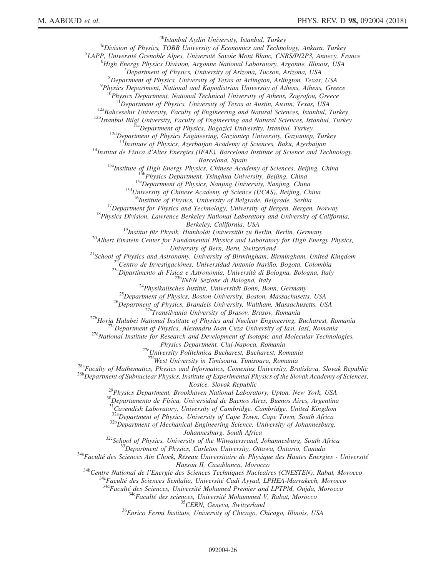$46$ Istanbul Aydin University, Istanbul, Turkey<br> $4c$ Division of Physics, TOBB University of Economics and Technology, Ankara, Turkey

<sup>5</sup>LAPP, Université Grenoble Alpes, Université Savoie Mont Blanc, CNRS/IN2P3, Annecy, France

 ${}^{6}$ High Energy Physics Division, Argonne National Laboratory, Argonne, Illinois, USA

 $^7$ Department of Physics, University of Arizona, Tucson, Arizona, USA

 $8$ Department of Physics, University of Texas at Arlington, Arlington, Texas, USA

 $^{9}$ Physics Department, National and Kapodistrian University of Athens, Athens, Greece

<sup>10</sup>Physics Department, National Technical University of Athens, Zografou, Greece<br><sup>11</sup>Department of Physics, University of Texas at Austin, Austin, Texas, USA

<sup>12a</sup>Bahcesehir University, Faculty of Engineering and Natural Sciences, Istanbul, Turkey<br><sup>12b</sup>Istanbul Bilgi University, Faculty of Engineering and Natural Sciences, Istanbul, Turkey<br><sup>12b</sup>Istanbul Bilgi University, Facul

 $14$ Institut de Física d'Altes Energies (IFAE), Barcelona Institute of Science and Technology,

Barcelona, Spain<br>
<sup>15a</sup>Institute of High Energy Physics, Chinese Academy of Sciences, Beijing, China<br>
<sup>15b</sup>Physics Department, Tsinghua University, Beijing, China<br>
<sup>15c</sup>Department of Physics, Nanjing University, Nanjing, C

<sup>17</sup>Department for Physics and Technology, University of Bergen, Bergen, Norway<br><sup>18</sup>Physics Division, Lawrence Berkeley National Laboratory and University of California,

Berkeley, California, USA<br><sup>19</sup>Institut für Physik, Humboldt Universität zu Berlin, Berlin, Germany<br><sup>20</sup>Albert Einstein Center for Fundamental Physics and Laboratory for High Energy Physics,

University of Bern, Bern, Switzerland<br>
<sup>21</sup>School of Physics and Astronomy, University of Birmingham, Birmingham, United Kingdom<br>
<sup>22</sup>Centro de Investigaciónes, Universidad Antonio Nariño, Bogota, Colombia<br>
<sup>23</sup>aDipartime

Physics Department, Cluj-Napoca, Romania<br><sup>27e</sup>University Politehnica Bucharest, Bucharest, Romania<br><sup>27f</sup>West University in Timisoara, Timisoara, Romania

<sup>28a</sup>Faculty of Mathematics, Physics and Informatics, Comenius University, Bratislava, Slovak Republic<br><sup>28b</sup>Department of Subnuclear Physics, Institute of Experimental Physics of the Slovak Academy of Sciences,

Kosice, Slovak Republic<br><sup>29</sup>Physics Department, Brookhaven National Laboratory, Upton, New York, USA<br><sup>30</sup>Departamento de Física, Universidad de Buenos Aires, Buenos Aires, Argentina

 $31$ Cavendish Laboratory, University of Cambridge, Cambridge, United Kingdom  $32a$ Department of Physics, University of Cape Town, Cape Town, South Africa

 $32b$ Department of Mechanical Engineering Science, University of Johannesburg,

Johannesburg, South Africa<br><sup>32c</sup>School of Physics, University of the Witwatersrand, Johannesburg, South Africa<br><sup>33</sup>Department of Physics, Carleton University, Ottawa, Ontario, Canada<br><sup>34a</sup>Faculté des Sciences Ain Chock, Ré

 $\begin{array}{c} {\rm \textit{Hassan II, Casablanca, \textit{Morocco}} }\\ 3^{4b}\textit{Center~National~de l'Energie des Sciences Techniques Nucleaires (CNESTEN), Rabat, \textit{Morocco}}\\ 3^{4c}\textit{Facult\'e des Sciences Semlalia, Université Cadi Ayyad, LPHEA-Marrakech, \textit{Morocco}}\\ 3^{4d}\textit{Facult\'e des Sciences, Université Mohamed Premier and LPTPM, Oujda, \textit{Morocco}}\\ 3^{4e}\textit{Facult\'e des sciences, Université \textit{Mohammed V, Rabat, \textit{Morocco}} }\\ 3^{5CERN, Geneva, Switzerland}\\ 3^{6}\textit{Enrico Ferm$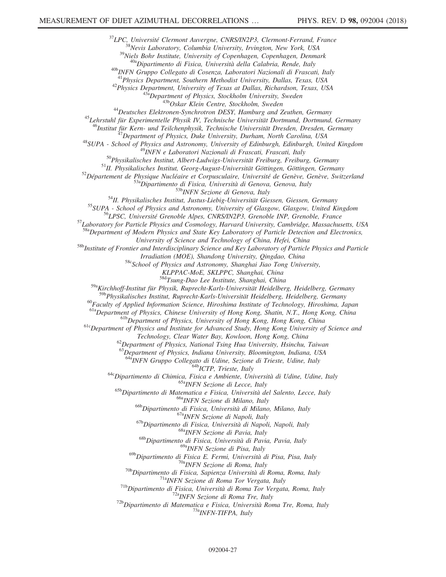<sup>37</sup>LPC, Université Clermont Auvergne, CNRS/IN2P3, Clermont-Ferrand, France<br><sup>38</sup>Nevis Laboratory, Columbia University, Irvington, New York, USA<br><sup>39</sup>Niels Bohr Institute, University of Copenhagen, Copenhagen, Denmark<br><sup>40</sup>a <sup>42</sup>Physics Department, University of Texas at Dallas, Richardson, Texas, USA<br><sup>43a</sup>Department of Physics, Stockholm University, Sweden<br><sup>43b</sup>Oskar Klein Centre, Stockholm, Sweden<br><sup>44</sup>Deutsches Elektronen-Synchrotron DESY, <sup>46</sup>Institut für Kern- und Teilchenphysik, Technische Universität Dresden, Dresden, Germany<br>
<sup>47</sup> Department of Physics, Duke University, Durham, North Carolina, USA<br>
<sup>48</sup>SUPA - School of Physics and Astronomy, University <sup>57</sup>Laboratory for Particle Physics and Cosmology, Harvard University, Cambridge, Massachusetts, USA<br><sup>58a</sup>Department of Modern Physics and State Key Laboratory of Particle Detection and Electronics, University of Science and Technology of China, Hefei, China<br><sup>58b</sup>Institute of Frontier and Interdisciplinary Science and Key Laboratory of Particle Physics and Particle Irradiation (MOE), Shandong University, Qingdao, China  $58c$ School of Physics and Astronomy, Shanghai Jiao Tong University, KLPPAC-MoE, SKLPPC, Shanghai, China 58dTsung-Dao Lee Institute, Shanghai, China <sup>59a</sup>Kirchhoff-Institut für Physik, Ruprecht-Karls-Universität Heidelberg, Heidelberg, Germany<br><sup>59b</sup>Physikalisches Institut, Ruprecht-Karls-Universität Heidelberg, Heidelberg, Germany  $^{60}$ Faculty of Applied Information Science, Hiroshima Institute of Technology, Hiroshima, Japan<br> $^{61a}$ Department of Physics, Chinese University of Hong Kong, Shatin, N.T., Hong Kong, China <sup>61b</sup>Department of Physics, University of Hong Kong, Hong Kong, China<br><sup>61c</sup>Department of Physics and Institute for Advanced Study, Hong Kong University of Science and Technology, Clear Water Bay, Kowloon, Hong Kong, China <sup>62</sup>Department of Physics, National Tsing Hua University, Hsinchu, Taiwan  $^{63}$ Department of Physics, Indiana University, Bloomington, Indiana, USA<br> $^{648}$ INFN Gruppo Collegato di Udine, Sezione di Trieste, Udine, Italy <sup>642</sup><br>
<sup>642</sup>Dipartimento di Chimica, Fisica e Ambiente, Università di Udine, Ualy<br>
<sup>642</sup>Dipartimento di Chimica, Fisica e Ambiente, Università di Udine, Udine, Italy<br>
<sup>652</sup>Dipartimento di Matematica e Fisica, Università d <sup>68b</sup>Dipartimento di Fisica, Università di Pavia, Pavia, Italy<br><sup>69a</sup>INFN Sezione di Pisa, Italy<br><sup>69b</sup>Dipartimento di Fisica E. Fermi, Università di Pisa, Pisa, Italy <sup>70b</sup>Dipartimento di Fisica, Sapienza Università di Roma, Roma, Italy<br><sup>71b</sup>Dipartimento di Fisica, Sapienza Università di Roma, Roma, Italy<br><sup>71b</sup>Dipartimento di Fisica, Università di Roma Tor Vergata, Roma, Italy<br><sup>72b</sup>Dip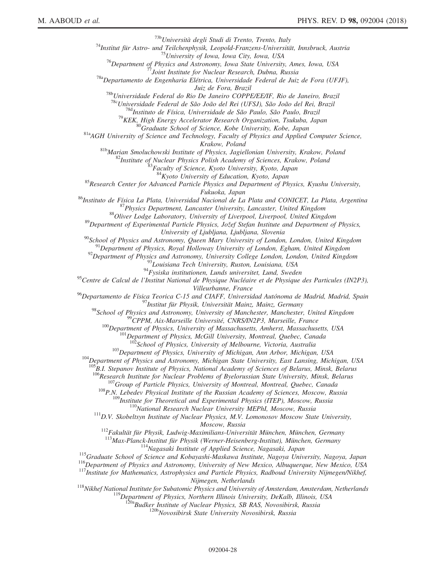<sup>73b</sup>Università degli Studi di Trento, Trento, Italy<br><sup>74</sup>Institut für Astro- und Teilchenphysik, Leopold-Franzens-Universität, Innsbruck, Austria<br><sup>75</sup>University of Iowa, Iowa City, Iowa, USA<br><sup>76</sup>Department of Physics and

Juiz de Fora, Brazil<br><sup>78b</sup>Universidade Federal do Rio De Janeiro COPPE/EE/IF, Rio de Janeiro, Brazil<sup>78c</sup>Universidade Federal de São João del Rei (UFSJ), São João del Rei, Brazil

<sup>78d</sup>Instituto de Física, Universidade de São Paulo, São Paulo, Brazil<br><sup>79</sup>KEK, High Energy Accelerator Research Organization, Tsukuba, Japan<br><sup>80</sup>Graduate School of Science, Kobe University, Kobe, Japan<br><sup>81a</sup>AGH Universit

<sup>81b</sup>Marian Smoluchowski Institute of Physics, Jagiellonian University, Krakow, Poland<br><sup>82</sup>Institute of Nuclear Physics Polish Academy of Sciences, Krakow, Poland<br><sup>82</sup>Institute of Nuclear Physics Polish Academy of Sciences

<sup>85</sup>Research Center for Advanced Particle Physics and Department of Physics, Kyushu University,

Fukuoka, Japan<br><sup>86</sup>Instituto de Física La Plata, Universidad Nacional de La Plata and CONICET, La Plata, Argentina<br><sup>87</sup>Physics Department, Lancaster University, Lancaster, United Kingdom<br><sup>88</sup>Oliver Lodge Laboratory, Univer

University of Ljubljana, Ljubljana, Slovenia<br><sup>90</sup>School of Physics and Astronomy, Queen Mary University of London, London, United Kingdom<br><sup>91</sup>Department of Physics, Royal Holloway University of London, Egham, United Kingd

 $95$ Centre de Calcul de l'Institut National de Physique Nucléaire et de Physique des Particules (IN2P3),

Villeurbanne, France

<sup>96</sup>Departamento de Física Teorica C-15 and CIAFF, Universidad Autónoma de Madrid, Madrid, Spain<br><sup>97</sup>Institut für Physik, Universität Mainz, Mainz, Germany<br><sup>98</sup>School of Physics and Astronomy, University of Manchester, Ma

 $^{103}$ Department of Physics, University of Michigan, Ann Arbor, Michigan, USA<br><sup>104</sup>Department of Physics and Astronomy, Michigan State University, East Lansing, Michigan, USA

 $^{105}B.$ I. Stepanov Institute of Physics, National Academy of Sciences of Belarus, Minsk, Belarus

<sup>106</sup> Research Institute for Nuclear Problems of Byelorussian State University, Minsk, Belarus<br><sup>107</sup> Group of Particle Physics, University of Montreal, Montreal, Quebec, Canada<br><sup>108</sup> P.N. Lebedev Physical Institute of the

Moscow, Russia<br><sup>112</sup>Fakultät für Physik, Ludwig-Maximilians-Universität München, München, Germany<br><sup>113</sup>Max-Planck-Institut für Physik (Werner-Heisenberg-Institut), München, Germany

<sup>114</sup>Nagasaki Institute of Applied Science, Nagasaki, Japan<br><sup>115</sup>Graduate School of Science and Kobayashi-Maskawa Institute, Nagoya University, Nagoya, Japan<br><sup>116</sup>Department of Physics and Astronomy, University of New Mex

<sup>118</sup>Nikhef National Institute for Subatomic Physics and University of Amsterdam, Amsterdam, Netherlands<br><sup>119</sup>Department of Physics, Northern Illinois University, DeKalb, Illinois, USA<br><sup>120a</sup>Budker Institute of Nuclear Phy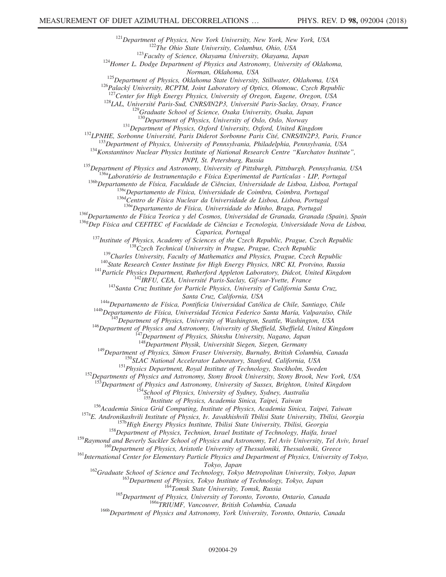<sup>121</sup>Department of Physics, New York University, New York, New York, USA<br><sup>122</sup>The Ohio State University, Columbus, Ohio, USA<br><sup>123</sup>Faculty of Science, Okayama University, Okayama, Japan<br><sup>124</sup>Homer L. Dodge Department of Ph <sup>125</sup>Department of Physics, Oklahoma State University, Stillwater, Oklahoma, USA<br><sup>126</sup>Palacký University, RCPTM, Joint Laboratory of Optics, Olomouc, Czech Republic<br><sup>127</sup>Center for High Energy Physics, University of Orego <sup>128</sup>LAL, Université Paris-Sud, CNRS/IN2P3, Université Paris-Saclay, Orsay, France<br><sup>129</sup>Graduate School of Science, Osaka University, Osaka, Japan<br><sup>130</sup>Department of Physics, University of Oslo, Oslo, Norway <sup>131</sup>Department of Physics, Oxford University, Oxford, United Kingdom<br><sup>132</sup>LPNHE, Sorbonne Université, Paris Diderot Sorbonne Paris Cité, CNRS/IN2P3, Paris, France<br><sup>133</sup>Department of Physics, University of Pennsylvania, P PNPI, St. Petersburg, Russia<br>
<sup>135</sup>Department of Physics and Astronomy, University of Pittsburgh, Pittsburgh, Pennsylvania, USA<br>
<sup>136</sup>a Laboratório de Instrumentação e Física Experimental de Partículas - LIP, Portugal<br>
<sup>1</sup> <sup>136f</sup>Departamento de Física Teorica y del Cosmos, Universidad de Granada, Granada (Spain), Spain  $^{136g}$ Dep Física and CEFITEC of Faculdade de Ciências e Tecnologia, Universidade Nova de Lisboa, Caparica, Portugal<br>
<sup>137</sup>Institute of Physics, Academy of Sciences of the Czech Republic, Prague, Czech Republic<br>
<sup>138</sup>Czech Technical University in Prague, Prague, Czech Republic<br>
<sup>139</sup>Charles University, Faculty of Mathe <sup>144</sup>aDepartamento de Física, Pontificia Universidad Católica de Chile, Santiago, Chile<br><sup>144b</sup>Departamento de Física, Universidad Técnica Federico Santa María, Valparaíso, Chile<br><sup>145</sup>Department of Physics, University of W <sup>149</sup>Department of Physics, Simon Fraser University, Burnaby, British Columbia, Canada<br><sup>150</sup>SLAC National Accelerator Laboratory, Stanford, California, USA<br><sup>151</sup>Physics Department, Royal Institute of Technology, Stockholm Pepartment of Physics and Astronomy, University of Sussex, Brighton, United Kingdom<br><sup>154</sup>School of Physics, University of Sydney, Sydney, Australia<br><sup>155</sup>Institute of Physics, Academia Sinica, Taipei, Taiwan <sup>157</sup>a Andronikashvili Institute of Physics, Academia Sinica, Taipei, Taiwan<br><sup>157a</sup>E. Andronikashvili Institute of Physics, Iv. Javakhishvili Tbilisi State University, Tbilisi, Georgia<br><sup>157b</sup>High Energy Physics Institute,  $^{160}$ Department of Physics, Aristotle University of Thessaloniki, Thessaloniki, Greece<br><sup>161</sup>International Center for Elementary Particle Physics and Department of Physics, University of Tokyo, Tokyo, Japan<br>
<sup>162</sup>Graduate School of Science and Technology, Tokyo Metropolitan University, Tokyo, Japan<br>
<sup>163</sup>Department of Physics, Tokyo Institute of Technology, Tokyo, Japan<br>
<sup>164</sup>Tomsk State University, Tomsk, Russia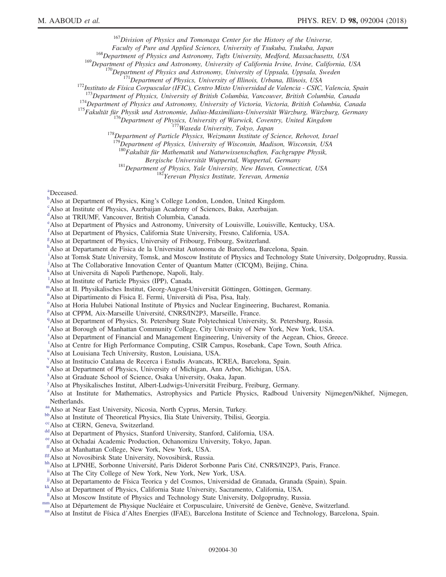$167$ Division of Physics and Tomonaga Center for the History of the Universe, Faculty of Pure and Applied Sciences, University of Tsukuba, Tsukuba, Japan

 $^{168}$ Department of Physics and Astronomy, Tufts University, Medford, Massachusetts, USA

<sup>169</sup>Department of Physics and Astronomy, University of California Irvine, Irvine, California, USA<br><sup>170</sup>Department of Physics and Astronomy, University of Uppsala, Uppsala, Sweden<br><sup>171</sup>Department of Physics, University of

<sup>174</sup>Department of Physics and Astronomy, University of Victoria, Victoria, British Columbia, Canada<br><sup>175</sup>Fakultät für Physik und Astronomie, Julius-Maximilians-Universität Würzburg, Würzburg, Germany<br><sup>176</sup>Department of P

 $179$ Department of Physics, University of Wisconsin, Madison, Wisconsin, USA

<sup>180</sup>Fakultät für Mathematik und Naturwissenschaften, Fachgruppe Physik,<br>Bergische Universität Wuppertal, Wuppertal, Germany

 $^{181}$ Department of Physics, Yale University, New Haven, Connecticut, USA  $^{182}$ Yerevan Physics Institute, Yerevan, Armenia

<span id="page-29-0"></span>[a](#page-16-26) Deceased.

- <span id="page-29-1"></span> $\mu^b$  $\mu^b$ Also at Department of Physi[c](#page-17-0)s, King's College London, London, United Kingdom.
- <span id="page-29-2"></span><sup>c</sup>Also at Institute of Physics, Azerbaijan Academy of Sciences, Baku, Azerbaijan.
- <span id="page-29-3"></span>[d](#page-17-1) Also at TRIUMF, Vancouver, British Columbia, Canada.
- <span id="page-29-4"></span>[e](#page-17-2) Also at Department of Physics and Astronomy, University of Louisville, Louisville, Kentucky, USA.
- <span id="page-29-5"></span>[f](#page-17-3) Also at Department of Physics, California State University, Fresno, California, USA.
- <span id="page-29-6"></span><sup>[g](#page-17-4)</sup> Also at Department of Physics, University of Fribourg, Fribourg, Switzerland.
- <span id="page-29-7"></span><sup>[h](#page-18-0)</sup>Also at Departament de Fisica de la Universitat Autonoma de Barcelona, Barcelona, Spain.
- <span id="page-29-8"></span><sup>[i](#page-18-1)</sup>Also at Tomsk State University, Tomsk, and Moscow Institute of Physics and Technology State University, Dolgoprudny, Russia.
- <span id="page-29-9"></span><sup>[j](#page-18-2)</sup> Also at The Collaborative Innovation Center of Quantum Matter (CICQM), Beijing, China.
- <span id="page-29-10"></span>[k](#page-18-3) Also at Universita di Napoli Parthenope, Napoli, Italy.
- <span id="page-29-11"></span><sup>1</sup>A[l](#page-18-4)so at Institute of Particle Physics (IPP), Canada.
- <span id="page-29-12"></span>[m](#page-18-5)Also at II. Physikalisches Institut, Georg-August-Universität Göttingen, Göttingen, Germany.
- <span id="page-29-13"></span>[n](#page-18-6)als[o](#page-18-7) at Dipartimento di Fisica E. Fermi, Università di Pisa, Pisa, Italy.
- <span id="page-29-14"></span><sup>o</sup> Also at Horia Hulubei National Institute of Physics and Nuclear Engineering, Bucharest, Romania.
- <span id="page-29-15"></span><su[p](#page-18-8)>p</sup>Also at CPPM, Aix-Marseille Université, CNRS/IN2P3, Marseille, France.<br><sup>9</sup>Also et Department of Physics, St. Petersburg State Polytechnical University
- <span id="page-29-16"></span><sup>q</sup>Also at Department of Physics, St. Petersburg State Polytechnical University, St. Petersburg, Russia.
- <span id="page-29-17"></span><sup>[r](#page-19-1)</sup> Also at Borough of Manhattan Community College, City University of New York, New York, USA.
- <span id="page-29-18"></span><[s](#page-19-2)up>s</sup> Also at Department of Financial and Management Engineering, University of the Aegean, Chios, Greece.
- <span id="page-29-19"></span><sup>[t](#page-19-3)</sup>Also at Centre for High Performance Computing, CSIR Campus, Rosebank, Cape Town, South Africa.
- <span id="page-29-20"></span>[u](#page-19-4) Also at Louisiana Tech University, Ruston, Louisiana, USA.
- <span id="page-29-21"></span>[v](#page-19-5) Also at Institucio Catalana de Recerca i Estudis Avancats, ICREA, Barcelona, Spain.
- <span id="page-29-22"></span>[w](#page-19-6)Also at Department of Physics, University of Michigan, Ann Arbor, Michigan, USA.
- <span id="page-29-23"></span>[x](#page-19-7) Also at Graduate School of Science, Osaka University, Osaka, Japan.
- <span id="page-29-24"></span>[y](#page-19-8) Also at Physikalisches Institut, Albert-Ludwigs-Universität Freiburg, Freiburg, Germany.

<span id="page-29-25"></span><sup>[z](#page-20-0)</sup>Also at Institute for Mathematics, Astrophysics and Particle Physics, Radboud University Nijmegen/Nikhef, Nijmegen, Netherlands.<br>
<sup>aa</sup> Also at Near East University, Nicosia, North Cyprus, Mersin, Turkey.

- <span id="page-29-26"></span>
- <span id="page-29-27"></span>[bb](#page-20-2)<sub>Also</sub> at Institute of Theoretical Physics, Ilia State University, Tbilisi, Georgia. <sup>cc</sup>Also at CERN, Geneva, Switzerland.
- <span id="page-29-28"></span>
- <span id="page-29-29"></span>[dd](#page-20-3) Also at Department of Physics, Stanford University, Stanford, California, USA.
- <span id="page-29-30"></span>[ee](#page-20-4) Also at Ochadai Academic Production, Ochanomizu University, Tokyo, Japan. fralso at Manhattan College, New York, New York, USA.
- <span id="page-29-31"></span>
- 
- <span id="page-29-34"></span><span id="page-29-33"></span>
- <span id="page-29-35"></span>
- <span id="page-29-32"></span><sup>[gg](#page-20-5)</sup> Also at Novosibirsk State University, Novosibirsk, Russia.<br>
<sup>[hh](#page-21-0)</sup> Also at LPNHE, Sorbonne Université, Paris Diderot Sorbonne Paris Cité, CNRS/IN2P3, Paris, France.<br>
<sup>[ii](#page-21-1)</sup> Also at The City College of New York, New York,
- <span id="page-29-36"></span><sup>[kk](#page-21-3)</sup> Also at Department of Physics, California State University, Sacramento, California, USA.<br><sup>II</sup> Also at Moscow Institute of Physics and Technology State University, Dolgoprudny, Russia.
- <span id="page-29-37"></span>
- 
- <span id="page-29-39"></span><span id="page-29-38"></span>[mm](#page-21-5) Also at Département de Physique Nucléaire et Corpusculaire, Université de Genève, Genève, Switzerland.<br><sup>[nn](#page-22-0)</sup> Also at Institut de Física d'Altes Energies (IFAE), Barcelona Institute of Science and Technology, Barcelona, S